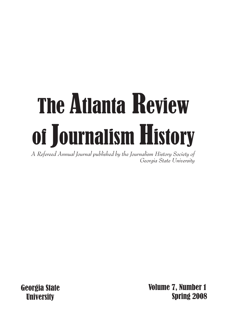# The Atlanta Review of Journalism History

*A Refereed Annual Journal published by the Journalism History Society of Georgia State University*

Georgia State **University** 

 Volume 7, Number 1 Spring 2008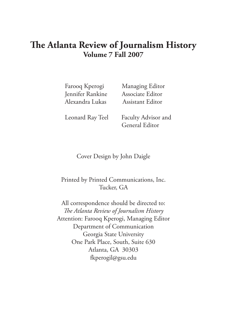# **The Atlanta Review of Journalism History Volume 7 Fall 2007**

 Jennifer Rankine Associate Editor Alexandra Lukas Assistant Editor

Farooq Kperogi Managing Editor

Leonard Ray Teel Faculty Advisor and General Editor

#### Cover Design by John Daigle

#### Printed by Printed Communications, Inc. Tucker, GA

All correspondence should be directed to: *The Atlanta Review of Journalism History* Attention: Farooq Kperogi, Managing Editor Department of Communication Georgia State University One Park Place, South, Suite 630 Atlanta, GA 30303 fkperogil@gsu.edu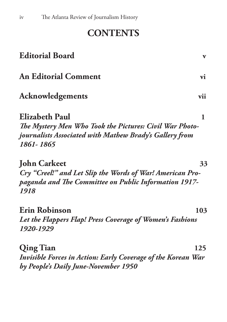# **CONTENTS**

| <b>Editorial Board</b>                                                                                                                                   | V   |
|----------------------------------------------------------------------------------------------------------------------------------------------------------|-----|
| <b>An Editorial Comment</b>                                                                                                                              | vi  |
| <b>Acknowledgements</b>                                                                                                                                  | vii |
| <b>Elizabeth Paul</b><br>The Mystery Men Who Took the Pictures: Civil War Photo-<br>journalists Associated with Mathew Brady's Gallery from<br>1861-1865 | 1   |
| <b>John Carkeet</b><br>Cry "Creel!" and Let Slip the Words of War! American Pro-<br>paganda and The Committee on Public Information 1917-<br>1918        | 33  |
| Erin Robinson<br>Let the Flappers Flap! Press Coverage of Women's Fashions<br>1920-1929                                                                  | 103 |
| <b>Qing Tian</b><br><b>Invisible Forces in Action: Early Coverage of the Korean War</b><br>by People's Daily June-November 1950                          | 125 |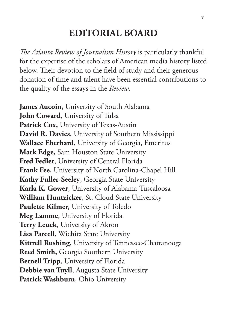# **EDITORIAL BOARD**

*The Atlanta Review of Journalism History* is particularly thankful for the expertise of the scholars of American media history listed below. Their devotion to the field of study and their generous donation of time and talent have been essential contributions to the quality of the essays in the *Review*.

**James Aucoin,** University of South Alabama **John Coward**, University of Tulsa Patrick Cox, University of Texas-Austin **David R. Davies**, University of Southern Mississippi **Wallace Eberhard**, University of Georgia, Emeritus **Mark Edge,** Sam Houston State University **Fred Fedler**, University of Central Florida **Frank Fee**, University of North Carolina-Chapel Hill **Kathy Fuller-Seeley**, Georgia State University **Karla K. Gower**, University of Alabama-Tuscaloosa **William Huntzicker**, St. Cloud State University **Paulette Kilmer,** University of Toledo **Meg Lamme**, University of Florida **Terry Leuck**, University of Akron **Lisa Parcell**, Wichita State University **Kittrell Rushing**, University of Tennessee-Chattanooga **Reed Smith,** Georgia Southern University **Bernell Tripp**, University of Florida **Debbie van Tuyll**, Augusta State University **Patrick Washburn**, Ohio University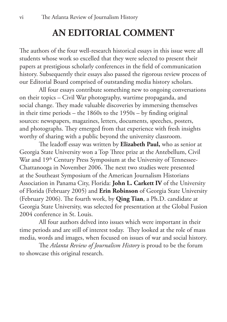# **AN EDITORIAL COMMENT**

The authors of the four well-research historical essays in this issue were all students whose work so excelled that they were selected to present their papers at prestigious scholarly conferences in the field of communication history. Subsequently their essays also passed the rigorous review process of our Editorial Board comprised of outstanding media history scholars.

All four essays contribute something new to ongoing conversations on their topics – Civil War photography, wartime propaganda, and social change. They made valuable discoveries by immersing themselves in their time periods – the 1860s to the 1950s – by finding original sources: newspapers, magazines, letters, documents, speeches, posters, and photographs. They emerged from that experience with fresh insights worthy of sharing with a public beyond the university classroom.

The leadoff essay was written by **Elizabeth Paul,** who as senior at Georgia State University won a Top Three prize at the Antebellum, Civil War and 19<sup>th</sup> Century Press Symposium at the University of Tennessee-Chattanooga in November 2006. The next two studies were presented at the Southeast Symposium of the American Journalism Historians Association in Panama City, Florida: **John L. Carkett IV** of the University of Florida (February 2005) and **Erin Robinson** of Georgia State University (February 2006). The fourth work, by **Qing Tian**, a Ph.D. candidate at Georgia State University, was selected for presentation at the Global Fusion 2004 conference in St. Louis.

All four authors delved into issues which were important in their time periods and are still of interest today. They looked at the role of mass media, words and images, when focused on issues of war and social history.

The *Atlanta Review of Journalism History* is proud to be the forum to showcase this original research.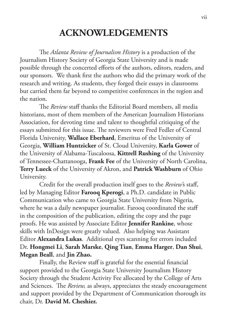# **ACKNOWLEDGEMENTS**

The *Atlanta Review of Journalism History* is a production of the Journalism History Society of Georgia State University and is made possible through the concerted efforts of the authors, editors, readers, and our sponsors. We thank first the authors who did the primary work of the research and writing. As students, they forged their essays in classrooms but carried them far beyond to competitive conferences in the region and the nation.

The *Review* staff thanks the Editorial Board members, all media historians, most of them members of the American Journalism Historians Association, for devoting time and talent to thoughtful critiquing of the essays submitted for this issue. The reviewers were Fred Fedler of Central Florida University, **Wallace Eberhard**, Emeritus of the University of Georgia, **William Huntzicker** of St. Cloud University, **Karla Gower** of the University of Alabama-Tuscaloosa, **Kittrell Rushing** of the University of Tennessee-Chattanooga, **Frank Fee** of the University of North Carolina, **Terry Lueck** of the University of Akron, and **Patrick Washburn** of Ohio University.

Credit for the overall production itself goes to the *Review'*s staff, led by Managing Editor **Farooq Kperogi**, a Ph.D. candidate in Public Communication who came to Georgia State University from Nigeria, where he was a daily newspaper journalist. Farooq coordinated the staff in the composition of the publication, editing the copy and the page proofs. He was assisted by Associate Editor **Jennifer Rankine**, whose skills with InDesign were greatly valued. Also helping was Assistant Editor **Alexandra Lukas**. Additional eyes scanning for errors included Dr. **Hongmei Li**, **Sarah Marske**, **Qing Tian**, **Emma Harger**, **Dan Shui**, **Megan Beall**, and **Jin Zhao.**

Finally, the Review staff is grateful for the essential financial support provided to the Georgia State University Journalism History Society through the Student Activity Fee allocated by the College of Arts and Sciences. The *Review,* as always, appreciates the steady encouragement and support provided by the Department of Communication thorough its chair, Dr. **David M. Cheshier.**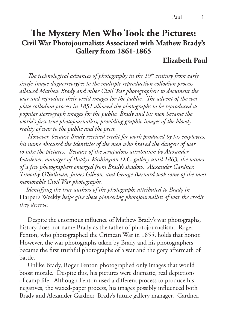# **The Mystery Men Who Took the Pictures: Civil War Photojournalists Associated with Mathew Brady's Gallery from 1861-1865**

## **Elizabeth Paul**

*The technological advances of photography in the 19<sup>th</sup> century from early single-image daguerreotypes to the multiple reproduction collodion process allowed Mathew Brady and other Civil War photographers to document the war and reproduce their vivid images for the public. The advent of the wetplate collodion process in 1851 allowed the photographs to be reproduced as popular stereograph images for the public. Brady and his men became the world's first true photojournalists, providing graphic images of the bloody reality of war to the public and the press.*

 *However, because Brady received credit for work produced by his employees, his name obscured the identities of the men who braved the dangers of war*  to take the pictures. Because of the scrupulous attribution by Alexander *Gardener, manager of Brady's Washington D.C. gallery until 1863, the names of a few photographers emerged from Brady's shadow. Alexander Gardner, Timothy O'Sullivan, James Gibson, and George Barnard took some of the most memorable Civil War photographs.*

 *Identifying the true authors of the photographs attributed to Brady in*  Harper's Weekly *helps give these pioneering photojournalists of war the credit they deserve.* 

 Despite the enormous influence of Mathew Brady's war photographs, history does not name Brady as the father of photojournalism. Roger Fenton, who photographed the Crimean War in 1855, holds that honor. However, the war photographs taken by Brady and his photographers became the first truthful photographs of a war and the gory aftermath of battle.

 Unlike Brady, Roger Fenton photographed only images that would boost morale. Despite this, his pictures were dramatic, real depictions of camp life. Although Fenton used a different process to produce his negatives, the waxed-paper process, his images possibly influenced both Brady and Alexander Gardner, Brady's future gallery manager. Gardner,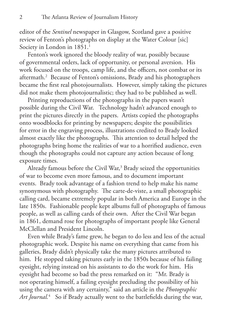editor of the *Sentinel* newspaper in Glasgow, Scotland gave a positive review of Fenton's photographs on display at the Water Colour [sic] Society in London in  $1851.^1$ 

 Fenton's work ignored the bloody reality of war, possibly because of governmental orders, lack of opportunity, or personal aversion. His work focused on the troops, camp life, and the officers, not combat or its aftermath.2 Because of Fenton's omissions, Brady and his photographers became the first real photojournalists. However, simply taking the pictures did not make them photojournalistic; they had to be published as well.

 Printing reproductions of the photographs in the papers wasn't possible during the Civil War. Technology hadn't advanced enough to print the pictures directly in the papers. Artists copied the photographs onto woodblocks for printing by newspapers; despite the possibilities for error in the engraving process, illustrations credited to Brady looked almost exactly like the photographs. This attention to detail helped the photographs bring home the realities of war to a horrified audience, even though the photographs could not capture any action because of long exposure times.

Already famous before the Civil War,<sup>3</sup> Brady seized the opportunities of war to become even more famous, and to document important events. Brady took advantage of a fashion trend to help make his name synonymous with photography. The carte-de-viste, a small photographic calling card, became extremely popular in both America and Europe in the late 1850s. Fashionable people kept albums full of photographs of famous people, as well as calling cards of their own. After the Civil War began in 1861, demand rose for photographs of important people like General McClellan and President Lincoln.

 Even while Brady's fame grew, he began to do less and less of the actual photographic work. Despite his name on everything that came from his galleries, Brady didn't physically take the many pictures attributed to him. He stopped taking pictures early in the 1850s because of his failing eyesight, relying instead on his assistants to do the work for him. His eyesight had become so bad the press remarked on it: "Mr. Brady is not operating himself, a failing eyesight precluding the possibility of his using the camera with any certainty," said an article in the *Photographic Art Journal.*<sup>4</sup> So if Brady actually went to the battlefields during the war,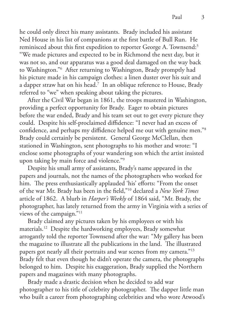he could only direct his many assistants. Brady included his assistant Ned House in his list of companions at the first battle of Bull Run. He reminisced about this first expedition to reporter George A. Townsend:<sup>5</sup> "We made pictures and expected to be in Richmond the next day, but it was not so, and our apparatus was a good deal damaged on the way back to Washington."6 After returning to Washington, Brady promptly had his picture made in his campaign clothes: a linen duster over his suit and a dapper straw hat on his head.7 In an oblique reference to House, Brady referred to "we" when speaking about taking the pictures.

 After the Civil War began in 1861, the troops mustered in Washington, providing a perfect opportunity for Brady. Eager to obtain pictures before the war ended, Brady and his team set out to get every picture they could. Despite his self-proclaimed diffidence: "I never had an excess of confidence, and perhaps my diffidence helped me out with genuine men."8 Brady could certainly be persistent. General George McClellan, then stationed in Washington, sent photographs to his mother and wrote: "I enclose some photographs of your wandering son which the artist insisted upon taking by main force and violence."9

 Despite his small army of assistants, Brady's name appeared in the papers and journals, not the names of the photographers who worked for him. The press enthusiastically applauded 'his' efforts: "From the onset of the war Mr. Brady has been in the field,"10 declared a *New York Times*  article of 1862. A blurb in *Harper's Weekly* of 1864 said, "Mr. Brady, the photographer, has lately returned from the army in Virginia with a series of views of the campaign."11

 Brady claimed any pictures taken by his employees or with his materials.12 Despite the hardworking employees, Brady somewhat arrogantly told the reporter Townsend after the war: "My gallery has been the magazine to illustrate all the publications in the land. The illustrated papers got nearly all their portraits and war scenes from my camera."13 Brady felt that even though he didn't operate the camera, the photographs belonged to him. Despite his exaggeration, Brady supplied the Northern papers and magazines with many photographs.

 Brady made a drastic decision when he decided to add war photographer to his title of celebrity photographer. The dapper little man who built a career from photographing celebrities and who wore Atwood's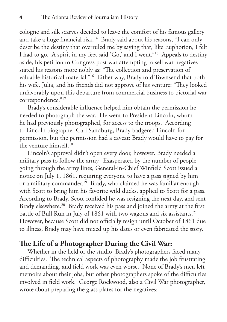cologne and silk scarves decided to leave the comfort of his famous gallery and take a huge financial risk.14 Brady said about his reasons, "I can only describe the destiny that overruled me by saying that, like Euphorion, I felt I had to go. A spirit in my feet said 'Go,' and I went."15 Appeals to destiny aside, his petition to Congress post war attempting to sell war negatives stated his reasons more nobly as: "The collection and preservation of valuable historical material."16 Either way, Brady told Townsend that both his wife, Julia, and his friends did not approve of his venture: "They looked unfavorably upon this departure from commercial business to pictorial war correspondence."<sup>17</sup>

 Brady's considerable influence helped him obtain the permission he needed to photograph the war. He went to President Lincoln, whom he had previously photographed, for access to the troops. According to Lincoln biographer Carl Sandburg, Brady badgered Lincoln for permission, but the permission had a caveat: Brady would have to pay for the venture himself.18

 Lincoln's approval didn't open every door, however. Brady needed a military pass to follow the army. Exasperated by the number of people going through the army lines, General-in-Chief Winfield Scott issued a notice on July 1, 1861, requiring everyone to have a pass signed by him or a military commander.<sup>19</sup> Brady, who claimed he was familiar enough with Scott to bring him his favorite wild ducks, applied to Scott for a pass. According to Brady, Scott confided he was resigning the next day, and sent Brady elsewhere.<sup>20</sup> Brady received his pass and joined the army at the first battle of Bull Run in July of 1861 with two wagons and six assistants.<sup>21</sup> However, because Scott did not officially resign until October of 1861 due to illness, Brady may have mixed up his dates or even fabricated the story.

## **The Life of a Photographer During the Civil War:**

 Whether in the field or the studio, Brady's photographers faced many difficulties. The technical aspects of photography made the job frustrating and demanding, and field work was even worse. None of Brady's men left memoirs about their jobs, but other photographers spoke of the difficulties involved in field work. George Rockwood, also a Civil War photographer, wrote about preparing the glass plates for the negatives: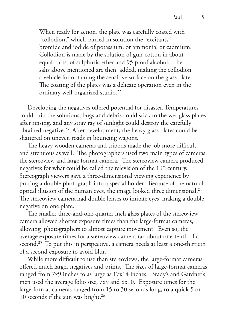When ready for action, the plate was carefully coated with "collodion," which carried in solution the "excitants" bromide and iodide of potassium, or ammonia, or cadmium. Collodion is made by the solution of gun-cotton in about equal parts of sulphuric ether and 95 proof alcohol. The salts above mentioned are then added, making the collodion a vehicle for obtaining the sensitive surface on the glass plate. The coating of the plates was a delicate operation even in the ordinary well-organized studio.<sup>22</sup>

 Developing the negatives offered potential for disaster. Temperatures could ruin the solutions, bugs and debris could stick to the wet glass plates after rinsing, and any stray ray of sunlight could destroy the carefully obtained negative.23 After development, the heavy glass plates could be shattered on uneven roads in bouncing wagons.

 The heavy wooden cameras and tripods made the job more difficult and strenuous as well. The photographers used two main types of cameras: the stereoview and large format camera. The stereoview camera produced negatives for what could be called the television of the  $19<sup>th</sup>$  century. Stereograph viewers gave a three-dimensional viewing experience by putting a double photograph into a special holder. Because of the natural optical illusion of the human eyes, the image looked three dimensional.<sup>24</sup> The stereoview camera had double lenses to imitate eyes, making a double negative on one plate.

 The smaller three-and-one-quarter inch glass plates of the stereoview camera allowed shorter exposure times than the large-format cameras, allowing photographers to almost capture movement. Even so, the average exposure times for a stereoview camera ran about one-tenth of a second.<sup>25</sup> To put this in perspective, a camera needs at least a one-thirtieth of a second exposure to avoid blur.

 While more difficult to use than stereoviews, the large-format cameras offered much larger negatives and prints. The sizes of large-format cameras ranged from 7x9 inches to as large as 17x14 inches. Brady's and Gardner's men used the average folio size, 7x9 and 8x10. Exposure times for the large-format cameras ranged from 15 to 30 seconds long, to a quick 5 or 10 seconds if the sun was bright.<sup>26</sup>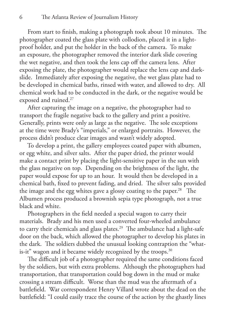From start to finish, making a photograph took about 10 minutes. The photographer coated the glass plate with collodion, placed it in a lightproof holder, and put the holder in the back of the camera. To make an exposure, the photographer removed the interior dark slide covering the wet negative, and then took the lens cap off the camera lens. After exposing the plate, the photographer would replace the lens cap and darkslide. Immediately after exposing the negative, the wet glass plate had to be developed in chemical baths, rinsed with water, and allowed to dry. All chemical work had to be conducted in the dark, or the negative would be exposed and ruined.27

 After capturing the image on a negative, the photographer had to transport the fragile negative back to the gallery and print a positive. Generally, prints were only as large as the negative. The sole exceptions at the time were Brady's "imperials," or enlarged portraits. However, the process didn't produce clear images and wasn't widely adopted.

 To develop a print, the gallery employees coated paper with albumen, or egg white, and silver salts. After the paper dried, the printer would make a contact print by placing the light-sensitive paper in the sun with the glass negative on top. Depending on the brightness of the light, the paper would expose for up to an hour. It would then be developed in a chemical bath, fixed to prevent fading, and dried. The silver salts provided the image and the egg whites gave a glossy coating to the paper.<sup>28</sup> The Albumen process produced a brownish sepia type photograph, not a true black and white.

 Photographers in the field needed a special wagon to carry their materials. Brady and his men used a converted four-wheeled ambulance to carry their chemicals and glass plates.<sup>29</sup> The ambulance had a light-safe door on the back, which allowed the photographer to develop his plates in the dark. The soldiers dubbed the unusual looking contraption the "whatis-it" wagon and it became widely recognized by the troops. $30$ 

 The difficult job of a photographer required the same conditions faced by the soldiers, but with extra problems. Although the photographers had transportation, that transportation could bog down in the mud or make crossing a stream difficult. Worse than the mud was the aftermath of a battlefield. War correspondent Henry Villard wrote about the dead on the battlefield: "I could easily trace the course of the action by the ghastly lines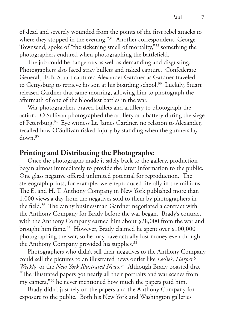of dead and severely wounded from the points of the first rebel attacks to where they stopped in the evening."<sup>31</sup> Another correspondent, George Townsend, spoke of "the sickening smell of mortality,"32 something the photographers endured when photographing the battlefield.

 The job could be dangerous as well as demanding and disgusting. Photographers also faced stray bullets and risked capture. Confederate General J.E.B. Stuart captured Alexander Gardner as Gardner traveled to Gettysburg to retrieve his son at his boarding school.<sup>33</sup> Luckily, Stuart released Gardner that same morning, allowing him to photograph the aftermath of one of the bloodiest battles in the war.

 War photographers braved bullets and artillery to photograph the action. O'Sullivan photographed the artillery at a battery during the siege of Petersburg.34 Eye witness Lt. James Gardner, no relation to Alexander, recalled how O'Sullivan risked injury by standing when the gunners lay down.35

## **Printing and Distributing the Photographs:**

 Once the photographs made it safely back to the gallery, production began almost immediately to provide the latest information to the public. One glass negative offered unlimited potential for reproduction. The stereograph prints, for example, were reproduced literally in the millions. The E. and H. T. Anthony Company in New York published more than 1,000 views a day from the negatives sold to them by photographers in the field.<sup>36</sup> The canny businessman Gardner negotiated a contract with the Anthony Company for Brady before the war began. Brady's contract with the Anthony Company earned him about \$28,000 from the war and brought him fame.37 However, Brady claimed he spent over \$100,000 photographing the war, so he may have actually lost money even though the Anthony Company provided his supplies.<sup>38</sup>

 Photographers who didn't sell their negatives to the Anthony Company could sell the pictures to an illustrated news outlet like *Leslie's*, *Harper's Weekly*, or the *New York Illustrated News*. 39 Although Brady boasted that "The illustrated papers got nearly all their portraits and war scenes from my camera,"40 he never mentioned how much the papers paid him.

 Brady didn't just rely on the papers and the Anthony Company for exposure to the public. Both his New York and Washington galleries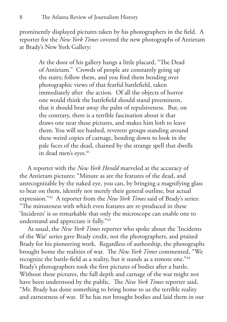prominently displayed pictures taken by his photographers in the field. A reporter for the *New York Times* covered the new photographs of Antietam at Brady's New York Gallery:

> At the door of his gallery hangs a little placard, "The Dead of Antietam." Crowds of people are constantly going up the stairs; follow them, and you find them bending over photographic views of that fearful battlefield, taken immediately after the action. Of all the objects of horror one would think the battlefield should stand preeminent, that it should bear away the palm of repulsiveness. But, on the contrary, there is a terrible fascination about it that draws one near these pictures, and makes him loth to leave them. You will see hushed, reverent groups standing around these weird copies of carnage, bending down to look in the pale faces of the dead, chained by the strange spell that dwells in dead men's eyes.<sup>41</sup>

 A reporter with the *New York Herald* marveled at the accuracy of the Antietam pictures: "Minute as are the features of the dead, and unrecognizable by the naked eye, you can, by bringing a magnifying glass to bear on them, identify not merely their general outline, but actual expression."42 A reporter from the *New York Times* said of Brady's series: "The minuteness with which even features are re-produced in these 'Incidents' is so remarkable that only the microscope can enable one to understand and appreciate it fully."43

 As usual, the *New York Times* reporter who spoke about the 'Incidents of the War' series gave Brady credit, not the photographers, and praised Brady for his pioneering work. Regardless of authorship, the photographs brought home the realities of war. The *New York Times* commented, "We recognize the battle-field as a reality, but it stands as a remote one."<sup>44</sup> Brady's photographers took the first pictures of bodies after a battle. Without these pictures, the full depth and carnage of the war might not have been understood by the public. The *New York Times* reporter said, "Mr. Brady has done something to bring home to us the terrible reality and earnestness of war. If he has not brought bodies and laid them in our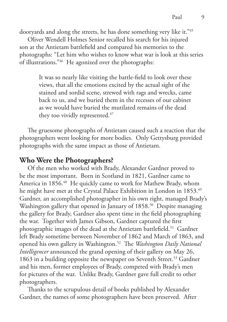dooryards and along the streets, he has done something very like it."45

 Oliver Wendell Holmes Senior recalled his search for his injured son at the Antietam battlefield and compared his memories to the photographs: "Let him who wishes to know what war is look at this series of illustrations."46 He agonized over the photographs:

> It was so nearly like visiting the battle-field to look over these views, that all the emotions excited by the actual sight of the stained and sordid scene, strewed with rags and wrecks, came back to us, and we buried them in the recesses of our cabinet as we would have buried the mutilated remains of the dead they too vividly represented.<sup>47</sup>

 The gruesome photographs of Antietam caused such a reaction that the photographers went looking for more bodies. Only Gettysburg provided photographs with the same impact as those of Antietam.

### **Who Were the Photographers?**

 Of the men who worked with Brady, Alexander Gardner proved to be the most important. Born in Scotland in 1821, Gardner came to America in 1856.<sup>48</sup> He quickly came to work for Mathew Brady, whom he might have met at the Crystal Palace Exhibition in London in 1853.<sup>49</sup> Gardner, an accomplished photographer in his own right, managed Brady's Washington gallery that opened in January of 1858.<sup>50</sup> Despite managing the gallery for Brady, Gardner also spent time in the field photographing the war. Together with James Gibson, Gardner captured the first photographic images of the dead at the Antietam battlefield.51 Gardner left Brady sometime between November of 1862 and March of 1863, and opened his own gallery in Washington.52 The *Washington Daily National Intelligencer* announced the grand opening of their gallery on May 26, 1863 in a building opposite the newspaper on Seventh Street.<sup>53</sup> Gardner and his men, former employees of Brady, competed with Brady's men for pictures of the war. Unlike Brady, Gardner gave full credit to other photographers.

 Thanks to the scrupulous detail of books published by Alexander Gardner, the names of some photographers have been preserved. After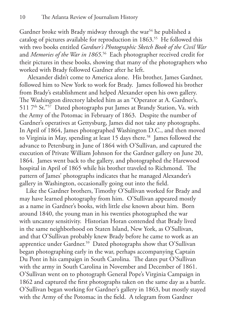Gardner broke with Brady midway through the war<sup>54</sup> he published a catalog of pictures available for reproduction in 1863.<sup>55</sup> He followed this with two books entitled *Gardner's Photographic Sketch Book of the Civil War* and *Memories of the War in 1865*. 56 Each photographer received credit for their pictures in these books, showing that many of the photographers who worked with Brady followed Gardner after he left.

 Alexander didn't come to America alone. His brother, James Gardner, followed him to New York to work for Brady. James followed his brother from Brady's establishment and helped Alexander open his own gallery. The Washington directory labeled him as an "Operator at A. Gardner's, 511 7<sup>th</sup> St."<sup>57</sup> Dated photographs put James at Brandy Station, Va. with the Army of the Potomac in February of 1863. Despite the number of Gardner's operatives at Gettysburg, James did not take any photographs. In April of 1864, James photographed Washington D.C., and then moved to Virginia in May, spending at least 15 days there.<sup>58</sup> James followed the advance to Petersburg in June of 1864 with O'Sullivan, and captured the execution of Private William Johnson for the Gardner gallery on June 20, 1864. James went back to the gallery, and photographed the Harewood hospital in April of 1865 while his brother traveled to Richmond. The pattern of James' photographs indicates that he managed Alexander's gallery in Washington, occasionally going out into the field.

 Like the Gardner brothers, Timothy O'Sullivan worked for Brady and may have learned photography from him. O'Sullivan appeared mostly as a name in Gardner's books, with little else known about him. Born around 1840, the young man in his twenties photographed the war with uncanny sensitivity. Historian Horan contended that Brady lived in the same neighborhood on Staten Island, New York, as O'Sullivan, and that O'Sullivan probably knew Brady before he came to work as an apprentice under Gardner.<sup>59</sup> Dated photographs show that O'Sullivan began photographing early in the war, perhaps accompanying Captain Du Pont in his campaign in South Carolina. The dates put O'Sullivan with the army in South Carolina in November and December of 1861. O'Sullivan went on to photograph General Pope's Virginia Campaign in 1862 and captured the first photographs taken on the same day as a battle. O'Sullivan began working for Gardner's gallery in 1863, but mostly stayed with the Army of the Potomac in the field. A telegram from Gardner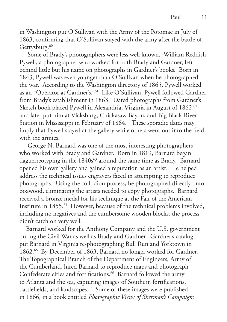in Washington put O'Sullivan with the Army of the Potomac in July of 1863, confirming that O'Sullivan stayed with the army after the battle of Gettysburg.<sup>60</sup>

 Some of Brady's photographers were less well known. William Reddish Pywell, a photographer who worked for both Brady and Gardner, left behind little but his name on photographs in Gardner's books. Born in 1843, Pywell was even younger than O'Sullivan when he photographed the war. According to the Washington directory of 1865, Pywell worked as an "Operator at Gardner's."61 Like O'Sullivan, Pywell followed Gardner from Brady's establishment in 1863. Dated photographs from Gardner's Sketch book placed Pywell in Alexandria, Virginia in August of 1862,<sup>62</sup> and later put him at Vicksburg, Chickasaw Bayou, and Big Black River Station in Mississippi in February of 1864. These sporadic dates may imply that Pywell stayed at the gallery while others went out into the field with the armies.

 George N. Barnard was one of the most interesting photographers who worked with Brady and Gardner. Born in 1819, Barnard began daguerreotyping in the 1840s<sup>63</sup> around the same time as Brady. Barnard opened his own gallery and gained a reputation as an artist. He helped address the technical issues engravers faced in attempting to reproduce photographs. Using the collodion process, he photographed directly onto boxwood, eliminating the artists needed to copy photographs. Barnard received a bronze medal for his technique at the Fair of the American Institute in 1855.<sup>64</sup> However, because of the technical problems involved, including no negatives and the cumbersome wooden blocks, the process didn't catch on very well.

 Barnard worked for the Anthony Company and the U.S. government during the Civil War as well as Brady and Gardner. Gardner's catalog put Barnard in Virginia re-photographing Bull Run and Yorktown in 1862.65 By December of 1863, Barnard no longer worked for Gardner. The Topographical Branch of the Department of Engineers, Army of the Cumberland, hired Barnard to reproduce maps and photograph Confederate cities and fortifications.<sup>66</sup> Barnard followed the army to Atlanta and the sea, capturing images of Southern fortifications, battlefields, and landscapes.<sup>67</sup> Some of these images were published in 1866, in a book entitled *Photographic Views of Sherman's Campaign:*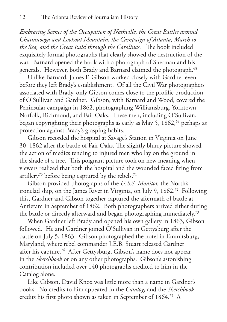*Embracing Scenes of the Occupation of Nashville, the Great Battles around Chattanooga and Lookout Mountain, the Campaign of Atlanta, March to the Sea, and the Great Raid through the Carolinas.* The book included exquisitely formal photographs that clearly showed the destruction of the war. Barnard opened the book with a photograph of Sherman and his generals. However, both Brady and Barnard claimed the photograph.<sup>68</sup>

 Unlike Barnard, James F. Gibson worked closely with Gardner even before they left Brady's establishment. Of all the Civil War photographers associated with Brady, only Gibson comes close to the prolific production of O'Sullivan and Gardner. Gibson, with Barnard and Wood, covered the Peninsular campaign in 1862, photographing Williamsburg, Yorktown, Norfolk, Richmond, and Fair Oaks. These men, including O'Sullivan, began copyrighting their photographs as early as May 5, 1862,<sup>69</sup> perhaps as protection against Brady's grasping habits.

 Gibson recorded the hospital at Savage's Station in Virginia on June 30, 1862 after the battle of Fair Oaks. The slightly blurry picture showed the action of medics tending to injured men who lay on the ground in the shade of a tree. This poignant picture took on new meaning when viewers realized that both the hospital and the wounded faced firing from artillery<sup>70</sup> before being captured by the rebels.<sup>71</sup>

 Gibson provided photographs of the *U.S.S. Monitor,* the North's ironclad ship, on the James River in Virginia, on July 9, 1862.72 Following this, Gardner and Gibson together captured the aftermath of battle at Antietam in September of 1862. Both photographers arrived either during the battle or directly afterward and began photographing immediately.73

 When Gardner left Brady and opened his own gallery in 1863, Gibson followed. He and Gardner joined O'Sullivan in Gettysburg after the battle on July 5, 1863. Gibson photographed the hotel in Emmitsburg, Maryland, where rebel commander J.E.B. Stuart released Gardner after his capture.74 After Gettysburg, Gibson's name does not appear in the *Sketchbook* or on any other photographs. Gibson's astonishing contribution included over 140 photographs credited to him in the Catalog alone.

 Like Gibson, David Knox was little more than a name in Gardner's books. No credits to him appeared in the *Catalog,* and the *Sketchbook*  credits his first photo shown as taken in September of 1864.75 A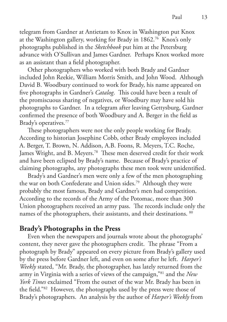telegram from Gardner at Antietam to Knox in Washington put Knox at the Washington gallery, working for Brady in 1862.76 Knox's only photographs published in the *Sketchbook* put him at the Petersburg advance with O'Sullivan and James Gardner. Perhaps Knox worked more as an assistant than a field photographer.

 Other photographers who worked with both Brady and Gardner included John Reekie, William Morris Smith, and John Wood. Although David B. Woodbury continued to work for Brady, his name appeared on five photographs in Gardner's *Catalog*. This could have been a result of the promiscuous sharing of negatives, or Woodbury may have sold his photographs to Gardner. In a telegram after leaving Gettysburg, Gardner confirmed the presence of both Woodbury and A. Berger in the field as Brady's operatives.77

 These photographers were not the only people working for Brady. According to historian Josephine Cobb, other Brady employees included A. Berger, T. Brown, N. Addison, A.B. Foons, R. Meyers, T.C. Roche, James Wright, and B. Meyers.78 These men deserved credit for their work and have been eclipsed by Brady's name. Because of Brady's practice of claiming photographs, any photographs these men took were unidentified.

 Brady's and Gardner's men were only a few of the men photographing the war on both Confederate and Union sides.<sup>79</sup> Although they were probably the most famous, Brady and Gardner's men had competition. According to the records of the Army of the Potomac, more than 300 Union photographers received an army pass. The records include only the names of the photographers, their assistants, and their destinations. 80

## **Brady's Photographs in the Press**

 Even when the newspapers and journals wrote about the photographs' content, they never gave the photographers credit. The phrase "From a photograph by Brady" appeared on every picture from Brady's gallery used by the press before Gardner left, and even on some after he left. *Harper's Weekly* stated, "Mr. Brady, the photographer, has lately returned from the army in Virginia with a series of views of the campaign,"81 and the *New York Times* exclaimed "From the outset of the war Mr. Brady has been in the field."82 However, the photographs used by the press were those of Brady's photographers. An analysis by the author of *Harper's Weekly* from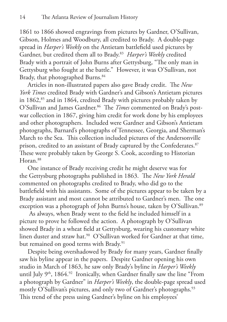1861 to 1866 showed engravings from pictures by Gardner, O'Sullivan, Gibson, Holmes and Woodbury, all credited to Brady. A double-page spread in *Harper's Weekly* on the Antietam battlefield used pictures by Gardner, but credited them all to Brady.83 *Harper's Weekly* credited Brady with a portrait of John Burns after Gettysburg, "The only man in Gettysburg who fought at the battle." However, it was O'Sullivan, not Brady, that photographed Burns.<sup>84</sup>

 Articles in non-illustrated papers also gave Brady credit. The *New York Times* credited Brady with Gardner's and Gibson's Antietam pictures in 1862,<sup>85</sup> and in 1864, credited Brady with pictures probably taken by O'Sullivan and James Gardner.<sup>86</sup> The *Times* commented on Brady's postwar collection in 1867, giving him credit for work done by his employees and other photographers. Included were Gardner and Gibson's Antietam photographs, Barnard's photographs of Tennessee, Georgia, and Sherman's March to the Sea. This collection included pictures of the Andersonville prison, credited to an assistant of Brady captured by the Confederates.<sup>87</sup> These were probably taken by George S. Cook, according to Historian Horan.88

 One instance of Brady receiving credit he might deserve was for the Gettysburg photographs published in 1863. The *New York Herald*  commented on photographs credited to Brady, who did go to the battlefield with his assistants. Some of the pictures appear to be taken by a Brady assistant and most cannot be attributed to Gardner's men. The one exception was a photograph of John Burns's house, taken by O'Sullivan.<sup>89</sup>

 As always, when Brady went to the field he included himself in a picture to prove he followed the action. A photograph by O'Sullivan showed Brady in a wheat field at Gettysburg, wearing his customary white linen duster and straw hat.<sup>90</sup> O'Sullivan worked for Gardner at that time, but remained on good terms with Brady.<sup>91</sup>

 Despite being overshadowed by Brady for many years, Gardner finally saw his byline appear in the papers. Despite Gardner opening his own studio in March of 1863, he saw only Brady's byline in *Harper's Weekly*  until July 9<sup>th</sup>, 1864.<sup>92</sup> Ironically, when Gardner finally saw the line "From a photograph by Gardner" in *Harper's Weekly*, the double-page spread used mostly O'Sullivan's pictures, and only two of Gardner's photographs.<sup>93</sup> This trend of the press using Gardner's byline on his employees'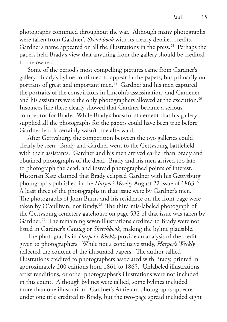photographs continued throughout the war. Although many photographs were taken from Gardner's *Sketchbook* with its clearly detailed credits, Gardner's name appeared on all the illustrations in the press.<sup>94</sup> Perhaps the papers held Brady's view that anything from the gallery should be credited to the owner.

 Some of the period's most compelling pictures came from Gardner's gallery. Brady's byline continued to appear in the papers, but primarily on portraits of great and important men.<sup>95</sup> Gardner and his men captured the portraits of the conspirators in Lincoln's assassination, and Gardener and his assistants were the only photographers allowed at the execution.<sup>96</sup> Instances like these clearly showed that Gardner became a serious competitor for Brady. While Brady's boastful statement that his gallery supplied all the photographs for the papers could have been true before Gardner left, it certainly wasn't true afterward.

 After Gettysburg, the competition between the two galleries could clearly be seen. Brady and Gardner went to the Gettysburg battlefield with their assistants. Gardner and his men arrived earlier than Brady and obtained photographs of the dead. Brady and his men arrived too late to photograph the dead, and instead photographed points of interest. Historian Katz claimed that Brady eclipsed Gardner with his Gettysburg photographs published in the *Harper's Weekly* August 22 issue of 1863.97 A least three of the photographs in that issue were by Gardner's men. The photographs of John Burns and his residence on the front page were taken by O'Sullivan, not Brady.<sup>98</sup> The third mis-labeled photograph of the Gettysburg cemetery gatehouse on page 532 of that issue was taken by Gardner.<sup>99</sup> The remaining seven illustrations credited to Brady were not listed in Gardner's *Catalog* or *Sketchbook*, making the byline plausible.

 The photographs in *Harper's Weekly* provide an analysis of the credit given to photographers. While not a conclusive study, *Harper's Weekly*  reflected the content of the illustrated papers. The author tallied illustrations credited to photographers associated with Brady, printed in approximately 200 editions from 1861 to 1865. Unlabeled illustrations, artist renditions, or other photographer's illustrations were not included in this count. Although bylines were tallied, some bylines included more than one illustration. Gardner's Antietam photographs appeared under one title credited to Brady, but the two-page spread included eight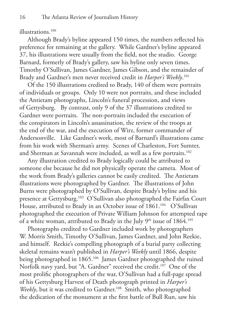#### illustrations.<sup>100</sup>

 Although Brady's byline appeared 150 times, the numbers reflected his preference for remaining at the gallery. While Gardner's byline appeared 37, his illustrations were usually from the field, not the studio. George Barnard, formerly of Brady's gallery, saw his byline only seven times. Timothy O'Sullivan, James Gardner, James Gibson, and the remainder of Brady and Gardner's men never received credit in *Harper's Weekly*. 101

 Of the 150 illustrations credited to Brady, 140 of them were portraits of individuals or groups. Only 10 were not portraits, and these included the Antietam photographs, Lincoln's funeral procession, and views of Gettysburg. By contrast, only 9 of the 37 illustrations credited to Gardner were portraits. The non-portraits included the execution of the conspirators in Lincoln's assassination, the review of the troops at the end of the war, and the execution of Wirz, former commander of Andersonville. Like Gardner's work, most of Barnard's illustrations came from his work with Sherman's army. Scenes of Charleston, Fort Sumter, and Sherman at Savannah were included, as well as a few portraits.<sup>102</sup>

 Any illustration credited to Brady logically could be attributed to someone else because he did not physically operate the camera. Most of the work from Brady's galleries cannot be easily credited. The Antietam illustrations were photographed by Gardner. The illustrations of John Burns were photographed by O'Sullivan, despite Brady's byline and his presence at Gettysburg.103 O'Sullivan also photographed the Fairfax Court House, attributed to Brady in an October issue of 1861.<sup>104</sup> O'Sullivan photographed the execution of Private William Johnson for attempted rape of a white woman, attributed to Brady in the July  $9<sup>th</sup>$  issue of  $1864$ .<sup>105</sup>

 Photographs credited to Gardner included work by photographers W. Morris Smith, Timothy O'Sullivan, James Gardner, and John Reekie, and himself. Reekie's compelling photograph of a burial party collecting skeletal remains wasn't published in *Harper's Weekly* until 1866, despite being photographed in 1865.<sup>106</sup> James Gardner photographed the ruined Norfolk navy yard, but "A. Gardner" received the credit.<sup>107</sup> One of the most prolific photographers of the war, O'Sullivan had a full-page spread of his Gettysburg Harvest of Death photograph printed in *Harper's Weekly*, but it was credited to Gardner.<sup>108</sup> Smith, who photographed the dedication of the monument at the first battle of Bull Run, saw his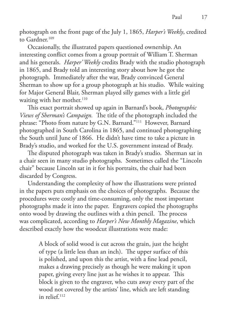photograph on the front page of the July 1, 1865, *Harper's Weekly*, credited to Gardner. $109$ 

 Occasionally, the illustrated papers questioned ownership. An interesting conflict comes from a group portrait of William T. Sherman and his generals. *Harper' Weekly* credits Brady with the studio photograph in 1865, and Brady told an interesting story about how he got the photograph. Immediately after the war, Brady convinced General Sherman to show up for a group photograph at his studio. While waiting for Major General Blair, Sherman played silly games with a little girl waiting with her mother.<sup>110</sup>

 This exact portrait showed up again in Barnard's book, *Photographic Views of Sherman's Campaign.* The title of the photograph included the phrase: "Photo from nature by G.N. Barnard."111 However, Barnard photographed in South Carolina in 1865, and continued photographing the South until June of 1866. He didn't have time to take a picture in Brady's studio, and worked for the U.S. government instead of Brady.

 The disputed photograph was taken in Brady's studio. Sherman sat in a chair seen in many studio photographs. Sometimes called the "Lincoln chair" because Lincoln sat in it for his portraits, the chair had been discarded by Congress.

 Understanding the complexity of how the illustrations were printed in the papers puts emphasis on the choices of photographs. Because the procedures were costly and time-consuming, only the most important photographs made it into the paper. Engravers copied the photographs onto wood by drawing the outlines with a thin pencil. The process was complicated, according to *Harper's New Monthly Magazine*, which described exactly how the woodcut illustrations were made:

> A block of solid wood is cut across the grain, just the height of type (a little less than an inch). The upper surface of this is polished, and upon this the artist, with a fine lead pencil, makes a drawing precisely as though he were making it upon paper, giving every line just as he wishes it to appear. This block is given to the engraver, who cuts away every part of the wood not covered by the artists' line, which are left standing in relief.112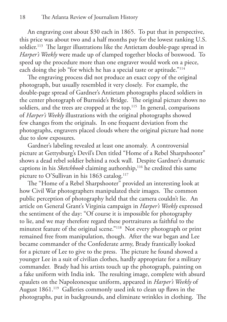An engraving cost about \$30 each in 1865. To put that in perspective, this price was about two and a half months pay for the lowest ranking U.S. soldier.<sup>113</sup> The larger illustrations like the Antietam double-page spread in *Harper's Weekly* were made up of clamped together blocks of boxwood. To speed up the procedure more than one engraver would work on a piece, each doing the job "for which he has a special taste or aptitude."<sup>114</sup>

 The engraving process did not produce an exact copy of the original photograph, but usually resembled it very closely. For example, the double-page spread of Gardner's Antietam photographs placed soldiers in the center photograph of Burnside's Bridge. The original picture shows no soldiers, and the trees are cropped at the top.<sup>115</sup> In general, comparisons of *Harper's Weekly* illustrations with the original photographs showed few changes from the originals. In one frequent deviation from the photographs, engravers placed clouds where the original picture had none due to slow exposures.

 Gardner's labeling revealed at least one anomaly. A controversial picture at Gettysburg's Devil's Den titled "Home of a Rebel Sharpshooter" shows a dead rebel soldier behind a rock wall. Despite Gardner's dramatic captions in his *Sketchbook* claiming authorship,<sup>116</sup> he credited this same picture to O'Sullivan in his 1863 catalog.<sup>117</sup>

 The "Home of a Rebel Sharpshooter" provided an interesting look at how Civil War photographers manipulated their images. The common public perception of photography held that the camera couldn't lie. An article on General Grant's Virginia campaign in *Harper's Weekly* expressed the sentiment of the day: "Of course it is impossible for photography to lie, and we may therefore regard these portraitures as faithful to the minutest feature of the original scene."118 Not every photograph or print remained free from manipulation, though. After the war began and Lee became commander of the Confederate army, Brady frantically looked for a picture of Lee to give to the press. The picture he found showed a younger Lee in a suit of civilian clothes, hardly appropriate for a military commander. Brady had his artists touch up the photograph, painting on a fake uniform with India ink. The resulting image, complete with absurd epaulets on the Napoleonesque uniform, appeared in *Harper's Weekly* of August 1861.<sup>119</sup> Galleries commonly used ink to clean up flaws in the photographs, put in backgrounds, and eliminate wrinkles in clothing. The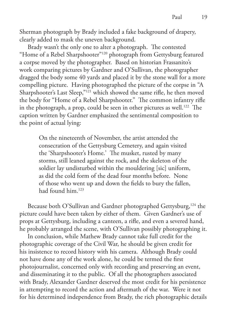Sherman photograph by Brady included a fake background of drapery, clearly added to mask the uneven background.

 Brady wasn't the only one to alter a photograph. The contested "Home of a Rebel Sharpshooter"120 photograph from Gettysburg featured a corpse moved by the photographer. Based on historian Frassanito's work comparing pictures by Gardner and O'Sullivan, the photographer dragged the body some 40 yards and placed it by the stone wall for a more compelling picture. Having photographed the picture of the corpse in "A Sharpshooter's Last Sleep,"121 which showed the same rifle, he then moved the body for "Home of a Rebel Sharpshooter." The common infantry rifle in the photograph, a prop, could be seen in other pictures as well.<sup>122</sup> The caption written by Gardner emphasized the sentimental composition to the point of actual lying:

> On the nineteenth of November, the artist attended the consecration of the Gettysburg Cemetery, and again visited the 'Sharpshooter's Home.' The musket, rusted by many storms, still leaned against the rock, and the skeleton of the soldier lay undisturbed within the mouldering [sic] uniform, as did the cold form of the dead four months before. None of those who went up and down the fields to bury the fallen, had found him.123

Because both O'Sullivan and Gardner photographed Gettysburg,<sup>124</sup> the picture could have been taken by either of them. Given Gardner's use of props at Gettysburg, including a canteen, a rifle, and even a severed hand, he probably arranged the scene, with O'Sullivan possibly photographing it. In conclusion, while Mathew Brady cannot take full credit for the photographic coverage of the Civil War, he should be given credit for his insistence to record history with his camera. Although Brady could not have done any of the work alone, he could be termed the first photojournalist, concerned only with recording and preserving an event, and disseminating it to the public. Of all the photographers associated with Brady, Alexander Gardner deserved the most credit for his persistence

in attempting to record the action and aftermath of the war. Were it not for his determined independence from Brady, the rich photographic details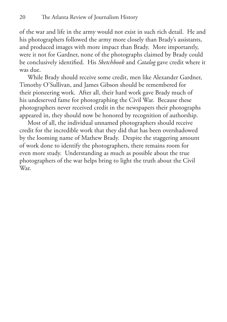of the war and life in the army would not exist in such rich detail. He and his photographers followed the army more closely than Brady's assistants, and produced images with more impact than Brady. More importantly, were it not for Gardner, none of the photographs claimed by Brady could be conclusively identified. His *Sketchbook* and *Catalog* gave credit where it was due.

 While Brady should receive some credit, men like Alexander Gardner, Timothy O'Sullivan, and James Gibson should be remembered for their pioneering work. After all, their hard work gave Brady much of his undeserved fame for photographing the Civil War. Because these photographers never received credit in the newspapers their photographs appeared in, they should now be honored by recognition of authorship.

 Most of all, the individual unnamed photographers should receive credit for the incredible work that they did that has been overshadowed by the looming name of Mathew Brady. Despite the staggering amount of work done to identify the photographers, there remains room for even more study. Understanding as much as possible about the true photographers of the war helps bring to light the truth about the Civil War.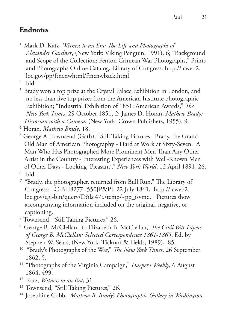# **Endnotes**

1 Mark D. Katz, *Witness to an Era: The Life and Photographs of Alexander Gardner*, (New York: Viking Penguin, 1991), 6; "Background and Scope of the Collection: Fenton Crimean War Photographs," Prints and Photographs Online Catalog, Library of Congress. http://lcweb2. loc.gov/pp/ftncnwhtml/ftncnwback.html

2 Ibid.

<sup>3</sup> Brady won a top prize at the Crystal Palace Exhibition in London, and no less than five top prizes from the American Institute photographic Exhibition; "Industrial Exhibition of 1851: American Awards," *The New York Times*, 29 October 1851, 2; James D. Horan, *Mathew Brady: Historian with a Camera*, (New York: Crown Publishers, 1955), 9.

4 Horan, *Mathew Brady*, 18.

- 5 George A. Townsend (Gath), "Still Taking Pictures. Brady, the Grand Old Man of American Photography - Hard at Work at Sixty-Seven. A Man Who Has Photographed More Prominent Men Than Any Other Artist in the Country - Interesting Experiences with Well-Known Men of Other Days - Looking 'Pleasant'," *New York World*, 12 April 1891, 26. 6 Ibid.
- <sup>7</sup> "Brady, the photographer, returned from Bull Run," The Library of Congress: LC-BH8277- 550[P&P], 22 July 1861, http://lcweb2. loc.gov/cgi-bin/query/D?ils:47:./temp/~pp\_isvm::. Pictures show accompanying information included on the original, negative, or captioning.
- 8 Townsend, "Still Taking Pictures," 26.
- 9 George B. McClellan, 'to Elizabeth B. McClellan,' *The Civil War Papers of George B. McClellan: Selected Correspondence 1861-1865*, Ed. by Stephen W. Sears, (New York: Ticknor & Fields, 1989), 85.
- 10 "Brady's Photographs of the War," *The New York Times*, 26 September 1862, 5.
- 11 "Photographs of the Virginia Campaign," *Harper's Weekly*, 6 August 1864, 499.
- 12 Katz, *Witness to an Era*, 31.
- <sup>13</sup> Townsend, "Still Taking Pictures," 26.
- <sup>14</sup> Josephine Cobb, Mathew B. Brady's Photographic Gallery in Washington,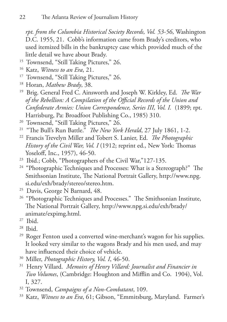*rpt. from the Columbia Historical Society Records, Vol. 53-56*, Washington D.C. 1955, 21. Cobb's information came from Brady's creditors, who used itemized bills in the bankruptcy case which provided much of the little detail we have about Brady.

- <sup>15</sup> Townsend, "Still Taking Pictures," 26.
- 16 Katz, *Witness to an Era*, 21.
- <sup>17</sup> Townsend, "Still Taking Pictures," 26.
- 18 Horan, *Mathew Brady*, 38.
- 19 Brig. General Fred C. Ainsworth and Joseph W. Kirkley, Ed. *The War of the Rebellion: A Compilation of the Official Records of the Union and Confederate Armies: Union Correspondence, Series III, Vol. I.* (1899; rpt. Harrisburg, Pa: Broadfoot Publishing Co., 1985) 310.
- <sup>20</sup> Townsend, "Still Taking Pictures," 26.
- 21 "The Bull's Run Battle." *The New York Herald*, 27 July 1861, 1-2.
- 22 Francis Trevelyn Miller and Tobert S. Lanier, Ed. *The Photographic History of the Civil War, Vol. I* (1912; reprint ed., New York: Thomas Yoseloff, Inc., 1957), 46-50.
- 23 Ibid.; Cobb, "Photographers of the Civil War,"127-135.
- <sup>24</sup> "Photographic Techniques and Processes: What is a Stereograph?" The Smithsonian Institute, The National Portrait Gallery, http://www.npg. si.edu/exh/brady/stereo/stereo.htm.
- <sup>25</sup> Davis, George N Barnard, 48.
- <sup>26</sup> "Photographic Techniques and Processes." The Smithsonian Institute, The National Portrait Gallery, http://www.npg.si.edu/exh/brady/ animate/expimg.html.
- $27$  Ibid.
- 28 Ibid.
- <sup>29</sup> Roger Fenton used a converted wine-merchant's wagon for his supplies. It looked very similar to the wagons Brady and his men used, and may have influenced their choice of vehicle.
- 30 Miller, *Photographic History, Vol. I*, 46-50.
- 31 Henry Villard. *Memoirs of Henry Villard: Journalist and Financier in Two Volumes*, (Cambridge: Houghton and Mifflin and Co. 1904), Vol. I, 327.
- 32 Townsend, *Campaigns of a Non-Combatant*, 109.
- 33 Katz, *Witness to an Era*, 61; Gibson, "Emmitsburg, Maryland. Farmer's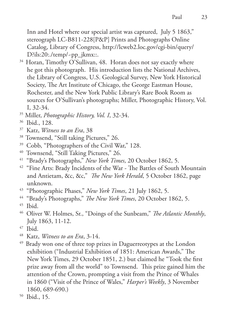23

Inn and Hotel where our special artist was captured, July 5 1863," stereograph LC-B811-228[P&P] Prints and Photographs Online Catalog, Library of Congress, http://lcweb2.loc.gov/cgi-bin/query/ D?ils:20:./temp/~pp\_jkmx::.

- <sup>34</sup> Horan, Timothy O'Sullivan, 48. Horan does not say exactly where he got this photograph. His introduction lists the National Archives, the Library of Congress, U.S. Geological Survey, New York Historical Society, The Art Institute of Chicago, the George Eastman House, Rochester, and the New York Public Library's Rare Book Room as sources for O'Sullivan's photographs; Miller, Photographic History, Vol. I, 32-34.
- 35 Miller, *Photographic History, Vol. I*, 32-34.
- 36 Ibid., 128.
- 37 Katz, *Witness to an Era*, 38
- <sup>38</sup> Townsend, "Still taking Pictures," 26.
- 39 Cobb, "Photographers of the Civil War," 128.
- 40 Townsend, "Still Taking Pictures," 26.
- 41 "Brady's Photographs," *New York Times*, 20 October 1862, 5.
- <sup>42</sup> "Fine Arts: Brady Incidents of the War The Battles of South Mountain and Antietam, &c, &c," *The New York Herald*, 5 October 1862, page unknown.
- 43 "Photographic Phases," *New York Times*, 21 July 1862, 5.
- 44 "Brady's Photographs," *The New York Times*, 20 October 1862, 5.
- 45 Ibid.
- 46 Oliver W. Holmes, Sr., "Doings of the Sunbeam," *The Atlantic Monthly*, July 1863, 11-12.
- 47 Ibid.
- 48 Katz, *Witness to an Era*, 3-14.
- <sup>49</sup> Brady won one of three top prizes in Daguerreotypes at the London exhibition ("Industrial Exhibition of 1851: American Awards," The New York Times, 29 October 1851, 2.) but claimed he "Took the first prize away from all the world" to Townsend. This prize gained him the attention of the Crown, prompting a visit from the Prince of Whales in 1860 ("Visit of the Prince of Wales," *Harper's Weekly*, 3 November 1860, 689-690.)
- 50 Ibid., 15.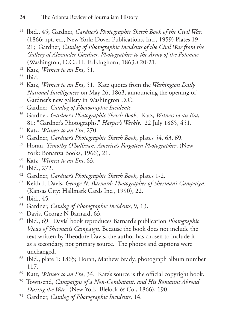- 51 Ibid., 45; Gardner, *Gardner's Photographic Sketch Book of the Civil War*. (1866: rpt. ed., New York: Dover Publications, Inc., 1959) Plates 19 – 21; Gardner, *Catalog of Photographic Incidents of the Civil War from the Gallery of Alexander Gardner, Photographer to the Army of the Potomac.*  (Washington, D.C.: H. Polkinghorn, 1863.) 20-21.
- 52 Katz, *Witness to an Era*, 51.
- 53 Ibid.
- 54 Katz, *Witness to an Era*, 51. Katz quotes from the *Washington Daily National Intelligencer* on May 26, 1863, announcing the opening of Gardner's new gallery in Washington D.C.
- 55 Gardner, *Catalog of Photographic Incidents.*
- 56 Gardner, *Gardner's Photographic Sketch Book*; Katz, *Witness to an Era*, 81; "Gardner's Photographs," *Harper's Weekly*, 22 July 1865, 451.
- 57 Katz, *Witness to an Era*, 270.
- 58 Gardner, *Gardner's Photographic Sketch Book*, plates 54, 63, 69.
- 59 Horan, *Timothy O'Sullivan: America's Forgotten Photographer*, (New York: Bonanza Books, 1966), 21.
- 60 Katz, *Witness to an Era*, 63.
- 61 Ibid., 272.
- 62 Gardner, *Gardner's Photographic Sketch Book*, plates 1-2.
- 63 Keith F. Davis, *George N. Barnard: Photographer of Sherman's Campaign*. (Kansas City: Hallmark Cards Inc., 1990), 22.
- 64 Ibid., 45.
- 65 Gardner, *Catalog of Photographic Incidents*, 9, 13.
- <sup>66</sup> Davis, George N Barnard, 63.
- 67 Ibid., 69. Davis' book reproduces Barnard's publication *Photographic Views of Sherman's Campaign*. Because the book does not include the text written by Theodore Davis, the author has chosen to include it as a secondary, not primary source. The photos and captions were unchanged.
- <sup>68</sup> Ibid., plate 1: 1865; Horan, Mathew Brady, photograph album number 117.
- 69 Katz, *Witness to an Era*, 34. Katz's source is the official copyright book.
- 70 Townsend, *Campaigns of a Non-Combatant, and His Romaunt Abroad During the War.* (New York: Blelock & Co., 1866), 190.
- 71 Gardner, *Catalog of Photographic Incidents*, 14.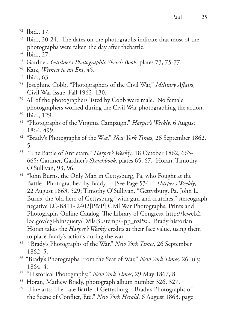- 72 Ibid., 17.
- 73 Ibid., 20-24. The dates on the photographs indicate that most of the photographs were taken the day after thebattle.
- 74 Ibid., 27.
- 75 Gardner, *Gardner's Photographic Sketch Book*, plates 73, 75-77.
- 76 Katz, *Witness to an Era*, 45.
- 77 Ibid., 63.
- 78 Josephine Cobb, "Photographers of the Civil War," *Military Affairs*, Civil War Issue, Fall 1962, 130.
- 79 All of the photographers listed by Cobb were male. No female photographers worked during the Civil War photographing the action.
- 80 Ibid., 129.
- 81 "Photographs of the Virginia Campaign," *Harper's Weekly*, 6 August 1864, 499.
- 82 "Brady's Photographs of the War," *New York Times*, 26 September 1862, 5.
- 83 "The Battle of Antietam," *Harper's Weekly*, 18 October 1862, 663- 665; Gardner, Gardner's *Sketchbook*, plates 65, 67. Horan, Timothy O'Sullivan, 93, 96.
- <sup>84</sup> "John Burns, the Only Man in Gettysburg, Pa. who Fought at the Battle. Photographed by Brady. -- [See Page 534]" *Harper's Weekly*, 22 August 1863, 529; Timothy O'Sullivan, "Gettysburg, Pa. John L. Burns, the 'old hero of Gettysburg,' with gun and crutches," stereograph negative LC-B811- 2402[P&P] Civil War Photographs, Prints and Photographs Online Catalog, The Library of Congress, http://lcweb2. loc.gov/cgi-bin/query/D?ils:3:./temp/~pp\_nzPz::. Brady historian Horan takes the *Harper's Weekly* credits at their face value, using them to place Brady's actions during the war.
- 85 "Brady's Photographs of the War," *New York Times*, 26 September 1862, 5.
- 86 "Brady's Photographs From the Seat of War," *New York Times,* 26 July, 1864, 4.
- 87 "Historical Photography," *New York Times*, 29 May 1867, 8.
- 88 Horan, Mathew Brady, photograph album number 326, 327.
- <sup>89</sup> "Fine arts: The Late Battle of Gettysburg Brady's Photographs of the Scene of Conflict, Etc," *New York Herald*, 6 August 1863, page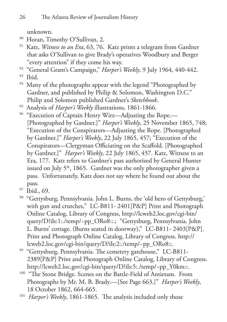unknown.

- 90 Horan, Timothy O'Sullivan, 2.
- 91 Katz, *Witness to an Era*, 63, 76. Katz prints a telegram from Gardner that asks O'Sullivan to give Brady's operatives Woodbury and Berger "every attention" if they come his way.
- 92 "General Grant's Campaign," *Harper's Weekly*, 9 July 1964, 440-442.
- 93 Ibid.
- <sup>94</sup> Many of the photographs appear with the legend "Photographed by Gardner, and published by Philip & Solomon, Washington D.C." Philip and Solomon published Gardner's *Sketchbook*.
- 95 Analysis of *Harper's Weekly* illustrations, 1861-1866.
- <sup>96</sup> "Execution of Captain Henry Wirz—Adjusting the Rope.— [Photographed by Gardner.]" *Harper's Weekly*, 25 November 1865, 748; "Execution of the Conspirators—Adjusting the Rope. [Photographed by Gardner.]" *Harper's Weekly*, 22 July 1865, 457; "Execution of the Conspirators—Clergyman Officiating on the Scaffold. [Photographed by Gardner.]" *Harper's Weekly*, 22 July 1865, 457. Katz, Witness to an Era, 177. Katz refers to Gardner's pass authorized by General Hunter issued on July  $5<sup>th</sup>$ , 1865. Gardner was the only photographer given a pass. Unfortunately, Katz does not say where he found out about the pass.
- 97 Ibid., 69.
- <sup>98</sup> "Gettysburg, Pennsylvania. John L. Burns, the 'old hero of Gettysburg,' with gun and crutches," LC-B811- 2401[P&P] Print and Photograph Online Catalog, Library of Congress, http://lcweb2.loc.gov/cgi-bin/ query/D?ils:1:./temp/~pp\_ORo8::.; "Gettysburg, Pennsylvania. John L. Burns' cottage. (Burns seated in doorway)," LC-B811- 2403[P&P]. Print and Photograph Online Catalog, Library of Congress. http:// lcweb2.loc.gov/cgi-bin/query/D?ils:2:./temp/~pp\_ORo8::.
- <sup>99</sup> "Gettysburg, Pennsylvania. The cemetery gatehouse," LC-B811-2389[P&P] Print and Photograph Online Catalog, Library of Congress. http://lcweb2.loc.gov/cgi-bin/query/D?ils:5:./temp/~pp\_Y0km::.
- <sup>100</sup> "The Stone Bridge. Scenes on the Battle-Field of Antietam. From Photographs by Mr. M. B. Brady.—[See Page 663.]" *Harper's Weekly*, 18 October 1862, 664-665.
- 101 *Harper's Weekly*, 1861-1865. The analysis included only those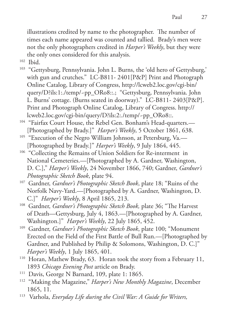27

illustrations credited by name to the photographer. The number of times each name appeared was counted and tallied. Brady's men were not the only photographers credited in *Harper's Weekly*, but they were the only ones considered for this analysis.

- 102 Ibid.
- <sup>103</sup> "Gettysburg, Pennsylvania. John L. Burns, the 'old hero of Gettysburg,' with gun and crutches." LC-B811- 2401[P&P] Print and Photograph Online Catalog, Library of Congress, http://lcweb2.loc.gov/cgi-bin/ query/D?ils:1:./temp/~pp\_ORo8::.; "Gettysburg, Pennsylvania. John L. Burns' cottage. (Burns seated in doorway)." LC-B811- 2403[P&P]. Print and Photograph Online Catalog, Library of Congress. http:// lcweb2.loc.gov/cgi-bin/query/D?ils:2:./temp/~pp\_ORo8::.
- <sup>104</sup> "Fairfax Court House, the Rebel Gen. Bonham's Head-quarters.-[Photographed by Brady.]" *Harper's Weekly*, 5 October 1861, 638.
- <sup>105</sup> "Execution of the Negro William Johnson, at Petersburg, Va.-[Photographed by Brady.]" *Harper's Weekly*, 9 July 1864, 445.
- <sup>106</sup> "Collecting the Remains of Union Soldiers for Re-interment in National Cemeteries.—[Photographed by A. Gardner, Washington, D. C.]," *Harper's Weekly*, 24 November 1866, 740; Gardner, *Gardner's Photographic Sketch Book*, plate 94.
- 107 Gardner, *Gardner's Photographic Sketch Book*, plate 18; "Ruins of the Norfolk Navy-Yard.—[Photographed by A. Gardner, Washington, D. C.]" *Harper's Weekly*, 8 April 1865, 213.
- 108 Gardner, *Gardner's Photographic Sketch Book,* plate 36; "The Harvest of Death—Gettysburg, July 4, 1863.—[Photographed by A. Gardner, Washington.]" *Harper's Weekly*, 22 July 1865, 452.
- 109 Gardner, *Gardner's Photographic Sketch Book*, plate 100; "Monument Erected on the Field of the First Battle of Bull Run.—[Photographed by Gardner, and Published by Philip & Solomons, Washington, D. C.]" *Harper's Weekly*, 1 July 1865, 401.
- <sup>110</sup> Horan, Mathew Brady, 63. Horan took the story from a February 11,
- <sup>1893</sup>*Chicago Evening Post* article on Brady. 111 Davis, George N Barnard, 109, plate 1: 1865.
- 112 "Making the Magazine," *Harper's New Monthly Magazine*, December 1865, 11.
- 113 Varhola, *Everyday Life during the Civil War: A Guide for Writers,*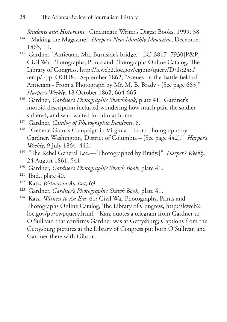*Students and Historians*. Cincinnati: Writer's Digest Books, 1999, 38.

- 114 "Making the Magazine," *Harper's New Monthly Magazine*, December 1865, 11.
- 115 Gardner, "Antietam, Md. Burnside's bridge." LC-B817- 7930[P&P] Civil War Photographs, Prints and Photographs Online Catalog, The Library of Congress, http://lcweb2.loc.gov/cgibin/query/D?ils:24:./ temp/~pp\_OOD8::. September 1862; "Scenes on the Battle-field of Antietam - From a Photograph by Mr. M. B. Brady - [See page 663]" *Harper's Weekly*, 18 October 1862, 664-665.
- 116 Gardner, *Gardner's Photographic Sketchbook*, plate 41. Gardner's morbid description included wondering how much pain the soldier suffered, and who waited for him at home.
- 117 Gardner, *Catalog of Photographic Incidents*, 8.
- <sup>118</sup> "General Grant's Campaign in Virginia From photographs by Gardner, Washington, District of Columbia – [See page 442]." *Harper's Weekly*, 9 July 1864, 442.
- 119 "The Rebel General Lee.—[Photographed by Brady.]" *Harper's Weekly*, 24 August 1861, 541.
- 120 Gardner, *Gardner's Photographic Sketch Book*, plate 41.
- $121$  Ibid., plate 40.
- 122 Katz, *Witness to An Era*, 69.
- 123 Gardner, *Gardner's Photographic Sketch Book*, plate 41.
- 124 Katz, *Witness to An Era*, 61; Civil War Photographs, Prints and Photographs Online Catalog, The Library of Congress, http://lcweb2. loc.gov/pp/cwpquery.html. Katz quotes a telegram from Gardner to O'Sullivan that confirms Gardner was at Gettysburg; Captions from the Gettysburg pictures at the Library of Congress put both O'Sullivan and Gardner there with Gibson.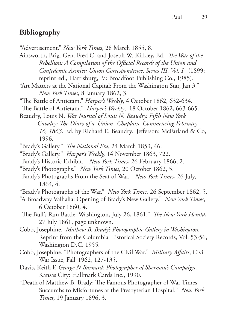# **Bibliography**

"Advertisement." *New York Times*, 28 March 1855, 8.

Ainsworth, Brig. Gen. Fred C. and Joseph W. Kirkley, Ed. *The War of the Rebellion: A Compilation of the Official Records of the Union and Confederate Armies: Union Correspondence, Series III, Vol. I.* (1899; reprint ed., Harrisburg, Pa: Broadfoot Publishing Co., 1985).

"Art Matters at the National Capital: From the Washington Star, Jan 3." *New York Times*, 8 January 1862, 3.

"The Battle of Antietam." *Harper's Weekly*, 4 October 1862, 632-634.

"The Battle of Antietam." *Harper's Weekly*, 18 October 1862, 663-665.

Beaudry, Louis N. *War Journal of Louis N. Beaudry, Fifth New York Cavalry: The Diary of a Union Chaplain, Commencing February 16, 1863*. Ed. by Richard E. Beaudry. Jefferson: McFarland & Co, 1996.

"Brady's Gallery." *The National Era*, 24 March 1859, 46.

"Brady's Gallery." *Harper's Weekly,* 14 November 1863, 722.

"Brady's Historic Exhibit." *New York Times*, 26 February 1866, 2.

"Brady's Photographs." *New York Times*, 20 October 1862, 5.

"Brady's Photographs From the Seat of War." *New York Times*, 26 July, 1864, 4.

"Brady's Photographs of the War." *New York Times*, 26 September 1862, 5.

"A Broadway Valhalla: Opening of Brady's New Gallery." *New York Times*, 6 October 1860, 4.

"The Bull's Run Battle: Washington, July 26, 1861." *The New York Herald*, 27 July 1861, page unknown.

Cobb, Josephine. *Mathew B. Brady's Photographic Gallery in Washington.*  Reprint from the Columbia Historical Society Records, Vol. 53-56, Washington D.C. 1955.

Cobb, Josephine. "Photographers of the Civil War." *Military Affairs*, Civil War Issue, Fall 1962, 127-135.

Davis, Keith F. *George N Barnard: Photographer of Sherman's Campaign*. Kansas City: Hallmark Cards Inc., 1990.

"Death of Matthew B. Brady: The Famous Photographer of War Times Succumbs to Misfortunes at the Presbyterian Hospital." *New York Times*, 19 January 1896, 3.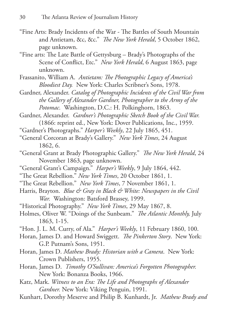- "Fine Arts: Brady Incidents of the War The Battles of South Mountain and Antietam, &c, &c." *The New York Herald*, 5 October 1862, page unknown.
- "Fine arts: The Late Battle of Gettysburg Brady's Photographs of the Scene of Conflict, Etc." *New York Herald*, 6 August 1863, page unknown.
- Frassanito, William A. *Antietam: The Photographic Legacy of America's Bloodiest Day.* New York: Charles Scribner's Sons, 1978.
- Gardner, Alexander. *Catalog of Photographic Incidents of the Civil War from the Gallery of Alexander Gardner, Photographer to the Army of the Potomac.* Washington, D.C.: H. Polkinghorn, 1863.
- Gardner, Alexander. *Gardner's Photographic Sketch Book of the Civil War.* (1866: reprint ed., New York: Dover Publications, Inc., 1959.
- "Gardner's Photographs." *Harper's Weekly*, 22 July 1865, 451.
- "General Corcoran at Brady's Gallery." *New York Times*, 24 August 1862, 6.
- "General Grant at Brady Photographic Gallery." *The New York Herald*, 24 November 1863, page unknown.
- "General Grant's Campaign." *Harper's Weekly*, 9 July 1864, 442.
- "The Great Rebellion." *New York Times*, 20 October 1861, 1.
- "The Great Rebellion." *New York Times*, 7 November 1861, 1.
- Harris, Brayton. *Blue & Gray in Black & White: Newspapers in the Civil War.* Washington: Batsford Brassey, 1999.
- "Historical Photography." *New York Times*, 29 May 1867, 8.
- Holmes, Oliver W. "Doings of the Sunbeam." *The Atlantic Monthly,* July 1863, 1-15.
- "Hon. J. L. M. Curry, of Ala." *Harper's Weekly*, 11 February 1860, 100.
- Horan, James D. and Howard Swiggett. *The Pinkerton Story*. New York: G.P. Putnam's Sons, 1951.
- Horan, James D. *Mathew Brady: Historian with a Camera*. New York: Crown Publishers, 1955.
- Horan, James D. *Timothy O'Sullivan: America's Forgotten Photographer.* New York: Bonanza Books, 1966.
- Katz, Mark. *Witness to an Era: The Life and Photographs of Alexander Gardner.* New York: Viking Penguin, 1991.
- Kunhart, Dorothy Meserve and Philip B. Kunhardt, Jr. *Mathew Brady and*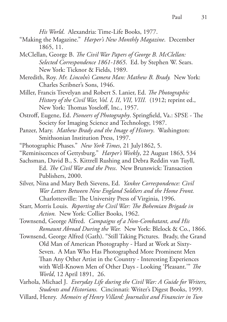*His World*. Alexandria: Time-Life Books, 1977.

- "Making the Magazine." *Harper's New Monthly Magazine*. December 1865, 11.
- McClellan, George B. *The Civil War Papers of George B. McClellan: Selected Correspondence 1861-1865*. Ed. by Stephen W. Sears. New York: Ticknor & Fields, 1989.
- Meredith, Roy. *Mr. Lincoln's Camera Man: Mathew B. Brady.* New York: Charles Scribner's Sons, 1946.
- Miller, Francis Trevelyan and Robert S. Lanier, Ed. *The Photographic History of the Civil War, Vol. I, II, VII, VIII.* (1912; reprint ed., New York: Thomas Yoseloff, Inc., 1957.
- Ostroff, Eugene, Ed. *Pioneers of Photography*. Springfield, Va.: SPSE The Society for Imaging Science and Technology, 1987.
- Panzer, Mary. *Mathew Brady and the Image of History*. Washington: Smithsonian Institution Press, 1997.
- "Photographic Phases." *New York Times*, 21 July1862, 5.
- "Reminiscences of Gettysburg." *Harper's Weekly*, 22 August 1863, 534
- Sachsman, David B., S. Kittrell Rushing and Debra Reddin van Tuyll, Ed. *The Civil War and the Press*. New Brunswick: Transaction Publishers, 2000.
- Silver, Nina and Mary Beth Sievens, Ed. *Yankee Correspondence: Civil War Letters Between New England Soldiers and the Home Front.* Charlottesville: The University Press of Virginia, 1996.
- Starr, Morris Louis. *Reporting the Civil War: The Bohemian Brigade in Action.* New York: Collier Books, 1962.
- Townsend, George Alfred. *Campaigns of a Non-Combatant, and His Romaunt Abroad During the War.* New York: Blelock & Co., 1866.
- Townsend, George Alfred (Gath). "Still Taking Pictures. Brady, the Grand Old Man of American Photography - Hard at Work at Sixty-Seven. A Man Who Has Photographed More Prominent Men Than Any Other Artist in the Country - Interesting Experiences with Well-Known Men of Other Days - Looking 'Pleasant.'" *The World*, 12 April 1891, 26.
- Varhola, Michael J. *Everyday Life during the Civil War: A Guide for Writers, Students and Historians.* Cincinnati: Writer's Digest Books, 1999.
- Villard, Henry. *Memoirs of Henry Villard: Journalist and Financier in Two*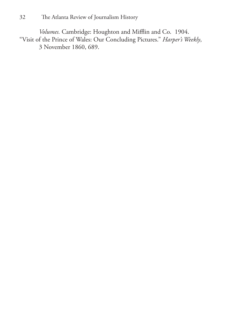*Volumes.* Cambridge: Houghton and Mifflin and Co. 1904. "Visit of the Prince of Wales: Our Concluding Pictures." *Harper's Weekly*, 3 November 1860, 689.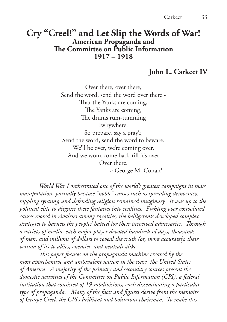# **Cry "Creel!" and Let Slip the Words of War! American Propaganda and The Committee on Public Information 1917 – 1918**

#### **John L. Carkeet IV**

Over there, over there, Send the word, send the word over there - That the Yanks are coming, The Yanks are coming, The drums rum-tumming Ev'rywhere. So prepare, say a pray'r, Send the word, send the word to beware. We'll be over, we're coming over, And we won't come back till it's over Over there.  $\sim$  George M. Cohan<sup>1</sup>

*World War I orchestrated one of the world's greatest campaigns in mass manipulation, partially because "noble" causes such as spreading democracy, toppling tyranny, and defending religion remained imaginary. It was up to the political elite to disguise these fantasies into realities. Fighting over convoluted causes rooted in rivalries among royalties, the belligerents developed complex strategies to harness the peoples' hatred for their perceived adversaries. Through a variety of media, each major player devoted hundreds of days, thousands of men, and millions of dollars to reveal the truth (or, more accurately, their version of it) to allies, enemies, and neutrals alike.* 

*This paper focuses on the propaganda machine created by the most apprehensive and ambivalent nation in the war: the United States of America. A majority of the primary and secondary sources present the domestic activities of the Committee on Public Information (CPI), a federal*  institution that consisted of 19 subdivisions, each disseminating a particular *type of propaganda. Many of the facts and figures derive from the memoirs of George Creel, the CPI's brilliant and boisterous chairman. To make this*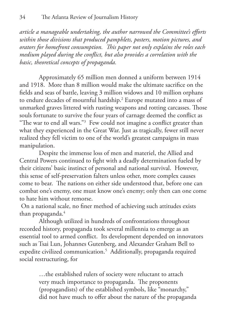*article a manageable undertaking, the author narrowed the Committee's efforts within those divisions that produced pamphlets, posters, motion pictures, and orators for homefront consumption. This paper not only explains the roles each medium played during the conflict, but also provides a correlation with the basic, theoretical concepts of propaganda.* 

Approximately 65 million men donned a uniform between 1914 and 1918. More than 8 million would make the ultimate sacrifice on the fields and seas of battle, leaving 3 million widows and 10 million orphans to endure decades of mournful hardship.2 Europe mutated into a mass of unmarked graves littered with rusting weapons and rotting carcasses. Those souls fortunate to survive the four years of carnage deemed the conflict as "The war to end all wars."3 Few could not imagine a conflict greater than what they experienced in the Great War. Just as tragically, fewer still never realized they fell victim to one of the world's greatest campaigns in mass manipulation.

Despite the immense loss of men and materiel, the Allied and Central Powers continued to fight with a deadly determination fueled by their citizens' basic instinct of personal and national survival. However, this sense of self-preservation falters unless other, more complex causes come to bear. The nations on either side understood that, before one can combat one's enemy, one must know one's enemy; only then can one come to hate him without remorse.

 On a national scale, no finer method of achieving such attitudes exists than propaganda.<sup>4</sup>

Although utilized in hundreds of confrontations throughout recorded history, propaganda took several millennia to emerge as an essential tool to armed conflict. Its development depended on innovators such as Tsai Lun, Johannes Gutenberg, and Alexander Graham Bell to expedite civilized communication.5 Additionally, propaganda required social restructuring, for

> …the established rulers of society were reluctant to attach very much importance to propaganda. The proponents (propagandists) of the established symbols, like "monarchy," did not have much to offer about the nature of the propaganda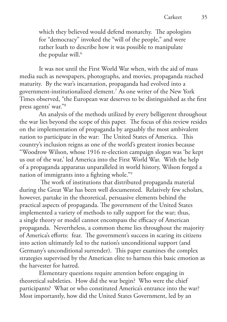which they believed would defend monarchy. The apologists for "democracy" invoked the "will of the people," and were rather loath to describe how it was possible to manipulate the popular will.<sup>6</sup>

It was not until the First World War when, with the aid of mass media such as newspapers, photographs, and movies, propaganda reached maturity. By the war's incarnation, propaganda had evolved into a government-institutionalized element.7 As one writer of the New York Times observed, "the European war deserves to be distinguished as the first press agents' war."8

An analysis of the methods utilized by every belligerent throughout the war lies beyond the scope of this paper. The focus of this review resides on the implementation of propaganda by arguably the most ambivalent nation to participate in the war: The United States of America. This country's inclusion reigns as one of the world's greatest ironies because "Woodrow Wilson, whose 1916 re-election campaign slogan was 'he kept us out of the war,' led America into the First World War. With the help of a propaganda apparatus unparalleled in world history, Wilson forged a nation of immigrants into a fighting whole."9

 The work of institutions that distributed propaganda material during the Great War has been well documented. Relatively few scholars, however, partake in the theoretical, persuasive elements behind the practical aspects of propaganda. The government of the United States implemented a variety of methods to rally support for the war; thus, a single theory or model cannot encompass the efficacy of American propaganda. Nevertheless, a common theme lies throughout the majority of America's efforts: fear. The government's success in scaring its citizens into action ultimately led to the nation's unconditional support (and Germany's unconditional surrender). This paper examines the complex strategies supervised by the American elite to harness this basic emotion as the harvester for hatred.

Elementary questions require attention before engaging in theoretical subtleties. How did the war begin? Who were the chief participants? What or who constituted America's entrance into the war? Most importantly, how did the United States Government, led by an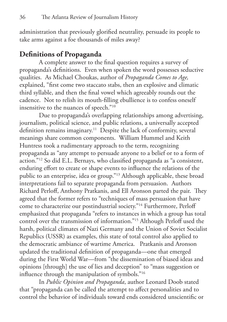administration that previously glorified neutrality, persuade its people to take arms against a foe thousands of miles away?

### **Definitions of Propaganda**

A complete answer to the final question requires a survey of propaganda's definitions. Even when spoken the word possesses seductive qualities. As Michael Choukas, author of *Propaganda Comes to Age,* explained, "first come two staccato stabs, then an explosive and climatic third syllable, and then the final vowel which agreeably rounds out the cadence. Not to relish its mouth-filling ebullience is to confess oneself insensitive to the nuances of speech."10

Due to propaganda's overlapping relationships among advertising, journalism, political science, and public relations, a universally accepted definition remains imaginary.<sup>11</sup> Despite the lack of conformity, several meanings share common components. William Hummel and Keith Huntress took a rudimentary approach to the term, recognizing propaganda as "any attempt to persuade anyone to a belief or to a form of action."12 So did E.L. Bernays, who classified propaganda as "a consistent, enduring effort to create or shape events to influence the relations of the public to an enterprise, idea or group."13 Although applicable, these broad interpretations fail to separate propaganda from persuasion. Authors Richard Perloff, Anthony Pratkanis, and Ell Aronson parted the pair. They agreed that the former refers to "techniques of mass persuasion that have come to characterize our postindustrial society."14 Furthermore, Perloff emphasized that propaganda "refers to instances in which a group has total control over the transmission of information."15 Although Perloff used the harsh, political climates of Nazi Germany and the Union of Soviet Socialist Republics (USSR) as examples, this state of total control also applied to the democratic ambiance of wartime America. Pratkanis and Aronson updated the traditional definition of propaganda—one that emerged during the First World War—from "the dissemination of biased ideas and opinions [through] the use of lies and deception" to "mass suggestion or influence through the manipulation of symbols."16

In *Public Opinion and Propaganda*, author Leonard Doob stated that "propaganda can be called the attempt to affect personalities and to control the behavior of individuals toward ends considered unscientific or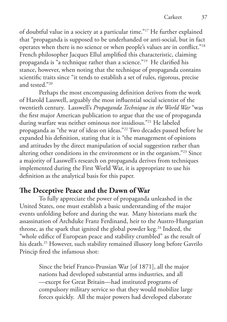of doubtful value in a society at a particular time."17 He further explained that "propaganda is supposed to be underhanded or anti-social, but in fact operates when there is no science or when people's values are in conflict."18 French philosopher Jacques Ellul amplified this characteristic, claiming propaganda is "a technique rather than a science."19 He clarified his stance, however, when noting that the technique of propaganda contains scientific traits since "it tends to establish a set of rules, rigorous, precise and tested."<sup>20</sup>

Perhaps the most encompassing definition derives from the work of Harold Lasswell, arguably the most influential social scientist of the twentieth century. Lasswell's *Propaganda Technique in the World War* "was the first major American publication to argue that the use of propaganda during warfare was neither ominous nor insidious."21 He labeled propaganda as "the war of ideas on ideas."22 Two decades passed before he expanded his definition, stating that it is "the management of opinions and attitudes by the direct manipulation of social suggestion rather than altering other conditions in the environment or in the organism."23 Since a majority of Lasswell's research on propaganda derives from techniques implemented during the First World War, it is appropriate to use his definition as the analytical basis for this paper.

### **The Deceptive Peace and the Dawn of War**

To fully appreciate the power of propaganda unleashed in the United States, one must establish a basic understanding of the major events unfolding before and during the war. Many historians mark the assassination of Archduke Franz Ferdinand, heir to the Austro-Hungarian throne, as the spark that ignited the global powder keg.<sup>24</sup> Indeed, the "whole edifice of European peace and stability crumbled" as the result of his death.<sup>25</sup> However, such stability remained illusory long before Gavrilo Princip fired the infamous shot:

> Since the brief Franco-Prussian War [of 1871], all the major nations had developed substantial arms industries, and all —except for Great Britain—had instituted programs of compulsory military service so that they would mobilize large forces quickly. All the major powers had developed elaborate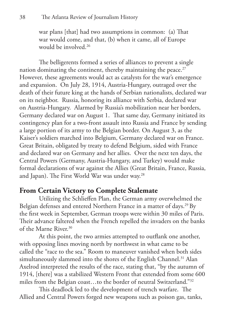war plans [that] had two assumptions in common: (a) That war would come, and that, (b) when it came, all of Europe would be involved.26

The belligerents formed a series of alliances to prevent a single nation dominating the continent, thereby maintaining the peace. $27$ However, these agreements would act as catalysts for the war's emergence and expansion. On July 28, 1914, Austria-Hungary, outraged over the death of their future king at the hands of Serbian nationalists, declared war on its neighbor. Russia, honoring its alliance with Serbia, declared war on Austria-Hungary. Alarmed by Russia's mobilization near her borders, Germany declared war on August 1. That same day, Germany initiated its contingency plan for a two-front assault into Russia and France by sending a large portion of its army to the Belgian border. On August 3, as the Kaiser's soldiers marched into Belgium, Germany declared war on France. Great Britain, obligated by treaty to defend Belgium, sided with France and declared war on Germany and her allies. Over the next ten days, the Central Powers (Germany, Austria-Hungary, and Turkey) would make formal declarations of war against the Allies (Great Britain, France, Russia, and Japan). The First World War was under way.<sup>28</sup>

#### **From Certain Victory to Complete Stalemate**

Utilizing the Schlieffen Plan, the German army overwhelmed the Belgian defenses and entered Northern France in a matter of days.<sup>29</sup> By the first week in September, German troops were within 30 miles of Paris. Their advance faltered when the French repelled the invaders on the banks of the Marne River.<sup>30</sup>

At this point, the two armies attempted to outflank one another, with opposing lines moving north by northwest in what came to be called the "race to the sea." Room to maneuver vanished when both sides simultaneously slammed into the shores of the English Channel.<sup>31</sup> Alan Axelrod interpreted the results of the race, stating that, "by the autumn of 1914, [there] was a stabilized Western Front that extended from some 600 miles from the Belgian coast…to the border of neutral Switzerland."32

This deadlock led to the development of trench warfare. The Allied and Central Powers forged new weapons such as poison gas, tanks,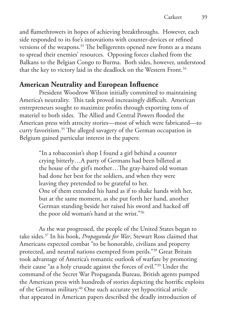and flamethrowers in hopes of achieving breakthroughs. However, each side responded to its foe's innovations with counter-devices or refined versions of the weapons.<sup>33</sup> The belligerents opened new fronts as a means to spread their enemies' resources. Opposing forces clashed from the Balkans to the Belgian Congo to Burma. Both sides, however, understood that the key to victory laid in the deadlock on the Western Front.<sup>34</sup>

### **American Neutrality and European Influence**

President Woodrow Wilson initially committed to maintaining America's neutrality. This task proved increasingly difficult. American entrepreneurs sought to maximize profits through exporting tons of materiel to both sides. The Allied and Central Powers flooded the American press with atrocity stories—most of which were fabricated—to curry favoritism.35 The alleged savagery of the German occupation in Belgium gained particular interest in the papers:

> "In a tobacconist's shop I found a girl behind a counter crying bitterly…A party of Germans had been billeted at the house of the girl's mother…The gray-haired old woman had done her best for the soldiers, and when they were leaving they pretended to be grateful to her. One of them extended his hand as if to shake hands with her, but at the same moment, as she put forth her hand, another German standing beside her raised his sword and hacked off the poor old woman's hand at the wrist."36

As the war progressed, the people of the United States began to take sides.37 In his book, *Propaganda for War*, Stewart Ross claimed that Americans expected combat "to be honorable, civilians and property protected, and neutral nations exempted from perils."38 Great Britain took advantage of America's romantic outlook of warfare by promoting their cause "as a holy crusade against the forces of evil."39 Under the command of the Secret War Propaganda Bureau, British agents pumped the American press with hundreds of stories depicting the horrific exploits of the German military.40 One such accurate yet hypocritical article that appeared in American papers described the deadly introduction of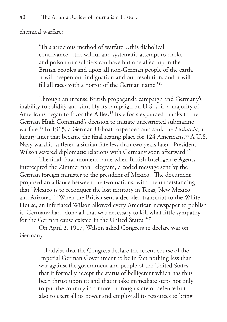chemical warfare:

'This atrocious method of warfare…this diabolical contrivance…the willful and systematic attempt to choke and poison our soldiers can have but one affect upon the British peoples and upon all non-German people of the earth. It will deepen our indignation and our resolution, and it will fill all races with a horror of the German name.<sup>'41</sup>

Through an intense British propaganda campaign and Germany's inability to solidify and simplify its campaign on U.S. soil, a majority of Americans began to favor the Allies.<sup>42</sup> Its efforts expanded thanks to the German High Command's decision to initiate unrestricted submarine warfare.43 In 1915, a German U-boat torpedoed and sank the *Lusitania*, a luxury liner that became the final resting place for 124 Americans.<sup>44</sup> A U.S. Navy warship suffered a similar fate less than two years later. President Wilson severed diplomatic relations with Germany soon afterward.<sup>45</sup>

The final, fatal moment came when British Intelligence Agents intercepted the Zimmerman Telegram, a coded message sent by the German foreign minister to the president of Mexico. The document proposed an alliance between the two nations, with the understanding that "Mexico is to reconquer the lost territory in Texas, New Mexico and Arizona."46 When the British sent a decoded transcript to the White House, an infuriated Wilson allowed every American newspaper to publish it. Germany had "done all that was necessary to kill what little sympathy for the German cause existed in the United States."47

On April 2, 1917, Wilson asked Congress to declare war on Germany:

> …I advise that the Congress declare the recent course of the Imperial German Government to be in fact nothing less than war against the government and people of the United States; that it formally accept the status of belligerent which has thus been thrust upon it; and that it take immediate steps not only to put the country in a more thorough state of defence but also to exert all its power and employ all its resources to bring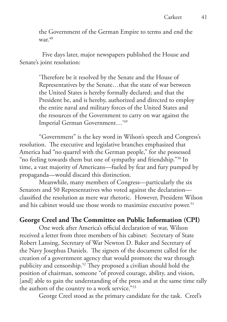the Government of the German Empire to terms and end the war. $48$ 

 Five days later, major newspapers published the House and Senate's joint resolution:

> 'Therefore be it resolved by the Senate and the House of Representatives by the Senate…that the state of war between the United States is hereby formally declared; and that the President be, and is hereby, authorized and directed to employ the entire naval and military forces of the United States and the resources of the Government to carry on war against the Imperial German Government…'49

"Government" is the key word in Wilson's speech and Congress's resolution. The executive and legislative branches emphasized that America had "no quarrel with the German people," for she possessed "no feeling towards them but one of sympathy and friendship."50 In time, a vast majority of Americans—fueled by fear and fury pumped by propaganda—would discard this distinction.

Meanwhile, many members of Congress—particularly the six Senators and 50 Representatives who voted against the declaration classified the resolution as mere war rhetoric. However, President Wilson and his cabinet would use those words to maximize executive power.<sup>51</sup>

#### **George Creel and The Committee on Public Information (CPI)**

One week after America's official declaration of war, Wilson received a letter from three members of his cabinet: Secretary of State Robert Lansing, Secretary of War Newton D. Baker and Secretary of the Navy Josephus Daniels. The signers of the document called for the creation of a government agency that would promote the war through publicity and censorship.52 They proposed a civilian should hold the position of chairman, someone "of proved courage, ability, and vision, [and] able to gain the understanding of the press and at the same time rally the authors of the country to a work service."<sup>53</sup>

George Creel stood as the primary candidate for the task. Creel's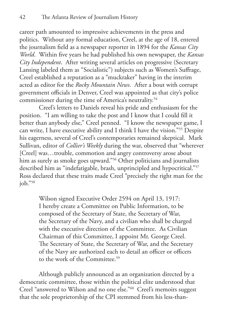career path amounted to impressive achievements in the press and politics. Without any formal education, Creel, at the age of 18, entered the journalism field as a newspaper reporter in 1894 for the *Kansas City World*. Within five years he had published his own newspaper, the *Kansas City Independent*. After writing several articles on progressive (Secretary Lansing labeled them as "Socialistic") subjects such as Women's Suffrage, Creel established a reputation as a "muckraker" having in the interim acted as editor for the *Rocky Mountain News*. After a bout with corrupt government officials in Denver, Creel was appointed as that city's police commissioner during the time of America's neutrality.<sup>54</sup>

Creel's letters to Daniels reveal his pride and enthusiasm for the position. "I am willing to take the post and I know that I could fill it better than anybody else," Creel penned. "I know the newspaper game, I can write, I have executive ability and I think I have the vision."55 Despite his eagerness, several of Creel's contemporaries remained skeptical. Mark Sullivan, editor of *Collier's Weekly* during the war, observed that "wherever [Creel] was...trouble, commotion and angry controversy arose about him as surely as smoke goes upward."<sup>56</sup> Other politicians and journalists described him as "indefatigable, brash, unprincipled and hypocritical."57 Ross declared that these traits made Creel "precisely the right man for the job."58

> Wilson signed Executive Order 2594 on April 13, 1917: I hereby create a Committee on Public Information, to be composed of the Secretary of State, the Secretary of War, the Secretary of the Navy, and a civilian who shall be charged with the executive direction of the Committee. As Civilian Chairman of this Committee, I appoint Mr. George Creel. The Secretary of State, the Secretary of War, and the Secretary of the Navy are authorized each to detail an officer or officers to the work of the Committee.<sup>59</sup>

Although publicly announced as an organization directed by a democratic committee, those within the political elite understood that Creel "answered to Wilson and no one else."60 Creel's memoirs suggest that the sole proprietorship of the CPI stemmed from his less-than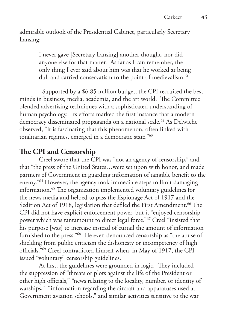admirable outlook of the Presidential Cabinet, particularly Secretary Lansing:

> I never gave [Secretary Lansing] another thought, nor did anyone else for that matter. As far as I can remember, the only thing I ever said about him was that he worked at being dull and carried conservatism to the point of medievalism.<sup>61</sup>

 Supported by a \$6.85 million budget, the CPI recruited the best minds in business, media, academia, and the art world. The Committee blended advertising techniques with a sophisticated understanding of human psychology. Its efforts marked the first instance that a modern democracy disseminated propaganda on a national scale.<sup>62</sup> As Delwiche observed, "it is fascinating that this phenomenon, often linked with totalitarian regimes, emerged in a democratic state."63

### **The CPI and Censorship**

Creel swore that the CPI was "not an agency of censorship," and that "the press of the United States…were set upon with honor, and made partners of Government in guarding information of tangible benefit to the enemy."64 However, the agency took immediate steps to limit damaging information.65 The organization implemented voluntary guidelines for the news media and helped to pass the Espionage Act of 1917 and the Sedition Act of 1918, legislation that defiled the First Amendment.<sup>66</sup> The CPI did not have explicit enforcement power, but it "enjoyed censorship power which was tantamount to direct legal force."67 Creel "insisted that his purpose [was] to increase instead of curtail the amount of information furnished to the press."68 He even denounced censorship as "the abuse of shielding from public criticism the dishonesty or incompetency of high officials."69 Creel contradicted himself when, in May of 1917, the CPI issued "voluntary" censorship guidelines.

At first, the guidelines were grounded in logic. They included the suppression of "threats or plots against the life of the President or other high officials," "news relating to the locality, number, or identity of warships," "information regarding the aircraft and apparatuses used at Government aviation schools," and similar activities sensitive to the war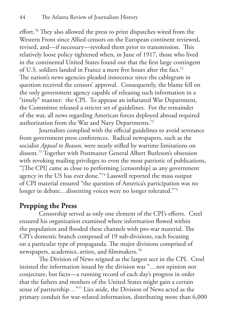effort.70 They also allowed the press to print dispatches wired from the Western Front since Allied censors on the European continent reviewed, revised, and—if necessary—revoked them prior to transmission. This relatively loose policy tightened when, in June of 1917, those who lived in the continental United States found out that the first large contingent of U.S. soldiers landed in France a mere five hours after the fact.<sup>71</sup> The nation's news agencies pleaded innocence since the cablegram in question received the censors' approval. Consequently, the blame fell on the only government agency capable of releasing such information in a "timely" manner: the CPI. To appease an infuriated War Department, the Committee released a stricter set of guidelines. For the remainder of the war, all news regarding American forces deployed abroad required authorization from the War and Navy Departments.<sup>72</sup>

Journalists complied with the official guidelines to avoid severance from government press conferences. Radical newspapers, such as the socialist *Appeal to Reason*, were nearly stifled by wartime limitations on dissent.73 Together with Postmaster General Albert Burleson's obsession with revoking mailing privileges to even the most patriotic of publications, "[The CPI] came as close to performing [censorship] as any government agency in the US has ever done."74 Lasswell reported the mass output of CPI material ensured "the question of America's participation was no longer in debate...dissenting voices were no longer tolerated."75

### **Prepping the Press**

Censorship served as only one element of the CPI's efforts. Creel ensured his organization examined where information flowed within the population and flooded these channels with pro-war material. The CPI's domestic branch composed of 19 sub-divisions, each focusing on a particular type of propaganda. The major divisions comprised of newspapers, academics, artists, and filmmakers.76

The Division of News reigned as the largest sect in the CPI. Creel insisted the information issued by the division was "…not opinion nor conjecture, but facts—a running record of each day's progress in order that the fathers and mothers of the United States might gain a certain sense of partnership..."<sup>77</sup> Lies aside, the Division of News acted as the primary conduit for war-related information, distributing more than 6,000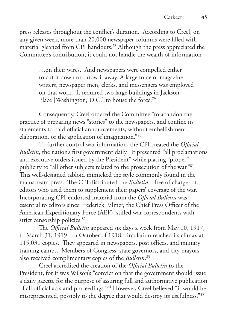press releases throughout the conflict's duration. According to Creel, on any given week, more than 20,000 newspaper columns were filled with material gleaned from CPI handouts.78 Although the press appreciated the Committee's contribution, it could not handle the wealth of information

> …on their wires. And newspapers were compelled either to cut it down or throw it away. A large force of magazine writers, newspaper men, clerks, and messengers was employed on that work. It required two large buildings in Jackson Place [Washington, D.C.] to house the force.<sup>79</sup>

Consequently, Creel ordered the Committee "to abandon the practice of preparing news "stories" to the newspapers, and confine its statements to bald official announcements, without embellishment, elaboration, or the application of imagination."80

To further control war information, the CPI created the *Official Bulletin*, the nation's first government daily. It presented "all proclamations and executive orders issued by the President" while placing "proper" publicity to "all other subjects related to the prosecution of the war."81 This well-designed tabloid mimicked the style commonly found in the mainstream press. The CPI distributed the *Bulletin*—free of charge—to editors who used them to supplement their papers' coverage of the war. Incorporating CPI-endorsed material from the *Official Bulletin* was essential to editors since Frederick Palmer, the Chief Press Officer of the American Expeditionary Force (AEF), stifled war correspondents with strict censorship policies.<sup>82</sup>

The *Official Bulletin* appeared six days a week from May 10, 1917, to March 31, 1919. In October of 1918, circulation reached its climax at 115,031 copies. They appeared in newspapers, post offices, and military training camps. Members of Congress, state governors, and city mayors also received complimentary copies of the *Bulletin*. 83

Creel accredited the creation of the *Official Bulletin* to the President, for it was Wilson's "conviction that the government should issue a daily gazette for the purpose of assuring full and authoritative publication of all official acts and proceedings."84 However, Creel believed "it would be misrepresented, possibly to the degree that would destroy its usefulness."85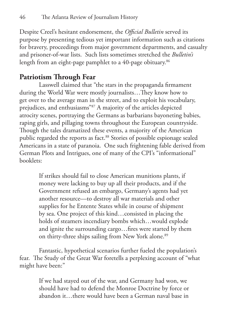Despite Creel's hesitant endorsement, the *Official Bulletin* served its purpose by presenting tedious yet important information such as citations for bravery, proceedings from major government departments, and casualty and prisoner-of-war lists. Such lists sometimes stretched the *Bulletin's* length from an eight-page pamphlet to a 40-page obituary.<sup>86</sup>

### **Patriotism Through Fear**

Lasswell claimed that "the stars in the propaganda firmament during the World War were mostly journalists…They know how to get over to the average man in the street, and to exploit his vocabulary, prejudices, and enthusiasms"87 A majority of the articles depicted atrocity scenes, portraying the Germans as barbarians bayoneting babies, raping girls, and pillaging towns throughout the European countryside. Though the tales dramatized these events, a majority of the American public regarded the reports as fact.<sup>88</sup> Stories of possible espionage sealed Americans in a state of paranoia. One such frightening fable derived from German Plots and Intrigues, one of many of the CPI's "informational" booklets:

> If strikes should fail to close American munitions plants, if money were lacking to buy up all their products, and if the Government refused an embargo, Germany's agents had yet another resource—to destroy all war materials and other supplies for he Entente States while in course of shipment by sea. One project of this kind…consisted in placing the holds of steamers incendiary bombs which…would explode and ignite the surrounding cargo…fires were started by them on thirty-three ships sailing from New York alone.<sup>89</sup>

Fantastic, hypothetical scenarios further fueled the population's fear. The Study of the Great War foretells a perplexing account of "what might have been:"

> If we had stayed out of the war, and Germany had won, we should have had to defend the Monroe Doctrine by force or abandon it…there would have been a German naval base in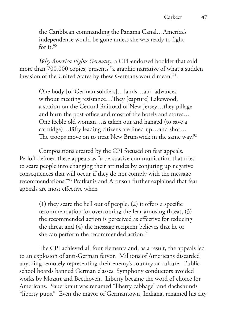the Caribbean commanding the Panama Canal…America's independence would be gone unless she was ready to fight for it. $90$ 

*Why America Fights Germany*, a CPI-endorsed booklet that sold more than 700,000 copies, presents "a graphic narrative of what a sudden invasion of the United States by these Germans would mean"91:

> One body [of German soldiers]…lands…and advances without meeting resistance…They [capture] Lakewood, a station on the Central Railroad of New Jersey…they pillage and burn the post-office and most of the hotels and stores… One feeble old woman…is taken out and hanged (to save a cartridge)…Fifty leading citizens are lined up…and shot… The troops move on to treat New Brunswick in the same way.<sup>92</sup>

Compositions created by the CPI focused on fear appeals. Perloff defined these appeals as "a persuasive communication that tries to scare people into changing their attitudes by conjuring up negative consequences that will occur if they do not comply with the message recommendations."93 Pratkanis and Aronson further explained that fear appeals are most effective when

> (1) they scare the hell out of people, (2) it offers a specific recommendation for overcoming the fear-arousing threat, (3) the recommended action is perceived as effective for reducing the threat and (4) the message recipient believes that he or she can perform the recommended action.<sup>94</sup>

The CPI achieved all four elements and, as a result, the appeals led to an explosion of anti-German fervor. Millions of Americans discarded anything remotely representing their enemy's country or culture. Public school boards banned German classes. Symphony conductors avoided works by Mozart and Beethoven. Liberty became the word of choice for Americans. Sauerkraut was renamed "liberty cabbage" and dachshunds "liberty pups." Even the mayor of Germantown, Indiana, renamed his city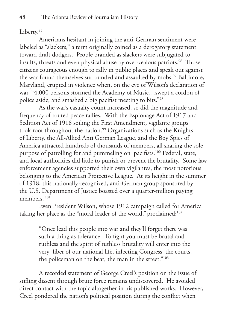#### Liberty.95

Americans hesitant in joining the anti-German sentiment were labeled as "slackers," a term originally coined as a derogatory statement toward draft dodgers. People branded as slackers were subjugated to insults, threats and even physical abuse by over-zealous patriots.<sup>96</sup> Those citizens courageous enough to rally in public places and speak out against the war found themselves surrounded and assaulted by mobs.<sup>97</sup> Baltimore, Maryland, erupted in violence when, on the eve of Wilson's declaration of war, "4,000 persons stormed the Academy of Music…swept a cordon of police aside, and smashed a big pacifist meeting to bits."98

As the war's casualty count increased, so did the magnitude and frequency of routed peace rallies. With the Espionage Act of 1917 and Sedition Act of 1918 soiling the First Amendment, vigilante groups took root throughout the nation.<sup>99</sup> Organizations such as the Knights of Liberty, the All-Allied Anti German League, and the Boy Spies of America attracted hundreds of thousands of members, all sharing the sole purpose of patrolling for and pummeling on pacifists.<sup>100</sup> Federal, state, and local authorities did little to punish or prevent the brutality. Some law enforcement agencies supported their own vigilantes, the most notorious belonging to the American Protective League. At its height in the summer of 1918, this nationally-recognized, anti-German group sponsored by the U.S. Department of Justice boasted over a quarter-million paying members<sup>101</sup>

Even President Wilson, whose 1912 campaign called for America taking her place as the "moral leader of the world," proclaimed:<sup>102</sup>

> "Once lead this people into war and they'll forget there was such a thing as tolerance. To fight you must be brutal and ruthless and the spirit of ruthless brutality will enter into the very fiber of our national life, infecting Congress, the courts, the policeman on the beat, the man in the street."<sup>103</sup>

A recorded statement of George Creel's position on the issue of stifling dissent through brute force remains undiscovered. He avoided direct contact with the topic altogether in his published works. However, Creel pondered the nation's political position during the conflict when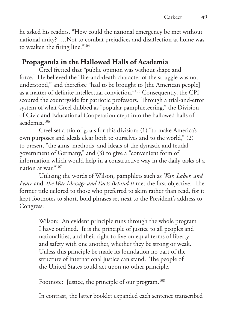he asked his readers, "How could the national emergency be met without national unity? …Not to combat prejudices and disaffection at home was to weaken the firing line."104

### **Propaganda in the Hallowed Halls of Academia**

Creel fretted that "public opinion was without shape and force." He believed the "life-and-death character of the struggle was not understood," and therefore "had to be brought to [the American people] as a matter of definite intellectual conviction."105 Consequently, the CPI scoured the countryside for patriotic professors. Through a trial-and-error system of what Creel dubbed as "popular pamphleteering," the Division of Civic and Educational Cooperation crept into the hallowed halls of academia.106

Creel set a trio of goals for this division: (1) "to make America's own purposes and ideals clear both to ourselves and to the world," (2) to present "the aims, methods, and ideals of the dynastic and feudal government of Germany," and (3) to give a "convenient form of information which would help in a constructive way in the daily tasks of a nation at war."107

Utilizing the words of Wilson, pamphlets such as *War, Labor, and Peace* and *The War Message and Facts Behind It* met the first objective. The former title tailored to those who preferred to skim rather than read, for it kept footnotes to short, bold phrases set next to the President's address to Congress:

> Wilson: An evident principle runs through the whole program I have outlined. It is the principle of justice to all peoples and nationalities, and their right to live on equal terms of liberty and safety with one another, whether they be strong or weak. Unless this principle be made its foundation no part of the structure of international justice can stand. The people of the United States could act upon no other principle.

Footnote: Justice, the principle of our program.<sup>108</sup>

In contrast, the latter booklet expanded each sentence transcribed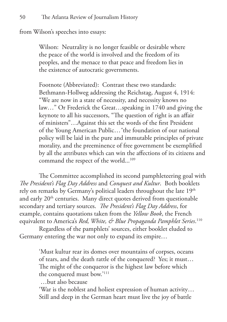from Wilson's speeches into essays:

Wilson: Neutrality is no longer feasible or desirable where the peace of the world is involved and the freedom of its peoples, and the menace to that peace and freedom lies in the existence of autocratic governments.

Footnote (Abbreviated): Contrast these two standards: Bethmann-Hollweg addressing the Reichstag, August 4, 1914: "We are now in a state of necessity, and necessity knows no law…" Or Frederick the Great…speaking in 1740 and giving the keynote to all his successors, "The question of right is an affair of ministers"…Against this set the words of the first President of the Young American Public…˝the foundation of our national policy will be laid in the pure and immutable principles of private morality, and the preeminence of free government be exemplified by all the attributes which can win the affections of its citizens and command the respect of the world...<sup>109</sup>

The Committee accomplished its second pamphleteering goal with *The President's Flag Day Address* and *Conquest and Kultur*. Both booklets rely on remarks by Germany's political leaders throughout the late 19<sup>th</sup> and early  $20<sup>th</sup>$  centuries. Many direct quotes derived from questionable secondary and tertiary sources. *The President's Flag Day Address*, for example, contains quotations taken from the *Yellow Book*, the French equivalent to America's *Red, White, & Blue Propaganda Pamphlet Series*. 110

Regardless of the pamphlets' sources, either booklet eluded to Germany entering the war not only to expand its empire…

> 'Must kultur rear its domes over mountains of corpses, oceans of tears, and the death rattle of the conquered? Yes; it must… The might of the conqueror is the highest law before which the conquered must bow.'111

…but also because

'War is the noblest and holiest expression of human activity… Still and deep in the German heart must live the joy of battle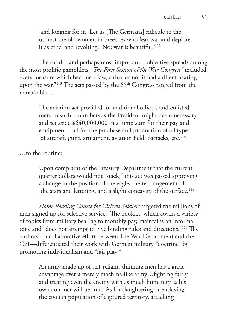and longing for it. Let us [The Germans] ridicule to the utmost the old women in breeches who fear war and deplore it as cruel and revolting. No; war is beautiful.'112

The third—and perhaps most important—objective spreads among the most prolific pamphlets. *The First Session of the War Congress* "included every measure which became a law, either or not it had a direct bearing upon the war."<sup>113</sup> The acts passed by the 65<sup>th</sup> Congress ranged from the remarkable…

> The aviation act provided for additional officers and enlisted men, in such numbers as the President might deem necessary, and set aside \$640,000,000 in a lump sum for their pay and equipment, and for the purchase and production of all types of aircraft, guns, armament, aviation field, barracks, etc.<sup>114</sup>

…to the routine:

Upon complaint of the Treasury Department that the current quarter dollars would not "stack," this act was passed approving a change in the position of the eagle, the rearrangement of the stars and lettering, and a slight concavity of the surface.<sup>115</sup>

*Home Reading Course for Citizen Soldiers* targeted the millions of men signed up for selective service. The booklet, which covers a variety of topics from military bearing to monthly pay, maintains an informal tone and "does not attempt to give binding rules and directions."116 The authors—a collaborative effort between The War Department and the CPI—differentiated their work with German military "doctrine" by promoting individualism and "fair play:"

> An army made up of self-reliant, thinking men has a great advantage over a merely machine-like army…fighting fairly and treating even the enemy with as much humanity as his own conduct will permit. As for slaughtering or enslaving the civilian population of captured territory, attacking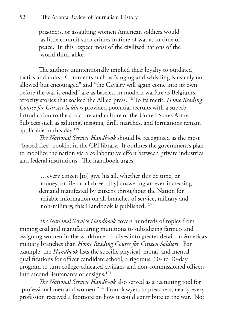prisoners, or assaulting women American soldiers would as little commit such crimes in time of war as in time of peace. In this respect most of the civilized nations of the world think alike.<sup>117</sup>

The authors unintentionally implied their loyalty to outdated tactics and units. Comments such as "singing and whistling is usually not allowed but encouraged" and "the Cavalry will again come into its own before the war is ended" are as baseless in modern warfare as Belgium's atrocity stories that soaked the Allied press.118 To its merit, *Home Reading Course for Citizen Soldiers* provided potential recruits with a superb introduction to the structure and culture of the United States Army. Subjects such as saluting, insignia, drill, marches, and formations remain applicable to this day.<sup>119</sup>

*The National Service Handbook* should be recognized as the most "biased free" booklet in the CPI library. It outlines the government's plan to mobilize the nation via a collaborative effort between private industries and federal institutions. The handbook urges

> …every citizen [to] give his all, whether this be time, or money, or life or all three...[by] answering an ever-increasing demand manifested by citizens throughout the Nation for reliable information on all branches of service, military and non-military, this Handbook is published.120

*The National Service Handbook* covers hundreds of topics from mining coal and manufacturing munitions to subsidizing farmers and assigning women in the workforce. It dives into greater detail on America's military branches than *Home Reading Course for Citizen Soldiers*. For example, the *Handbook* lists the specific physical, moral, and mental qualifications for officer candidate school, a rigorous, 60- to 90-day program to turn college-educated civilians and non-commissioned officers into second lieutenants or ensigns.<sup>121</sup>

*The National Service Handbook* also served as a recruiting tool for "professional men and women."122 From lawyers to preachers, nearly every profession received a footnote on how it could contribute to the war. Not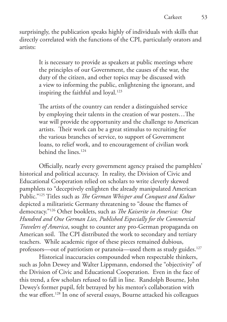surprisingly, the publication speaks highly of individuals with skills that directly correlated with the functions of the CPI, particularly orators and artists:

> It is necessary to provide as speakers at public meetings where the principles of our Government, the causes of the war, the duty of the citizen, and other topics may be discussed with a view to informing the public, enlightening the ignorant, and inspiring the faithful and loyal.<sup>123</sup>

The artists of the country can render a distinguished service by employing their talents in the creation of war posters…The war will provide the opportunity and the challenge to American artists. Their work can be a great stimulus to recruiting for the various branches of service, to support of Government loans, to relief work, and to encouragement of civilian work behind the lines.124

Officially, nearly every government agency praised the pamphlets' historical and political accuracy. In reality, the Division of Civic and Educational Cooperation relied on scholars to write cleverly skewed pamphlets to "deceptively enlighten the already manipulated American Public."125 Titles such as *The German Whisper and Conquest and Kultur*  depicted a militaristic Germany threatening to "douse the flames of democracy."126 Other booklets, such as *The Kaiserite in America: One Hundred and One German Lies, Published Especially for the Commercial Travelers of America*, sought to counter any pro-German propaganda on American soil. The CPI distributed the work to secondary and tertiary teachers. While academic rigor of these pieces remained dubious, professors—out of patriotism or paranoia—used them as study guides.<sup>127</sup>

Historical inaccuracies compounded when respectable thinkers, such as John Dewey and Walter Lippmann, endorsed the "objectivity" of the Division of Civic and Educational Cooperation. Even in the face of this trend, a few scholars refused to fall in line. Randolph Bourne, John Dewey's former pupil, felt betrayed by his mentor's collaboration with the war effort.128 In one of several essays, Bourne attacked his colleagues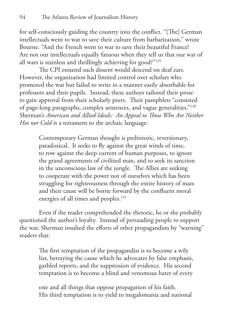for self-consciously guiding the country into the conflict. "[The] German intellectuals went to war to save their culture from barbarization," wrote Bourne. "And the French went to war to save their beautiful France! Are not our intellectuals equally fatuous when they tell us that our war of all wars is stainless and thrillingly achieving for good?"129

The CPI ensured such dissent would descend on deaf ears. However, the organization had limited control over scholars who promoted the war but failed to write in a manner easily absorbable for professors and their pupils. Instead, these authors tailored their prose to gain approval from their scholarly peers. Their pamphlets "consisted of page-long paragraphs, complex sentences, and vague generalities."130 Sherman's *American and Allied Ideals: An Appeal to Those Who Are Neither Hot nor Cold i*s a testament to the archaic language:

> Contemporary German thought is prehistoric, reversionary, paradoxical. It seeks to fly against the great winds of time, to row against the deep current of human purposes, to ignore the grand agreements of civilized man, and to seek its sanction in the unconscious law of the jungle. The Allies are seeking to cooperate with the power not of ourselves which has been struggling for righteousness through the entire history of man; and their cause will be borne forward by the confluent moral energies of all times and peoples.<sup>131</sup>

Even if the reader comprehended the rhetoric, he or she probably questioned the author's loyalty. Instead of persuading people to support the war, Sherman insulted the efforts of other propagandists by "warning" readers that:

> The first temptation of the propagandist is to become a wily liar, betraying the cause which he advocates by false emphasis, garbled reports, and the suppression of evidence. His second temptation is to become a blind and venomous hater of every

one and all things that oppose propagation of his faith. His third temptation is to yield to megalomania and national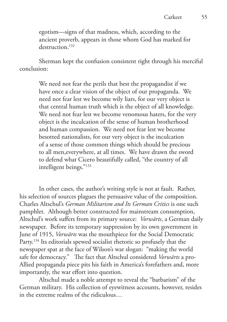egotism—signs of that madness, which, according to the ancient proverb, appears in those whom God has marked for destruction.<sup>132</sup>

Sherman kept the confusion consistent right through his merciful conclusion:

> We need not fear the perils that best the propagandist if we have once a clear vision of the object of our propaganda. We need not fear lest we become wily liars, for our very object is that central human truth which is the object of all knowledge. We need not fear lest we become venomous haters, for the very object is the inculcation of the sense of human brotherhood and human compassion. We need not fear lest we become besotted nationalists, for our very object is the inculcation of a sense of those common things which should be precious to all men,everywhere, at all times. We have drawn the sword to defend what Cicero beautifully called, "the country of all intelligent beings."133

In other cases, the author's writing style is not at fault. Rather, his selection of sources plagues the persuasive value of the composition. Charles Altschul's *German Militarism and Its German Critics* is one such pamphlet. Although better constructed for mainstream consumption, Altschul's work suffers from its primary source: *Vorwärts*, a German daily newspaper. Before its temporary suppression by its own government in June of 1915, *Vorwärts* was the mouthpiece for the Social Democratic Party.<sup>134</sup> Its editorials spewed socialist rhetoric so profusely that the newspaper spat at the face of Wilson's war slogan: "making the world safe for democracy." The fact that Altschul considered *Vorwärts* a pro-Allied propaganda piece pits his faith in America's forefathers and, more importantly, the war effort into question.

Altschul made a noble attempt to reveal the "barbarism" of the German military. His collection of eyewitness accounts, however, resides in the extreme realms of the ridiculous…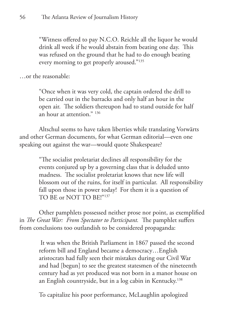"Witness offered to pay N.C.O. Reichle all the liquor he would drink all week if he would abstain from beating one day. This was refused on the ground that he had to do enough beating every morning to get properly aroused."135

…or the reasonable:

"Once when it was very cold, the captain ordered the drill to be carried out in the barracks and only half an hour in the open air. The soldiers thereupon had to stand outside for half an hour at attention." 136

Altschul seems to have taken liberties while translating Vorwärts and other German documents, for what German editorial—even one speaking out against the war—would quote Shakespeare?

> "The socialist proletariat declines all responsibility for the events conjured up by a governing class that is deluded unto madness. The socialist proletariat knows that new life will blossom out of the ruins, for itself in particular. All responsibility fall upon those in power today! For them it is a question of TO BE or NOT TO BE!"137

Other pamphlets possessed neither prose nor point, as exemplified in *The Great War: From Spectator to Participant.* The pamphlet suffers from conclusions too outlandish to be considered propaganda:

> It was when the British Parliament in 1867 passed the second reform bill and England became a democracy…English aristocrats had fully seen their mistakes during our Civil War and had [begun] to see the greatest statesmen of the nineteenth century had as yet produced was not born in a manor house on an English countryside, but in a log cabin in Kentucky.138

To capitalize his poor performance, McLaughlin apologized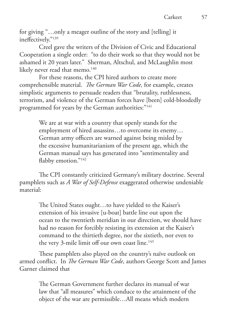for giving "…only a meager outline of the story and [telling] it ineffectively."139

Creel gave the writers of the Division of Civic and Educational Cooperation a single order: "to do their work so that they would not be ashamed it 20 years later." Sherman, Altschul, and McLaughlin most likely never read that memo.<sup>140</sup>

For these reasons, the CPI hired authors to create more comprehensible material. *The German War Code,* for example, creates simplistic arguments to persuade readers that "brutality, ruthlessness, terrorism, and violence of the German forces have [been] cold-bloodedly programmed for years by the German authorities:"141

> We are at war with a country that openly stands for the employment of hired assassins…to overcome its enemy… German army officers are warned against being misled by the excessive humanitarianism of the present age, which the German manual says has generated into "sentimentality and flabby emotion."<sup>142</sup>

The CPI constantly criticized Germany's military doctrine. Several pamphlets such as *A War of Self-Defense* exaggerated otherwise undeniable material:

> The United States ought…to have yielded to the Kaiser's extension of his invasive [u-boat] battle line out upon the ocean to the twentieth meridian in our direction, we should have had no reason for forcibly resisting its extension at the Kaiser's command to the thirtieth degree, nor the sixtieth, nor even to the very 3-mile limit off our own coast line.<sup>143</sup>

These pamphlets also played on the country's naïve outlook on armed conflict. In *The German War Code*, authors George Scott and James Garner claimed that

> The German Government further declares its manual of war law that "all measures" which conduce to the attainment of the object of the war are permissible…All means which modern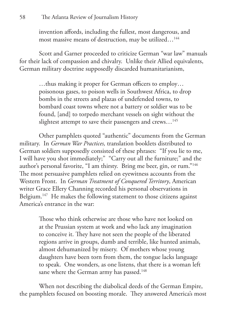#### 58 The Atlanta Review of Journalism History

invention affords, including the fullest, most dangerous, and most massive means of destruction, may be utilized…144

Scott and Garner proceeded to criticize German "war law" manuals for their lack of compassion and chivalry. Unlike their Allied equivalents, German military doctrine supposedly discarded humanitarianism,

> …thus making it proper for German officers to employ… poisonous gases, to poison wells in Southwest Africa, to drop bombs in the streets and plazas of undefended towns, to bombard coast towns where not a battery or soldier was to be found, [and] to torpedo merchant vessels on sight without the slightest attempt to save their passengers and crews...<sup>145</sup>

Other pamphlets quoted "authentic" documents from the German military. In *German War Practices,* translation booklets distributed to German soldiers supposedly consisted of these phrases: "If you lie to me, I will have you shot immediately;" "Carry out all the furniture;" and the author's personal favorite, "I am thirsty. Bring me beer, gin, or rum."146 The most persuasive pamphlets relied on eyewitness accounts from the Western Front. In *German Treatment of Conquered Territory*, American writer Grace Ellery Channing recorded his personal observations in Belgium.<sup>147</sup> He makes the following statement to those citizens against America's entrance in the war:

> Those who think otherwise are those who have not looked on at the Prussian system at work and who lack any imagination to conceive it. They have not seen the people of the liberated regions arrive in groups, dumb and terrible, like hunted animals, almost dehumanized by misery. Of mothers whose young daughters have been torn from them, the tongue lacks language to speak. One wonders, as one listens, that there is a woman left sane where the German army has passed.<sup>148</sup>

When not describing the diabolical deeds of the German Empire, the pamphlets focused on boosting morale. They answered America's most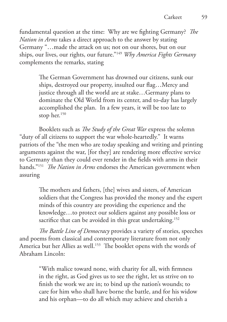fundamental question at the time: Why are we fighting Germany? *The Nation in Arms* takes a direct approach to the answer by stating Germany "…made the attack on us; not on our shores, but on our ships, our lives, our rights, our future."149 *Why America Fights Germany*  complements the remarks, stating

> The German Government has drowned our citizens, sunk our ships, destroyed our property, insulted our flag…Mercy and justice through all the world are at stake…Germany plans to dominate the Old World from its center, and to-day has largely accomplished the plan. In a few years, it will be too late to stop her.<sup>150</sup>

Booklets such as *The Study of the Great War* express the solemn "duty of all citizens to support the war whole-heartedly." It warns patriots of the "the men who are today speaking and writing and printing arguments against the war, [for they] are rendering more effective service to Germany than they could ever render in the fields with arms in their hands."151 *The Nation in Arms* endorses the American government when assuring

> The mothers and fathers, [the] wives and sisters, of American soldiers that the Congress has provided the money and the expert minds of this country are providing the experience and the knowledge…to protect our soldiers against any possible loss or sacrifice that can be avoided in this great undertaking.<sup>152</sup>

*The Battle Line of Democracy* provides a variety of stories, speeches and poems from classical and contemporary literature from not only America but her Allies as well.<sup>153</sup> The booklet opens with the words of Abraham Lincoln:

> "With malice toward none, with charity for all, with firmness in the right, as God gives us to see the right, let us strive on to finish the work we are in; to bind up the nation's wounds; to care for him who shall have borne the battle, and for his widow and his orphan—to do all which may achieve and cherish a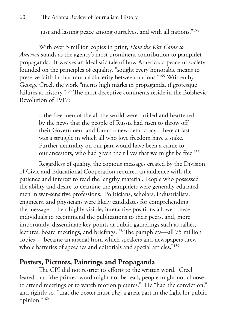just and lasting peace among ourselves, and with all nations."<sup>154</sup>

With over 5 million copies in print, *How the War Came to America* stands as the agency's most prominent contribution to pamphlet propaganda. It weaves an idealistic tale of how America, a peaceful society founded on the principles of equality, "sought every honorable means to preserve faith in that mutual sincerity between nations."155 Written by George Creel, the work "merits high marks in propaganda, if grotesque failures as history."156 The most deceptive comments reside in the Bolshevic Revolution of 1917:

> ...the free men of the all the world were thrilled and heartened by the news that the people of Russia had risen to throw off their Government and found a new democracy…here at last was a struggle in which all who love freedom have a stake. Further neutrality on our part would have been a crime to our ancestors, who had given their lives that we might be free.<sup>157</sup>

Regardless of quality, the copious messages created by the Division of Civic and Educational Cooperation required an audience with the patience and interest to read the lengthy material. People who possessed the ability and desire to examine the pamphlets were generally educated men in war-sensitive professions. Politicians, scholars, industrialists, engineers, and physicians were likely candidates for comprehending the message. Their highly visible, interactive positions allowed these individuals to recommend the publications to their peers, and, more importantly, disseminate key points at public gatherings such as rallies, lectures, board meetings, and briefings.158 The pamphlets—all 75 million copies—"became an arsenal from which speakers and newspapers drew whole batteries of speeches and editorials and special articles."<sup>159</sup>

### **Posters, Pictures, Paintings and Propaganda**

The CPI did not restrict its efforts to the written word. Creel feared that "the printed word might not be read, people might not choose to attend meetings or to watch motion pictures." He "had the conviction," and rightly so, "that the poster must play a great part in the fight for public opinion."160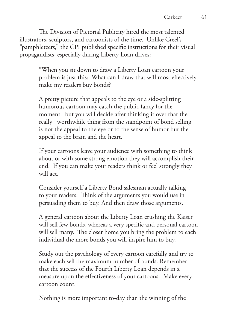The Division of Pictorial Publicity hired the most talented illustrators, sculptors, and cartoonists of the time. Unlike Creel's "pamphleteers," the CPI published specific instructions for their visual propagandists, especially during Liberty Loan drives:

> "When you sit down to draw a Liberty Loan cartoon your problem is just this: What can I draw that will most effectively make my readers buy bonds?

A pretty picture that appeals to the eye or a side-splitting humorous cartoon may catch the public fancy for the moment but you will decide after thinking it over that the really worthwhile thing from the standpoint of bond selling is not the appeal to the eye or to the sense of humor but the appeal to the brain and the heart.

If your cartoons leave your audience with something to think about or with some strong emotion they will accomplish their end. If you can make your readers think or feel strongly they will act.

Consider yourself a Liberty Bond salesman actually talking to your readers. Think of the arguments you would use in persuading them to buy. And then draw those arguments.

A general cartoon about the Liberty Loan crushing the Kaiser will sell few bonds, whereas a very specific and personal cartoon will sell many. The closer home you bring the problem to each individual the more bonds you will inspire him to buy.

Study out the psychology of every cartoon carefully and try to make each sell the maximum number of bonds. Remember that the success of the Fourth Liberty Loan depends in a measure upon the effectiveness of your cartoons. Make every cartoon count.

Nothing is more important to-day than the winning of the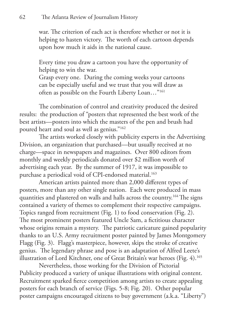#### 62 The Atlanta Review of Journalism History

war. The criterion of each act is therefore whether or not it is helping to hasten victory. The worth of each cartoon depends upon how much it aids in the national cause.

Every time you draw a cartoon you have the opportunity of helping to win the war.

Grasp every one. During the coming weeks your cartoons can be especially useful and we trust that you will draw as often as possible on the Fourth Liberty Loan…"161

The combination of control and creativity produced the desired results: the production of "posters that represented the best work of the best artists—posters into which the masters of the pen and brush had poured heart and soul as well as genius."162

The artists worked closely with publicity experts in the Advertising Division, an organization that purchased—but usually received at no charge—space in newspapers and magazines. Over 800 editors from monthly and weekly periodicals donated over \$2 million worth of advertising each year. By the summer of 1917, it was impossible to purchase a periodical void of CPI-endorsed material.<sup>163</sup>

American artists painted more than 2,000 different types of posters, more than any other single nation. Each were produced in mass quantities and plastered on walls and halls across the country.<sup>164</sup> The signs contained a variety of themes to complement their respective campaigns. Topics ranged from recruitment (Fig. 1) to food conservation (Fig. 2). The most prominent posters featured Uncle Sam, a fictitious character whose origins remain a mystery. The patriotic caricature gained popularity thanks to an U.S. Army recruitment poster painted by James Montgomery Flagg (Fig. 3). Flagg's masterpiece, however, skips the stroke of creative genius. The legendary phrase and pose is an adaptation of Alfred Leete's illustration of Lord Kitchner, one of Great Britain's war heroes (Fig. 4).165

Nevertheless, those working for the Division of Pictorial Publicity produced a variety of unique illustrations with original content. Recruitment sparked fierce competition among artists to create appealing posters for each branch of service (Figs. 5-8; Fig. 20). Other popular poster campaigns encouraged citizens to buy government (a.k.a. "Liberty")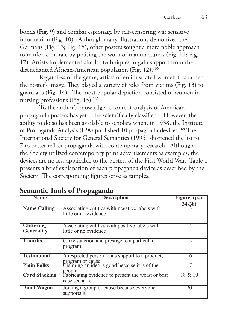bonds (Fig. 9) and combat espionage by self-censoring war sensitive information (Fig. 10). Although many illustrations demonized the Germans (Fig. 13; Fig. 18), other posters sought a more noble approach to reinforce morale by praising the work of manufacturers (Fig. 11; Fig. 17). Artists implemented similar techniques to gain support from the disenchanted African-American population (Fig. 12).<sup>166</sup>

Regardless of the genre, artists often illustrated women to sharpen the poster's image. They played a variety of roles from victims (Fig. 13) to guardians (Fig. 14). The most popular depiction consisted of women in nursing professions (Fig. 15).<sup>167</sup>

To the author's knowledge, a content analysis of American propaganda posters has yet to be scientifically classified. However, the ability to do so has been available to scholars when, in 1938, the Institute of Propaganda Analysis (IPA) published 10 propaganda devices.<sup>168</sup> The International Society for General Semantics (1995) shortened the list to 7 to better reflect propaganda with contemporary research. Although the Society utilized contemporary print advertisements as examples, the devices are no less applicable to the posters of the First World War. Table 1 presents a brief explanation of each propaganda device as described by the Society. The corresponding figures serve as samples.

| <b>Name</b>                     | <b>Description</b>                                                      | Figure (p.p.<br>$34 - 38$ |
|---------------------------------|-------------------------------------------------------------------------|---------------------------|
| <b>Name Calling</b>             | Associating entities with negative labels with<br>little or no evidence |                           |
| <b>Glittering</b><br>Generality | Associating entities with positive labels with<br>little or no evidence | 14                        |
| <b>Transfer</b>                 | Carry sanction and prestige to a particular<br>program                  | 15.                       |
| <b>Testimonial</b>              | A respected person lends support to a product,<br>program or cause      | 16                        |
| <b>Plain Folks</b>              | Claiming an idea is good because it is of the<br>people                 |                           |
| <b>Card Stacking</b>            | Fabricating evidence to present the worst or best<br>case scenario      | 18 & 19                   |
| <b>Band Wagon</b>               | Joining a group or cause because everyone<br>supports it                | 20                        |

# **Semantic Tools of Propaganda**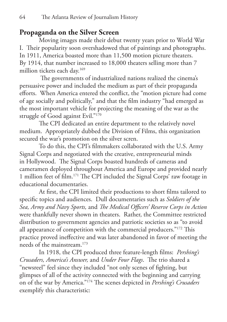### **Propaganda on the Silver Screen**

Moving images made their debut twenty years prior to World War I. Their popularity soon overshadowed that of paintings and photographs. In 1911, America boasted more than 11,500 motion picture theaters. By 1914, that number increased to 18,000 theaters selling more than 7 million tickets each day.169

 The governments of industrialized nations realized the cinema's persuasive power and included the medium as part of their propaganda efforts. When America entered the conflict, the "motion picture had come of age socially and politically," and that the film industry "had emerged as the most important vehicle for projecting the meaning of the war as the struggle of Good against Evil."<sup>170</sup>

The CPI dedicated an entire department to the relatively novel medium. Appropriately dubbed the Division of Films, this organization secured the war's promotion on the silver scren.

To do this, the CPI's filmmakers collaborated with the U.S. Army Signal Corps and negotiated with the creative, entrepreneurial minds in Hollywood. The Signal Corps boasted hundreds of cameras and cameramen deployed throughout America and Europe and provided nearly 1 million feet of film.171 The CPI included the Signal Corps' raw footage in educational documentaries.

At first, the CPI limited their productions to short films tailored to specific topics and audiences. Dull documentaries such as *Soldiers of the Sea, Army and Navy Sports,* and *The Medical Officers' Reserve Corps in Action* were thankfully never shown in theaters. Rather, the Committee restricted distribution to government agencies and patriotic societies so as "to avoid all appearance of competition with the commercial producers."172 This practice proved ineffective and was later abandoned in favor of meeting the needs of the mainstream.173

In 1918, the CPI produced three feature-length films: *Pershing's Crusaders, America's Answer,* and *Under Four Flags*. The trio shared a "newsreel" feel since they included "not only scenes of fighting, but glimpses of all of the activity connected with the beginning and carrying on of the war by America."174 The scenes depicted in *Pershing's Crusaders* exemplify this characteristic: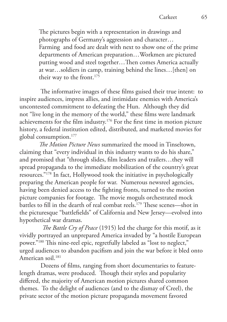The pictures begin with a representation in drawings and photographs of Germany's aggression and character… Farming and food are dealt with next to show one of the prime departments of American preparation…Workmen are pictured putting wood and steel together…Then comes America actually at war…soldiers in camp, training behind the lines…[then] on their way to the front.<sup>175</sup>

 The informative images of these films guised their true intent: to inspire audiences, impress allies, and intimidate enemies with America's uncontested commitment to defeating the Hun. Although they did not "live long in the memory of the world," these films were landmark achievements for the film industry.176 For the first time in motion picture history, a federal institution edited, distributed, and marketed movies for global consumption.177

*The Motion Picture News* summarized the mood in Tinseltown, claiming that "every individual in this industry wants to do his share," and promised that "through slides, film leaders and trailers…they will spread propaganda to the immediate mobilization of the country's great resources."178 In fact, Hollywood took the initiative in psychologically preparing the American people for war. Numerous newsreel agencies, having been denied access to the fighting fronts, turned to the motion picture companies for footage. The movie moguls orchestrated mock battles to fill in the dearth of real combat reels.179 These scenes—shot in the picturesque "battlefields" of California and New Jersey—evolved into hypothetical war dramas.

 *The Battle Cry of Peace* (1915) led the charge for this motif, as it vividly portrayed an unprepared America invaded by "a hostile European power."180 This nine-reel epic, regretfully labeled as "lost to neglect," urged audiences to abandon pacifism and join the war before it bled onto American soil.<sup>181</sup>

 Dozens of films, ranging from short documentaries to featurelength dramas, were produced. Though their styles and popularity differed, the majority of American motion pictures shared common themes. To the delight of audiences (and to the dismay of Creel), the private sector of the motion picture propaganda movement favored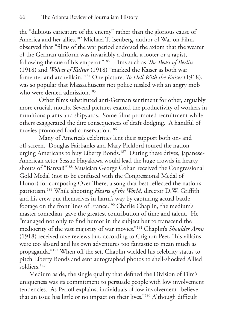the "dubious caricature of the enemy" rather than the glorious cause of America and her allies.182 Michael T. Isenberg, author of War on Film, observed that "films of the war period endorsed the axiom that the wearer of the German uniform was invariably a drunk, a looter or a rapist, following the cue of his emperor."183 Films such as *The Beast of Berlin*  (1918) and *Wolves of Kultur* (1918) "marked the Kaiser as both war fomenter and archvillain."184 One picture, *To Hell With the Kaiser* (1918), was so popular that Massachusetts riot police tussled with an angry mob who were denied admission.<sup>185</sup>

Other films substituted anti-German sentiment for other, arguably more crucial, motifs. Several pictures exalted the productivity of workers in munitions plants and shipyards. Some films promoted recruitment while others exaggerated the dire consequences of draft dodging. A handful of movies promoted food conservation.<sup>186</sup>

Many of America's celebrities lent their support both on- and off-screen. Douglas Fairbanks and Mary Pickford toured the nation urging Americans to buy Liberty Bonds.<sup>187</sup> During these drives, Japanese-American actor Sessue Hayakawa would lead the huge crowds in hearty shouts of "Banzai!"188 Musician George Cohan received the Congressional Gold Medal (not to be confused with the Congressional Medal of Honor) for composing Over There, a song that best reflected the nation's patriotism.189 While shooting *Hearts of the World*, director D.W. Griffith and his crew put themselves in harm's way by capturing actual battle footage on the front lines of France.190 Charlie Chaplin, the medium's master comedian, gave the greatest contribution of time and talent. He "managed not only to find humor in the subject but to transcend the mediocrity of the vast majority of war movies."191 Chaplin's *Shoulder Arms* (1918) received rave reviews but, according to Crighon Peet, "his villains were too absurd and his own adventures too fantastic to mean much as propaganda."192 When off the set, Chaplin wielded his celebrity status to pitch Liberty Bonds and sent autographed photos to shell-shocked Allied soldiers.<sup>193</sup>

Medium aside, the single quality that defined the Division of Film's uniqueness was its commitment to persuade people with low involvement tendencies. As Perloff explains, individuals of low involvement "believe that an issue has little or no impact on their lives."194 Although difficult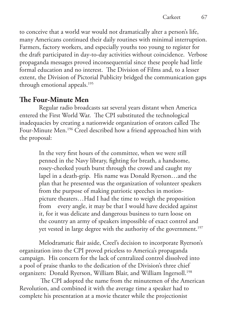to conceive that a world war would not dramatically alter a person's life, many Americans continued their daily routines with minimal interruption. Farmers, factory workers, and especially youths too young to register for the draft participated in day-to-day activities without coincidence. Verbose propaganda messages proved inconsequential since these people had little formal education and no interest. The Division of Films and, to a lesser extent, the Division of Pictorial Publicity bridged the communication gaps through emotional appeals.<sup>195</sup>

# **The Four-Minute Men**

Regular radio broadcasts sat several years distant when America entered the First World War. The CPI substituted the technological inadequacies by creating a nationwide organization of orators called The Four-Minute Men.<sup>196</sup> Creel described how a friend approached him with the proposal:

> In the very first hours of the committee, when we were still penned in the Navy library, fighting for breath, a handsome, rosey-cheeked youth burst through the crowd and caught my lapel in a death-grip. His name was Donald Ryerson…and the plan that he presented was the organization of volunteer speakers from the purpose of making patriotic speeches in motionpicture theaters…Had I had the time to weigh the proposition from every angle, it may be that I would have decided against it, for it was delicate and dangerous business to turn loose on the country an army of speakers impossible of exact control and yet vested in large degree with the authority of the government.<sup>197</sup>

Melodramatic flair aside, Creel's decision to incorporate Ryerson's organization into the CPI proved priceless to America's propaganda campaign. His concern for the lack of centralized control dissolved into a pool of praise thanks to the dedication of the Division's three chief organizers: Donald Ryerson, William Blair, and William Ingersoll.<sup>198</sup>

 The CPI adopted the name from the minutemen of the American Revolution, and combined it with the average time a speaker had to complete his presentation at a movie theater while the projectionist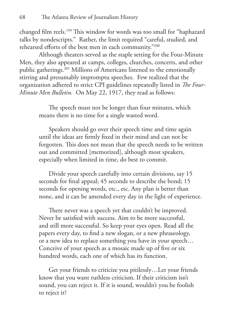changed film reels.199 This window for words was too small for "haphazard talks by nondescripts." Rather, the limit required "careful, studied, and rehearsed efforts of the best men in each community."200

Although theaters served as the staple setting for the Four-Minute Men, they also appeared at camps, colleges, churches, concerts, and other public gatherings.201 Millions of Americans listened to the emotionally stirring and presumably impromptu speeches. Few realized that the organization adhered to strict CPI guidelines repeatedly listed in *The Four-Minute Men Bulletin*. On May 22, 1917, they read as follows:

> The speech must not be longer than four minutes, which means there is no time for a single wasted word.

Speakers should go over their speech time and time again until the ideas are firmly fixed in their mind and can not be forgotten. This does not mean that the speech needs to be written out and committed [memorized], although most speakers, especially when limited in time, do best to commit.

Divide your speech carefully into certain divisions, say 15 seconds for final appeal; 45 seconds to describe the bond; 15 seconds for opening words, etc., etc. Any plan is better than none, and it can be amended every day in the light of experience.

There never was a speech yet that couldn't be improved. Never be satisfied with success. Aim to be more successful, and still more successful. So keep your eyes open. Read all the papers every day, to find a new slogan, or a new phraseology, or a new idea to replace something you have in your speech… Conceive of your speech as a mosaic made up of five or six hundred words, each one of which has its function.

Get your friends to criticize you pitilessly…Let your friends know that you want ruthless criticism. If their criticism isn't sound, you can reject it. If it is sound, wouldn't you be foolish to reject it?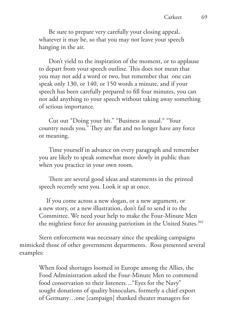Be sure to prepare very carefully your closing appeal, whatever it may be, so that you may not leave your speech hanging in the air.

Don't yield to the inspiration of the moment, or to applause to depart from your speech outline. This does not mean that you may not add a word or two, but remember that one can speak only 130, or 140, or 150 words a minute, and if your speech has been carefully prepared to fill four minutes, you can not add anything to your speech without taking away something of serious importance.

Cut out "Doing your bit." "Business as usual." "Your country needs you." They are flat and no longer have any force or meaning.

Time yourself in advance on every paragraph and remember you are likely to speak somewhat more slowly in public than when you practice in your own room.

There are several good ideas and statements in the printed speech recently sent you. Look it up at once.

If you come across a new slogan, or a new argument, or a new story, or a new illustration, don't fail to send it to the Committee. We need your help to make the Four-Minute Men the mightiest force for arousing patriotism in the United States.<sup>202</sup>

Stern enforcement was necessary since the speaking campaigns mimicked those of other government departments. Ross presented several examples:

> When food shortages loomed in Europe among the Allies, the Food Administration asked the Four-Minute Men to commend food conservation to their listeners…"Eyes for the Navy" sought donations of quality binoculars, formerly a chief export of Germany…one [campaign] thanked theater managers for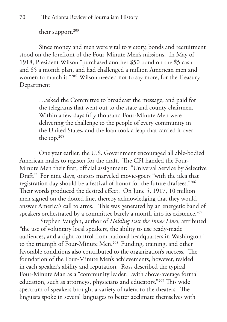their support.<sup>203</sup>

Since money and men were vital to victory, bonds and recruitment stood on the forefront of the Four-Minute Men's missions. In May of 1918, President Wilson "purchased another \$50 bond on the \$5 cash and \$5 a month plan, and had challenged a million American men and women to match it."<sup>204</sup> Wilson needed not to say more, for the Treasury Department

> …asked the Committee to broadcast the message, and paid for the telegrams that went out to the state and county chairmen. Within a few days fifty thousand Four-Minute Men were delivering the challenge to the people of every community in the United States, and the loan took a leap that carried it over the top.205

One year earlier, the U.S. Government encouraged all able-bodied American males to register for the draft. The CPI handed the Four-Minute Men their first, official assignment: "Universal Service by Selective Draft." For nine days, orators marveled movie-goers "with the idea that registration day should be a festival of honor for the future draftees."206 Their words produced the desired effect. On June 5, 1917, 10 million men signed on the dotted line, thereby acknowledging that they would answer America's call to arms. This was generated by an energetic band of speakers orchestrated by a committee barely a month into its existence.<sup>207</sup>

 Stephen Vaughn, author of *Holding Fast the Inner Lines*, attributed "the use of voluntary local speakers, the ability to use ready-made audiences, and a tight control from national headquarters in Washington" to the triumph of Four-Minute Men.<sup>208</sup> Funding, training, and other favorable conditions also contributed to the organization's success. The foundation of the Four-Minute Men's achievements, however, resided in each speaker's ability and reputation. Ross described the typical Four-Minute Man as a "community leader…with above-average formal education, such as attorneys, physicians and educators."209 This wide spectrum of speakers brought a variety of talent to the theaters. The linguists spoke in several languages to better acclimate themselves with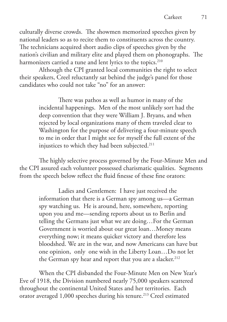culturally diverse crowds. The showmen memorized speeches given by national leaders so as to recite them to constituents across the country. The technicians acquired short audio clips of speeches given by the nation's civilian and military elite and played them on phonographs. The harmonizers carried a tune and lent lyrics to the topics.<sup>210</sup>

Although the CPI granted local communities the right to select their speakers, Creel reluctantly sat behind the judge's panel for those candidates who could not take "no" for an answer:

> There was pathos as well as humor in many of the incidental happenings. Men of the most unlikely sort had the deep convention that they were William J. Bryans, and when rejected by local organizations many of them traveled clear to Washington for the purpose of delivering a four-minute speech to me in order that I might see for myself the full extent of the injustices to which they had been subjected.<sup>211</sup>

The highly selective process governed by the Four-Minute Men and the CPI assured each volunteer possessed charismatic qualities. Segments from the speech below reflect the fluid finesse of these fine orators:

> Ladies and Gentlemen: I have just received the information that there is a German spy among us—a German spy watching us. He is around, here, somewhere, reporting upon you and me—sending reports about us to Berlin and telling the Germans just what we are doing…For the German Government is worried about our great loan…Money means everything now; it means quicker victory and therefore less bloodshed. We are in the war, and now Americans can have but one opinion, only one wish in the Liberty Loan…Do not let the German spy hear and report that you are a slacker.<sup>212</sup>

When the CPI disbanded the Four-Minute Men on New Year's Eve of 1918, the Division numbered nearly 75,000 speakers scattered throughout the continental United States and her territories. Each orator averaged 1,000 speeches during his tenure.<sup>213</sup> Creel estimated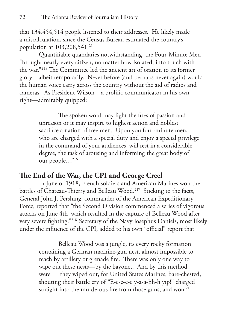that 134,454,514 people listened to their addresses. He likely made a miscalculation, since the Census Bureau estimated the country's population at 103,208,541.<sup>214</sup>

Quantifiable quandaries notwithstanding, the Four-Minute Men "brought nearly every citizen, no matter how isolated, into touch with the war."215 The Committee led the ancient art of oration to its former glory—albeit temporarily. Never before (and perhaps never again) would the human voice carry across the country without the aid of radios and cameras. As President Wilson—a prolific communicator in his own right—admirably quipped:

> The spoken word may light the fires of passion and unreason or it may inspire to highest action and noblest sacrifice a nation of free men. Upon you four-minute men, who are charged with a special duty and enjoy a special privilege in the command of your audiences, will rest in a considerable degree, the task of arousing and informing the great body of our people…216

### **The End of the War, the CPI and George Creel**

In June of 1918, French soldiers and American Marines won the battles of Chateau-Thierry and Belleau Wood.<sup>217</sup> Sticking to the facts, General John J. Pershing, commander of the American Expeditionary Force, reported that "the Second Division commenced a series of vigorous attacks on June 4th, which resulted in the capture of Belleau Wood after very severe fighting."218 Secretary of the Navy Josephus Daniels, most likely under the influence of the CPI, added to his own "official" report that

> Belleau Wood was a jungle, its every rocky formation containing a German machine-gun nest, almost impossible to reach by artillery or grenade fire. There was only one way to wipe out these nests—by the bayonet. And by this method were they wiped out, for United States Marines, bare-chested, shouting their battle cry of "E-e-e-e-e y-a-a-hh-h yip!" charged straight into the murderous fire from those guns, and won!<sup>219</sup>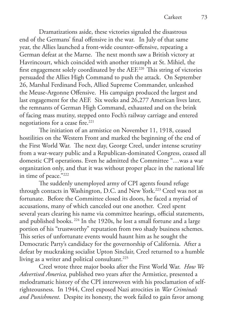Dramatizations aside, these victories signaled the disastrous end of the Germans' final offensive in the war. In July of that same year, the Allies launched a front-wide counter-offensive, repeating a German defeat at the Marne. The next month saw a British victory at Havrincourt, which coincided with another triumph at St. Mihiel, the first engagement solely coordinated by the AEF.220 This string of victories persuaded the Allies High Command to push the attack. On September 26, Marshal Ferdinand Foch, Allied Supreme Commander, unleashed the Meuse-Argonne Offensive. His campaign produced the largest and last engagement for the AEF. Six weeks and 26,277 American lives later, the remnants of German High Command, exhausted and on the brink of facing mass mutiny, stepped onto Foch's railway carriage and entered negotiations for a cease fire.<sup>221</sup>

The initiation of an armistice on November 11, 1918, ceased hostilities on the Western Front and marked the beginning of the end of the First World War. The next day, George Creel, under intense scrutiny from a war-weary public and a Republican-dominated Congress, ceased all domestic CPI operations. Even he admitted the Committee "…was a war organization only, and that it was without proper place in the national life in time of peace."222

The suddenly unemployed army of CPI agents found refuge through contacts in Washington, D.C. and New York.<sup>223</sup> Creel was not as fortunate. Before the Committee closed its doors, he faced a myriad of accusations, many of which canceled out one another. Creel spent several years clearing his name via committee hearings, official statements, and published books. 224 In the 1920s, he lost a small fortune and a large portion of his "trustworthy" reputation from two shady business schemes. This series of unfortunate events would haunt him as he sought the Democratic Party's candidacy for the governorship of California. After a defeat by muckraking socialist Upton Sinclair, Creel returned to a humble living as a writer and political consultant.<sup>225</sup>

Creel wrote three major books after the First World War. *How We Advertised America*, published two years after the Armistice, presented a melodramatic history of the CPI interwoven with his proclamation of selfrighteousness. In 1944, Creel exposed Nazi atrocities in *War Criminals and Punishment*. Despite its honesty, the work failed to gain favor among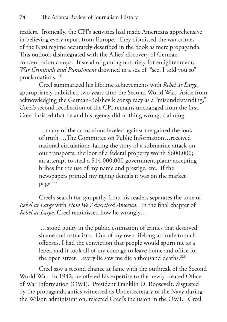readers. Ironically, the CPI's activities had made Americans apprehensive in believing every report from Europe. They dismissed the war crimes of the Nazi regime accurately described in the book as mere propaganda. This outlook disintegrated with the Allies' discovery of German concentration camps. Instead of gaining notoriety for enlightenment, *War Criminals and Punishment* drowned in a sea of "see, I told you so" proclamations.226

Creel summarized his lifetime achievements with *Rebel at Large*, appropriately published two years after the Second World War. Aside from acknowledging the German-Bolshevik conspiracy as a "misunderstanding," Creel's second recollection of the CPI remains unchanged from the first. Creel insisted that he and his agency did nothing wrong, claiming:

> …many of the accusations leveled against me gained the look of truth …The Committee on Public Information…received national circulation: faking the story of a submarine attack on our transports; the loot of a federal property worth \$600,000; an attempt to steal a \$14,000,000 government plant; accepting bribes for the use of my name and prestige, etc. If the newspapers printed my raging denials it was on the market page.<sup>227</sup>

Creel's search for sympathy from his readers separates the tone of *Rebel at Large* with *How We Advertised America.* In the final chapter of *Rebel at Large,* Creel reminisced how he wrongly…

> …stood guilty in the public estimation of crimes that deserved shame and ostracism. Out of my own lifelong attitude to such offenses, I had the conviction that people would spurn me as a leper, and it took all of my courage to leave home and office for the open street...every lie saw me die a thousand deaths.<sup>228</sup>

Creel saw a second chance at fame with the outbreak of the Second World War. In 1942, he offered his expertise to the newly created Office of War Information (OWI). President Franklin D. Roosevelt, disgusted by the propaganda antics witnessed as Undersecretary of the Navy during the Wilson administration, rejected Creel's inclusion in the OWI. Creel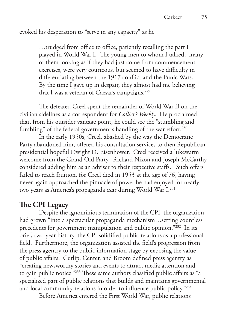#### evoked his desperation to "serve in any capacity" as he

…trudged from office to office, patiently recalling the part I played in World War I. The young men to whom I talked, many of them looking as if they had just come from commencement exercises, were very courteous, but seemed to have difficulty in differentiating between the 1917 conflict and the Punic Wars. By the time I gave up in despair, they almost had me believing that I was a veteran of Caesar's campaigns.<sup>229</sup>

The defeated Creel spent the remainder of World War II on the civilian sidelines as a correspondent for *Collier's Weekly.* He proclaimed that, from his outsider vantage point, he could see the "stumbling and fumbling" of the federal government's handling of the war effort.<sup>230</sup>

In the early 1950s, Creel, abashed by the way the Democratic Party abandoned him, offered his consultation services to then Republican presidential hopeful Dwight D. Eisenhower. Creel received a lukewarm welcome from the Grand Old Party. Richard Nixon and Joseph McCarthy considered adding him as an adviser to their respective staffs. Such offers failed to reach fruition, for Creel died in 1953 at the age of 76, having never again approached the pinnacle of power he had enjoyed for nearly two years as America's propaganda czar during World War I.231

### **The CPI Legacy**

Despite the ignominious termination of the CPI, the organization had grown "into a spectacular propaganda mechanism…setting countless precedents for government manipulation and public opinion."<sup>232</sup> In its brief, two-year history, the CPI solidified public relations as a professional field. Furthermore, the organization assisted the field's progression from the press agentry to the public information stage by exposing the value of public affairs. Cutlip, Center, and Broom defined press agentry as "creating newsworthy stories and events to attract media attention and to gain public notice."233 These same authors classified public affairs as "a specialized part of public relations that builds and maintains governmental and local community relations in order to influence public policy."234

Before America entered the First World War, public relations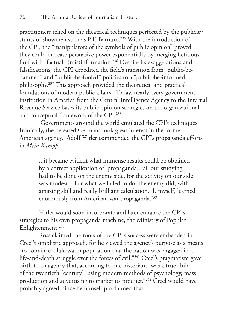practitioners relied on the theatrical techniques perfected by the publicity stunts of showmen such as P.T. Barnum.235 With the introduction of the CPI, the "manipulators of the symbols of public opinion" proved they could increase persuasive power exponentially by merging fictitious fluff with "factual" (mis)information.<sup>236</sup> Despite its exaggerations and falsifications, the CPI expedited the field's transition from "public-bedamned" and "public-be-fooled" policies to a "public-be-informed" philosophy.237 This approach provided the theoretical and practical foundations of modern public affairs. Today, nearly every government institution in America from the Central Intelligence Agency to the Internal Revenue Service bases its public opinion strategies on the organizational and conceptual framework of the CPI.238

 Governments around the world emulated the CPI's techniques. Ironically, the defeated Germans took great interest in the former American agency. Adolf Hitler commended the CPI's propaganda efforts in *Mein Kampf*:

> ...it became evident what immense results could be obtained by a correct application of propaganda…all our studying had to be done on the enemy side, for the activity on our side was modest…For what we failed to do, the enemy did, with amazing skill and really brilliant calculation. I, myself, learned enormously from American war propaganda.<sup>239</sup>

Hitler would soon incorporate and later enhance the CPI's strategies to his own propaganda machine, the Ministry of Popular Enlightenment.<sup>240</sup>

Ross claimed the roots of the CPI's success were embedded in Creel's simplistic approach, for he viewed the agency's purpose as a means "to convince a lukewarm population that the nation was engaged in a life-and-death struggle over the forces of evil."241 Creel's pragmatism gave birth to an agency that, according to one historian, "was a true child of the twentieth [century], using modern methods of psychology, mass production and advertising to market its product."242 Creel would have probably agreed, since he himself proclaimed that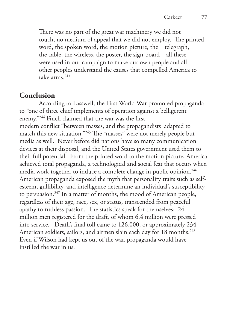There was no part of the great war machinery we did not touch, no medium of appeal that we did not employ. The printed word, the spoken word, the motion picture, the telegraph, the cable, the wireless, the poster, the sign-board—all these were used in our campaign to make our own people and all other peoples understand the causes that compelled America to take arms.243

### **Conclusion**

According to Lasswell, the First World War promoted propaganda to "one of three chief implements of operation against a belligerent enemy."244 Finch claimed that the war was the first modern conflict "between masses, and the propagandists adapted to match this new situation."<sup>245</sup> The "masses" were not merely people but media as well. Never before did nations have so many communication devices at their disposal, and the United States government used them to their full potential. From the printed word to the motion picture, America achieved total propaganda, a technological and social feat that occurs when media work together to induce a complete change in public opinion.<sup>246</sup> American propaganda exposed the myth that personality traits such as selfesteem, gullibility, and intelligence determine an individual's susceptibility to persuasion.<sup>247</sup> In a matter of months, the mood of American people, regardless of their age, race, sex, or status, transcended from peaceful apathy to ruthless passion. The statistics speak for themselves: 24 million men registered for the draft, of whom 6.4 million were pressed into service. Death's final toll came to 126,000, or approximately 234 American soldiers, sailors, and airmen slain each day for 18 months.<sup>248</sup> Even if Wilson had kept us out of the war, propaganda would have instilled the war in us.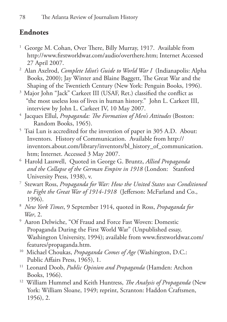# **Endnotes**

- 1 George M. Cohan, Over There, Billy Murray, 1917. Available from http://www.firstworldwar.com/audio/overthere.htm; Internet Accessed 27 April 2007.
- 2 Alan Axelrod, *Complete Idiot's Guide to World War I* (Indianapolis: Alpha Books, 2000); Jay Winter and Blaine Baggett, The Great War and the Shaping of the Twentieth Century (New York: Penguin Books, 1996).
- <sup>3</sup> Major John "Jack" Carkeet III (USAF, Ret.) classified the conflict as "the most useless loss of lives in human history." John L. Carkeet III, interview by John L. Carkeet IV, 10 May 2007.
- 4 Jacques Ellul, *Propaganda: The Formation of Men's Attitudes* (Boston: Random Books, 1965).
- 5 Tsai Lun is accredited for the invention of paper in 305 A.D. About: Inventors. History of Communication. Available from http:// inventors.about.com/library/inventors/bl\_history\_of\_communication. htm; Internet. Accessed 3 May 2007.
- 6 Harold Lasswell, Quoted in George G. Bruntz, *Allied Propaganda and the Collapse of the German Empire in 1918* (London: Stanford University Press, 1938), v.
- 7 Stewart Ross, *Propaganda for War: How the United States was Conditioned to Fight the Great War of 1914-1918* (Jefferson: McFarland and Co., 1996).
- 8 *New York Times*, 9 September 1914, quoted in Ross, *Propaganda for War*, 2.
- 9 Aaron Delwiche, "Of Fraud and Force Fast Woven: Domestic Propaganda During the First World War" (Unpublished essay, Washington University, 1994); available from www.firstworldwar.com/ features/propaganda.htm.
- 10 Michael Choukas, *Propaganda Comes of Age* (Washington, D.C.: Public Affairs Press, 1965), 1.
- 11 Leonard Doob, *Public Opinion and Propaganda* (Hamden: Archon Books, 1966).
- 12 William Hummel and Keith Huntress, *The Analysis of Propaganda* (New York: William Sloane, 1949; reprint, Scranton: Haddon Craftsmen, 1956), 2.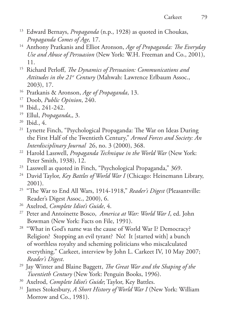- 13 Edward Bernays, *Propaganda* (n.p., 1928) as quoted in Choukas, *Propaganda Comes of Age,* 17.
- 14 Anthony Pratkanis and Elliot Aronson, *Age of Propaganda: The Everyday Use and Abuse of Persuasion* (New York: W.H. Freeman and Co., 2001), 11.
- 15 Richard Perloff, *The Dynamics of Persuasion: Communications and Attitudes in the 21st Century* (Mahwah: Lawrence Erlbaum Assoc., 2003), 17.
- 16 Pratkanis & Aronson, *Age of Propaganda*, 13.
- 17 Doob, *Public Opinion*, 240.
- 18 Ibid., 241-242.
- 19 Ellul, *Propaganda*,, 3.
- 20 Ibid., 4.
- <sup>21</sup> Lynette Finch, "Psychological Propaganda: The War on Ideas During the First Half of the Twentieth Century," *Armed Forces and Society: An Interdisciplinary Journal* 26, no. 3 (2000), 368.
- 22 Harold Lasswell, *Propaganda Technique in the World War* (New York: Peter Smith, 1938), 12.
- 23 Lasswell as quoted in Finch, "Psychological Propaganda," 369.
- <sup>24</sup> David Taylor, *Key Battles of World War I* (Chicago: Heinemann Library, 2001).
- 25 "The War to End All Wars, 1914-1918," *Reader's Digest* (Pleasantville: Reader's Digest Assoc., 2000), 6.
- 26 Axelrod, *Complete Idiot's Guide*, 4.
- 27 Peter and Antoinette Bosco, *America at War: World War I*, ed. John Bowman (New York: Facts on File, 1991).
- <sup>28</sup> "What in God's name was the cause of World War I? Democracy? Religion? Stopping an evil tyrant? No! It [started with] a bunch of worthless royalty and scheming politicians who miscalculated everything." Carkeet, interview by John L. Carkeet IV, 10 May 2007; *Reader's Digest*.
- 29 Jay Winter and Blaine Baggett, *The Great War and the Shaping of the Twentieth Century* (New York: Penguin Books, 1996).
- 30 Axelrod, *Complete Idiot's Guide*; Taylor, Key Battles.
- 31 James Stokesbury, *A Short History of World War I* (New York: William Morrow and Co., 1981).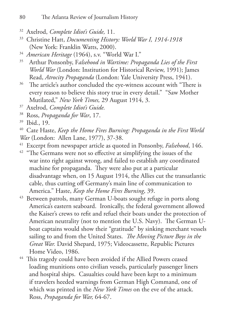- 34 *American Heritage* (1964), s.v. "World War I."
- <sup>35</sup> Arthur Ponsonby, F*alsehood in Wartime: Propaganda Lies of the First World War* (London: Institution for Historical Review, 1991); James Read, *Atrocity Propaganda* (London: Yale University Press, 1941).
- <sup>36</sup> The article's author concluded the eye-witness account with "There is every reason to believe this story true in every detail." "Saw Mother Mutilated," *New York Times,* 29 August 1914, 3.
- 37 Axelrod, *Complete Idiot's Guide.*
- 38 Ross, *Propaganda for War*, 17.
- 39 Ibid., 19.
- 40 Cate Haste, *Keep the Home Fires Burning: Propaganda in the First World War* (London: Allen Lane, 1977), 37-38.
- 41 Excerpt from newspaper article as quoted in Ponsonby, *Falsehood*, 146.
- <sup>42</sup> "The Germans were not so effective at simplifying the issues of the war into right against wrong, and failed to establish any coordinated machine for propaganda. They were also put at a particular disadvantage when, on 15 August 1914, the Allies cut the transatlantic cable, thus cutting off Germany's main line of communication to America." Haste, *Keep the Home Fires Burning*, 39.
- 43 Between patrols, many German U-boats sought refuge in ports along America's eastern seaboard. Ironically, the federal government allowed the Kaiser's crews to refit and refuel their boats under the protection of American neutrality (not to mention the U.S. Navy). The German Uboat captains would show their "gratitude" by sinking merchant vessels sailing to and from the United States. *The Moving Picture Boys in the Great War.* David Shepard, 1975; Videocassette, Republic Pictures Home Video, 1986.
- <sup>44</sup> This tragedy could have been avoided if the Allied Powers ceased loading munitions onto civilian vessels, particularly passenger liners and hospital ships. Casualties could have been kept to a minimum if travelers heeded warnings from German High Command, one of which was printed in the *New York Times* on the eve of the attack. Ross, *Propaganda for War,* 64-67.

<sup>32</sup> Axelrod, *Complete Idiot's Guide,* 11.

<sup>33</sup> Christine Hatt, *Documenting History: World War I, 1914-1918* (New York: Franklin Watts, 2000).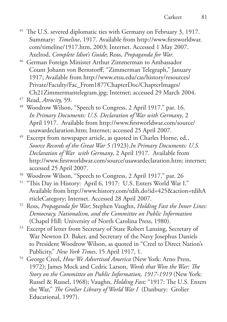- <sup>45</sup> The U.S. severed diplomatic ties with Germany on February 3, 1917. Summary: *Timeline*, 1917. Available from http://www.firstworldwar. com/timeline/1917.htm, 2003; Internet. Accessed 1 May 2007. Axelrod, *Complete Idiot's Guide*; Ross, *Propaganda for War.*
- 46 German Foreign Minister Arthur Zimmerman to Ambassador Count Johann von Bernstorff, "Zimmerman Telegraph," January 1917; Available from http://www.etsu.edu/cas/history/resources/ Private/Faculty/Fac\_From1877ChapterDoc/ChapterImages/ Ch21Zimmermantelegram.jpg; Internet; accessed 29 March 2004.
- Read, *Atrocity*, 59.
- 48 Woodrow Wilson, "Speech to Congress, 2 April 1917." par. 16. *In Primary Documents: U.S. Declaration of War with Germany*, 2 April 1917. Available from http://www.firstworldwar.com/source/ usawardeclaration.htm; Internet; accessed 25 April 2007.
- <sup>49</sup> Excerpt from newspaper article, as quoted in Charles Horne, ed., *Source Records of the Great War 5 (*1923).*In Primary Documents: U.S. Declaration of War with Germany*, 2 April 1917. Available from http://www.firstworldwar.com/source/usawardeclaration.htm; internet; accessed 25 April 2007.
- 50 Woodrow Wilson, "Speech to Congress, 2 April 1917," par. 26
- <sup>51</sup> "This Day in History: April 6, 1917: U.S. Enters World War I." Available from http://www.history.com/tdih.do?id=425&action=tdihA rticleCategory; Internet. Accessed 28 April 2007.
- 52 Ross, *Propaganda for War*; Stephen Vaughn, *Holding Fast the Inner Lines: Democracy, Nationalism, and the Committee on Public Information* (Chapel Hill: University of North Carolina Press, 1980).
- 53 Excerpt of letter from Secretary of State Robert Lansing, Secretary of War Newton D. Baker, and Secretary of the Navy Josephus Daniels to President Woodrow Wilson, as quoted in "Creel to Direct Nation's Publicity," *New York Times*, 15 April 1917, 1.
- 54 George Creel, *How We Advertised America* (New York: Arno Press, 1972); James Mock and Cedric Larson, *Words that Won the War: The Story on the Committee on Public Information, 1917-1919* (New York: Russel & Russel, 1968); Vaughn, *Holding Fast;* "1917: The U.S. Enters the War," *The Grolier Library of World War I* (Danbury: Grolier Educational, 1997).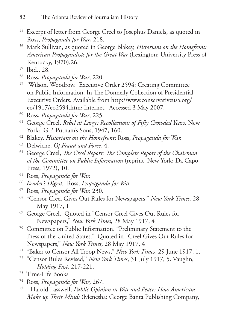- 55 Excerpt of letter from George Creel to Josephus Daniels, as quoted in Ross, *Propaganda for War*, 218.
- 56 Mark Sullivan, as quoted in George Blakey, *Historians on the Homefront: American Propagandists for the Great War* (Lexington: University Press of Kentucky, 1970),26.
- 57 Ibid., 28.
- 58 Ross, *Propaganda for War*, 220.
- 59 Wilson, Woodrow. Executive Order 2594: Creating Committee on Public Information. In The Donnelly Collection of Presidential Executive Orders. Available from http://www.conservativeusa.org/ eo/1917/eo2594.htm; Internet. Accessed 3 May 2007.
- 60 Ross, *Propaganda for War*, 225.
- 61 George Creel, *Rebel at Large: Recollections of Fifty Crowded Years.* New York: G.P. Putnam's Sons, 1947, 160.
- 62 Blakey, *Historians on the Homefront*; Ross, *Propaganda for War.*
- 63 Delwiche, *Of Fraud and Force*, 4.
- 64 George Creel, *The Creel Report: The Complete Report of the Chairman of the Committee on Public Information* (reprint, New York: Da Capo Press, 1972), 10.
- 65 Ross, *Propaganda for War.*
- <sup>66</sup> *Reader's Digest.* Ross, *Propaganda for War.*
- 67 Ross, *Propaganda for War,* 230.
- 68 "Censor Creel Gives Out Rules for Newspapers," *New York Times,* 28 May 1917, 1
- 69 George Creel. Quoted in "Censor Creel Gives Out Rules for Newspapers," *New York Times,* 28 May 1917, 4
- 70 Committee on Public Information. "Preliminary Statement to the Press of the United States." Quoted in "Creel Gives Out Rules for Newspapers," *New York Times*, 28 May 1917, 4
- 71 "Baker to Censor All Troop News," *New York Times*, 29 June 1917, 1.
- 72 "Censor Rules Revised," *New York Times*, 31 July 1917, 5. Vaughn, *Holding Fast*, 217-221.
- 73 Time-Life Books
- 74 Ross, *Propaganda for War*, 267.
- 75 Harold Lasswell, *Public Opinion in War and Peace: How Americans Make up Their Minds* (Menesha: George Banta Publishing Company,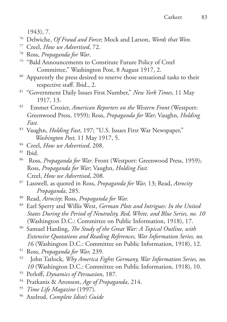1943), 7.

- 76 Delwiche, *Of Fraud and Force*; Mock and Larson, *Words that Won.*
- 77 Creel, *How we Advertised*, 72.
- 
- <sup>79</sup> "Bald Announcements to Constitute Future Policy of Creel Committee," Washington Post, 8 August 1917, 2.
- <sup>80</sup> Apparently the press desired to reserve those sensational tasks to their respective staff. Ibid., 2.
- 81 "Government Daily Issues First Number," *New York Times*, 11 May 1917, 13.
- 82 Emmet Crozier, *American Reporters on the Western Front* (Westport: Greenwood Press, 1959); Ross, *Propaganda for War*; Vaughn, *Holding Fast.*
- 83 Vaughn, *Holding Fast*, 197; "U.S. Issues First War Newspaper," *Washington Post,* 11 May 1917, 5.
- 84 Creel, *How we Advertised*, 208.
- $85$  Ibid.
- 86 Ross, *Propaganda for War*. Front (Westport: Greenwood Press, 1959); Ross, *Propaganda for War*; Vaughn, *Holding Fast.* Creel, *How we Advertised*, 208.
- 87 Lasswell, as quoted in Ross, *Propaganda for War,* 13; Read, *Atrocity Propaganda*, 285.
- 88 Read, *Atrocity*; Ross, *Propaganda for War.*
- 89 Earl Sperry and Willis West, *German Plots and Intrigues: In the United States During the Period of Neutrality, Red, White, and Blue Series, no. 10*  (Washington D.C.: Committee on Public Information, 1918), 17.
- 90 Samuel Harding, *The Study of the Great War: A Topical Outline, with Extensive Quotations and Reading References, War Information Series, no. 16* (Washington D.C.: Committee on Public Information, 1918), 12.
- 91 Ross, *Propaganda for War,* 239.
- 92 John Tatlock, *Why America Fights Germany, War Information Series, no. 10* (Washington D.C.: Committee on Public Information, 1918), 10.
- 93 Perloff, *Dynamics of Persuasion*, 187.
- 94 Pratkanis & Aronson, *Age of Propaganda*, 214.
- 95 *Time Life Magazine* (1997).
- 96 Axelrod, *Complete Idiot's Guide*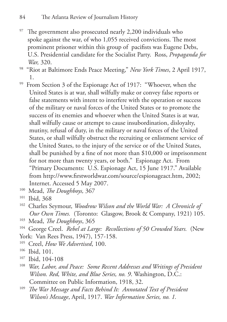- <sup>97</sup> The government also prosecuted nearly 2,200 individuals who spoke against the war, of who 1,055 received convictions. The most prominent prisoner within this group of pacifists was Eugene Debs, U.S. Presidential candidate for the Socialist Party. Ross, *Propaganda for War,* 320.
- 98 "Riot at Baltimore Ends Peace Meeting," *New York Times*, 2 April 1917, 1.
- <sup>99</sup> From Section 3 of the Espionage Act of 1917: "Whoever, when the United States is at war, shall wilfully make or convey false reports or false statements with intent to interfere with the operation or success of the military or naval forces of the United States or to promote the success of its enemies and whoever when the United States is at war, shall wilfully cause or attempt to cause insubordination, disloyalty, mutiny, refusal of duty, in the military or naval forces of the United States, or shall wilfully obstruct the recruiting or enlistment service of the United States, to the injury of the service or of the United States, shall be punished by a fine of not more than \$10,000 or imprisonment for not more than twenty years, or both." Espionage Act. From "Primary Documents: U.S. Espionage Act, 15 June 1917." Available from http://www.firstworldwar.com/source/espionageact.htm, 2002; Internet. Accessed 5 May 2007.
- 100 Mead, *The Doughboys,* 367
- 101 Ibid, 368
- 102 Charles Seymour, *Woodrow Wilson and the World War: A Chronicle of Our Own Times.* (Toronto: Glasgow, Brook & Company, 1921) 105.
- 103 Mead, *The Doughboys*, 365
- <sup>104</sup> George Creel. Rebel at Large: Recollections of 50 Crowded Years. (New York: Van Rees Press, 1947), 157-158.
- 105 Creel, *How We Advertised*, 100.
- 106 Ibid, 101.
- 107 Ibid, 104-108
- <sup>108</sup> *War, Labor, and Peace: Some Recent Addresses and Writings of President Wilson. Red, White, and Blue Series, no. 9*. Washington, D.C.: Committee on Public Information, 1918, 32.
- <sup>109</sup> *The War Message and Facts Behind It: Annotated Text of President Wilson's Message*, April, 1917. *War Information Series, no. 1.*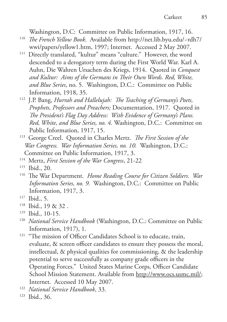Washington, D.C: Committee on Public Information, 1917, 16.

- 110 *The French Yellow Book*. Available from http://net.lib.byu.edu/~rdh7/
- wwi/papers/yellow1.htm, 1997; Internet. Accessed 2 May 2007. 111 Directly translated, "kultur" means "culture." However, the word descended to a derogatory term during the First World War. Karl A. Auhn, Die Wahren Ursachen des Kriegs, 1914. Quoted in *Conquest and Kultur: Aims of the Germans in Their Own Words. Red, White, and Blue Series*, no. 5. Washington, D.C.: Committee on Public Information, 1918, 35.
- 112 J.P. Bang, *Hurrah and Hallelujah: The Teaching of Germany's Poets, Prophets, Professors and Preachers;* Documentation, 1917. Quoted in *The President's Flag Day Address: With Evidence of Germany's Plans. Red, White, and Blue Series, no. 4.* Washington, D.C.: Committee on Public Information, 1917, 15.
- 113 George Creel. Quoted in Charles Mertz. *The First Session of the War Congress. War Information Series, no. 10.* Washington, D.C.: Committee on Public Information, 1917, 3.
- 114 Mertz, *First Session of the War Congress*, 21-22

- 116 The War Department. *Home Reading Course for Citizen Soldiers. War Information Series, no. 9.* Washington, D.C.: Committee on Public Information, 1917, 3.
- 117 Ibid., 5.
- 118 Ibid., 19 & 32 .
- 119 Ibid., 10-15.
- 120 *National Service Handbook* (Washington, D.C.: Committee on Public Information, 1917), 1.
- <sup>121</sup> "The mission of Officer Candidates School is to educate, train, evaluate, & screen officer candidates to ensure they possess the moral, intellectual, & physical qualities for commissioning, & the leadership potential to serve successfully as company grade officers in the Operating Forces." United States Marine Corps, Officer Candidate School Mission Statement. Available from http://www.ocs.usmc.mil/; Internet. Accessed 10 May 2007.
- 122 *National Service Handbook*, 33.
- 123 Ibid., 36.

<sup>115</sup> Ibid., 20.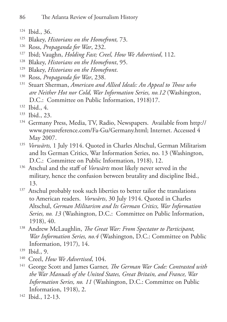- 124 Ibid., 36.
- 125 Blakey, *Historians on the Homefront,* 73.
- 126 Ross, *Propaganda for War*, 232.
- 127 Ibid; Vaughn, *Holding Fast; Creel, How We Advertised*, 112.
- 128 Blakey, *Historians on the Homefront*, 95.
- 129 Blakey, *Historians on the Homefront*.
- 130 Ross, *Propaganda for War*, 238.
- 131 Stuart Sherman, *American and Allied Ideals: An Appeal to Those who are Neither Hot nor Cold, War Information Series, no.12* (Washington, D.C.: Committee on Public Information, 1918)17.
- $132$  Ibid., 4.
- 133 Ibid., 23.
- <sup>134</sup> Germany Press, Media, TV, Radio, Newspapers. Available from http:// www.pressreference.com/Fa-Gu/Germany.html; Internet. Accessed 4 May 2007.
- <sup>135</sup> *Vorwärts*, 1 July 1914. Quoted in Charles Altschul, German Militarism and Its German Critics, War Information Series, no. 13 (Washington, D.C.: Committee on Public Information, 1918), 12.
- 136 Atschul and the staff of *Vorwärts* most likely never served in the military, hence the confusion between brutality and discipline Ibid., 13.
- <sup>137</sup> Atschul probably took such liberties to better tailor the translations to American readers. *Vorwärts*, 30 July 1914. Quoted in Charles Altschul, *German Militarism and Its German Critics, War Information Series, no. 13* (Washington, D.C.: Committee on Public Information, 1918), 40.
- 138 Andrew McLaughlin, *The Great War: From Spectator to Participant, War Information Series, no.4* (Washington, D.C.: Committee on Public Information, 1917), 14.
- 139 Ibid., 9.
- 140 Creel, *How We Advertised*, 104.
- 141 George Scott and James Garner, *The German War Code: Contrasted with the War Manuals of the United States, Great Britain, and France, War Information Series, no. 11* (Washington, D.C.: Committee on Public Information, 1918), 2.
- 142 Ibid., 12-13.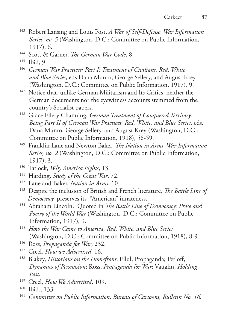- 143 Robert Lansing and Louis Post, *A War of Self-Defense, War Information Series, no. 5* (Washington, D.C.: Committee on Public Information, 1917), 6.
- 144 Scott & Garner, *The German War Code*, 8.
- 145 Ibid, 9.
- 146 *German War Practices: Part I: Treatment of Civilians, Red, White, and Blue Series*, eds Dana Munro, George Sellery, and August Krey (Washington, D.C.: Committee on Public Information, 1917), 9.
- <sup>147</sup> Notice that, unlike German Militarism and Its Critics, neither the German documents nor the eyewitness accounts stemmed from the country's Socialist papers.
- 148 Grace Ellery Channing, *German Treatment of Conquered Territory: Being Part II of German War Practices, Red, White, and Blue Series,* eds. Dana Munro, George Sellery, and August Krey (Washington, D.C.: Committee on Public Information, 1918), 58-59.
- 149 Franklin Lane and Newton Baker, *The Nation in Arms, War Information Series, no. 2* (Washington, D.C.: Committee on Public Information, 1917), 3.
- 150 Tatlock, *Why America Fights*, 13.
- 151 Harding, *Study of the Great War*, 72.
- 152 Lane and Baker, *Nation in Arms*, 10.
- 153 Despite the inclusion of British and French literature, *The Battle Line of Democracy* preserves its "American" innateness.
- 154 Abraham Lincoln. Quoted in *The Battle Line of Democracy: Prose and Poetry of the World War* (Washington, D.C.: Committee on Public Information, 1917), 9.
- 155 *How the War Came to America, Red, White, and Blue Series*  (Washington, D.C.: Committee on Public Information, 1918), 8-9.
- 156 Ross, *Propaganda for War*, 232.
- 157 Creel, *How we Advertised*, 16.
- 158 Blakey, *Historians on the Homefront*; Ellul, Propaganda; Perloff, *Dynamics of Persuasion*; Ross, *Propaganda for War*; Vaughn, *Holding Fast.*
- 159 Creel, *How We Advertised*, 109.
- 160 Ibid., 133.
- 161 *Committee on Public Information, Bureau of Cartoons, Bulletin No. 16.*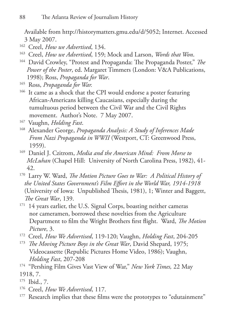Available from http://historymatters.gmu.edu/d/5052; Internet. Accessed 3 May 2007.

- 162 Creel, *How we Advertised*, 134.
- 163 Creel, *How we Advertised*, 159; Mock and Larson, *Words that Won*.
- 164 David Crowley, "Protest and Propaganda: The Propaganda Poster," *The Power of the Poster*, ed. Margaret Timmers (London: V&A Publications, 1998); Ross, *Propaganda for War*.
- 165 Ross, *Propaganda for War.*
- <sup>166</sup> It came as a shock that the CPI would endorse a poster featuring African-Americans killing Caucasians, especially during the tumultuous period between the Civil War and the Civil Rights movement. Author's Note. 7 May 2007.
- 167 Vaughn, *Holding Fast*.
- 168 Alexander George, *Propaganda Analysis: A Study of Inferences Made From Nazi Propaganda in WWII* (Westport, CT: Greenwood Press, 1959).
- 169 Daniel J. Czitrom, *Media and the American Mind: From Morse to McLuhan* (Chapel Hill: University of North Carolina Press, 1982), 41- 42.
- 170 Larry W. Ward, *The Motion Picture Goes to War: A Political History of the United States Government's Film Effort in the World War, 1914-1918* (University of Iowa: Unpublished Thesis, 1981), 1; Winter and Baggett, *The Great War*, 139.
- <sup>171</sup> 14 years earlier, the U.S. Signal Corps, boasting neither cameras nor cameramen, borrowed these novelties from the Agriculture Department to film the Wright Brothers first flight. Ward, *The Motion Picture*, 3.
- 172 Creel, *How We Advertised*, 119-120; Vaughn, *Holding Fast*, 204-205
- 173 *The Moving Picture Boys in the Great War*, David Shepard, 1975; Videocassette (Republic Pictures Home Video, 1986); Vaughn, *Holding Fast*, 207-208
- 174 "Pershing Film Gives Vast View of War," *New York Times,* 22 May 1918, 7.
- 175 Ibid., 7.
- 176 Creel, *How We Advertised*, 117.
- <sup>177</sup> Research implies that these films were the prototypes to "edutainment"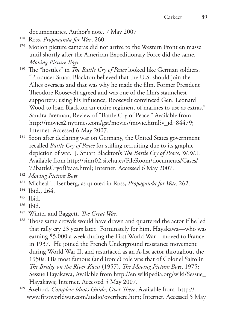documentaries. Author's note. 7 May 2007

- 178 Ross, *Propaganda for War*, 260.
- <sup>179</sup> Motion picture cameras did not arrive to the Western Front en masse until shortly after the American Expeditionary Force did the same. *Moving Picture Boys*.
- <sup>180</sup> The "hostiles" in *The Battle Cry of Peace* looked like German soldiers. "Producer Stuart Blackton believed that the U.S. should join the Allies overseas and that was why he made the film. Former President Theodore Roosevelt agreed and was one of the film's staunchest supporters; using his influence, Roosevelt convinced Gen. Leonard Wood to loan Blackton an entire regiment of marines to use as extras." Sandra Brennan, Review of "Battle Cry of Peace." Available from http://movies2.nytimes.com/gst/movies/movie.html?v\_id=84479; Internet. Accessed 6 May 2007.
- <sup>181</sup> Soon after declaring war on Germany, the United States government recalled *Battle Cry of Peace* for stifling recruiting due to its graphic depiction of war. J. Stuart Blackton's *The Battle Cry of Peace,* W.W.I. Available from http://simr02.si.ehu.es/FileRoom/documents/Cases/ 72battleCryofPeace.html; Internet. Accessed 6 May 2007.

- 183 Micheal T. Isenberg, as quoted in Ross, *Propaganda for War,* 262.
- 184 Ibid., 264.
- 185 Ibid.
- 186 Ibid.
- 187 Winter and Baggett, *The Great War.*
- <sup>188</sup> Those same crowds would have drawn and quartered the actor if he led that rally cry 23 years later. Fortunately for him, Hayakawa—who was earning \$5,000 a week during the First World War—moved to France in 1937. He joined the French Underground resistance movement during World War II, and resurfaced as an A-list actor throughout the 1950s. His most famous (and ironic) role was that of Colonel Saito in *The Bridge on the River Kwai* (1957). *The Moving Picture Boys*, 1975; Sessue Hayakawa, Available from http://en.wikipedia.org/wiki/Sessue\_ Hayakawa; Internet. Accessed 5 May 2007.
- 189 Axelrod, *Complete Idiot's Guide*; *Over There*, Available from http:// www.firstworldwar.com/audio/overthere.htm; Internet. Accessed 5 May

<sup>182</sup> *Moving Picture Boys*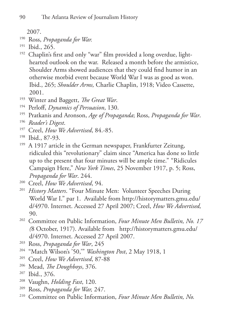2007.

- 190 Ross, *Propaganda for War.*
- 191 Ibid., 265.
- <sup>192</sup> Chaplin's first and only "war" film provided a long overdue, lighthearted outlook on the war. Released a month before the armistice, Shoulder Arms showed audiences that they could find humor in an otherwise morbid event because World War I was as good as won. Ibid., 265; *Shoulder Arms,* Charlie Chaplin, 1918; Video Cassette, 2001.
- 193 Winter and Baggett, *The Great War*.
- 194 Perloff, *Dynamics of Persuasion*, 130.
- 195 Pratkanis and Aronson, *Age of Propaganda*; Ross, *Propaganda for War*.
- 196 *Reader's Digest*.
- 197 Creel, *How We Advertised*, 84.-85.
- 198 Ibid., 87-93.
- <sup>199</sup> A 1917 article in the German newspaper, Frankfurter Zeitung, ridiculed this "revolutionary" claim since "America has done so little up to the present that four minutes will be ample time." "Ridicules Campaign Here," *New York Times*, 25 November 1917, p. 5; Ross, *Propaganda for War*. 244.
- 200 Creel, *How We Advertised*, 94.
- 201 *History Matters*. "Four Minute Men: Volunteer Speeches During World War I." par 1. Available from http://historymatters.gmu.edu/ d/4970. Internet. Accessed 27 April 2007; Creel, *How We Advertised,* 90.
- 202 Committee on Public Information, *Four Minute Men Bulletin, No. 17 (*8 October, 1917). Available from http://historymatters.gmu.edu/ d/4970. Internet. Accessed 27 April 2007.
- 203 Ross, *Propaganda for War*, 245
- 204 "Match Wilson's '50,'" *Washington Post*, 2 May 1918, 1
- 205 Creel, *How We Advertised*, 87-88
- 206 Mead, *The Doughboys*, 376.
- 207 Ibid., 376.
- 208 Vaughn, *Holding Fast*, 120.
- 209 Ross, *Propaganda for War,* 247.
- 210 Committee on Public Information, *Four Minute Men Bulletin, No.*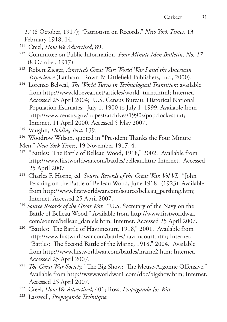*17* (8 October, 1917); "Patriotism on Records," *New York Times*, 13 February 1918, 14.

- 
- <sup>211</sup> Creel, *How We Advertised*, 89.<br><sup>212</sup> Committee on Public Information, *Four Minute Men Bulletin, No. 17* (8 October, 1917)
- 213 Robert Zieger, *America's Great War: World War I and the American Experience* (Lanham: Rown & Littlefield Publishers, Inc., 2000).
- 214 Lorenzo Belveal, *The World Turns in Technological Transition*; available from http://www.ldbeveal.net/articles/world\_turns.html; Internet. Accessed 25 April 2004; U.S. Census Bureau. Historical National Population Estimates: July 1, 1900 to July 1, 1999. Available from http://www.census.gov/popest/archives/1990s/popclockest.txt; Internet, 11 April 2000. Accessed 5 May 2007.
- 215 Vaughn, *Holding Fast*, 139.
- <sup>216</sup> Woodrow Wilson, quoted in "President Thanks the Four Minute
- Men," *New York Times*, 19 November 1917, 4.
- <sup>217</sup> "Battles: The Battle of Belleau Wood, 1918," 2002. Available from http://www.firstworldwar.com/battles/belleau.htm; Internet. Accessed 25 April 2007
- 218 Charles F. Horne, ed. *Source Records of the Great War, Vol VI.* "John Pershing on the Battle of Belleau Wood, June 1918" (1923). Available from http://www.firstworldwar.com/source/belleau\_pershing.htm; Internet. Accessed 25 April 2007.
- <sup>219</sup> *Source Records of the Great War.* "U.S. Secretary of the Navy on the Battle of Belleau Wood." Available from http://www.firstworldwar. com/source/belleau\_daniels.htm; Internet. Accessed 25 April 2007.
- 220 "Battles: The Battle of Havrincourt, 1918," 2001. Available from http://www.firstworldwar.com/battles/havrincourt.htm; Internet; "Battles: The Second Battle of the Marne, 1918," 2004. Available from http://www.firstworldwar.com/battles/marne2.htm; Internet. Accessed 25 April 2007.
- <sup>221</sup> *The Great War Society*, "The Big Show: The Meuse-Argonne Offensive." Available from http://www.worldwar1.com/dbc/bigshow.htm; Internet.
- Accessed 25 April 2007. 222 Creel, *How We Advertised*, 401; Ross, *Propaganda for War.*
- 223 Lasswell, *Propaganda Technique.*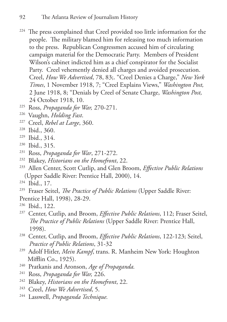- <sup>224</sup> The press complained that Creel provided too little information for the people. The military blamed him for releasing too much information to the press. Republican Congressmen accused him of circulating campaign material for the Democratic Party. Members of President Wilson's cabinet indicted him as a chief conspirator for the Socialist Party. Creel vehemently denied all charges and avoided prosecution. Creel, *How We Advertised*, 78, 83;. "Creel Denies a Charge," *New York Times*, 1 November 1918, 7; "Creel Explains Views," *Washington Post,*  2 June 1918, 8; "Denials by Creel of Senate Charge, *Washington Post,*  24 October 1918, 10.
- 225 Ross, *Propaganda for War,* 270-271.
- 226 Vaughn, *Holding Fast*.
- 227 Creel, *Rebel at Large*, 360.
- 228 Ibid., 360.
- 229 Ibid., 314.
- 230 Ibid., 315.
- 231 Ross, *Propaganda for War*, 271-272.
- 232 Blakey, *Historians on the Homefront*, 22.
- 233 Allen Center, Scott Cutlip, and Glen Broom, *Effective Public Relations*  (Upper Saddle River: Prentice Hall, 2000), 14.
- 234 Ibid., 17.
- 235 Fraser Seitel, *The Practice of Public Relations* (Upper Saddle River: Prentice Hall, 1998), 28-29.
- 236 Ibid., 122.
- 237 Center, Cutlip, and Broom, *Effective Public Relations*, 112; Fraser Seitel, *The Practice of Public Relations* (Upper Saddle River: Prentice Hall, 1998).
- 238 Center, Cutlip, and Broom, *Effective Public Relations*, 122-123; Seitel, *Practice of Public Relations*, 31-32
- 239 Adolf Hitler, *Mein Kampf*, trans. R. Manheim New York: Houghton Mifflin Co., 1925).
- 240 Pratkanis and Aronson, *Age of Propaganda.*
- 241 Ross, *Propaganda for War,* 226.
- 242 Blakey, *Historians on the Homefront*, 22.
- 243 Creel, *How We Advertised*, 5.
- 244 Lasswell, *Propaganda Technique.*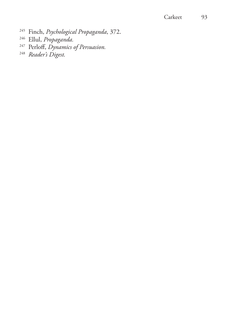#### Carkeet 93

- 245 Finch, *Psychological Propaganda*, 372.
- 246 Ellul, *Propaganda.*
- 247 Perloff, *Dynamics of Persuasion.*
- 248 *Reader's Digest.*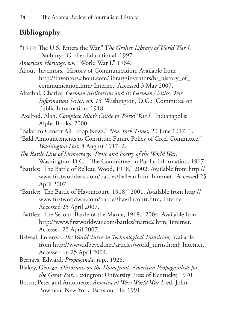## **Bibliography**

"1917: The U.S. Enters the War." T*he Grolier Library of World War I*. Danbury: Grolier Educational, 1997.

*American Heritage*. s.v. "World War I." 1964.

- About: Inventors. History of Communication. Available from http://inventors.about.com/library/inventors/bl\_history\_of\_ communication.htm; Internet. Accessed 3 May 2007.
- Altschul, Charles. *German Militarism and Its German Critics, War Information Series, no. 13.* Washington, D.C.: Committee on Public Information, 1918.
- Axelrod, Alan. *Complete Idiot's Guide to World War I*. Indianapolis: Alpha Books, 2000.
- "Baker to Censor All Troop News." *New York Times*, 29 June 1917, 1.
- "Bald Announcements to Constitute Future Policy of Creel Committee." *Washington Post*, 8 August 1917, 2.
- *The Battle Line of Democracy: Prose and Poetry of the World War.*  Washington, D.C.: The Committee on Public Information, 1917.
- "Battles: The Battle of Belleau Wood, 1918," 2002. Available from http:// www.firstworldwar.com/battles/belleau.htm; Internet. Accessed 25 April 2007.
- "Battles: The Battle of Havrincourt, 1918," 2001. Available from http:// www.firstworldwar.com/battles/havrincourt.htm; Internet. Accessed 25 April 2007.
- "Battles: The Second Battle of the Marne, 1918," 2004. Available from http://www.firstworldwar.com/battles/marne2.htm; Internet. Accessed 25 April 2007.
- Belveal, Lorenzo. *The World Turns in Technological Transition;* available from http://www.ldbeveal.net/articles/world\_turns.html; Internet. Accessed on 25 April 2004.

Bernays, Edward. *Propaganda*. n.p., 1928.

- Blakey, George. *Historians on the Homefront: American Propagandists for the Great War*. Lexington: University Press of Kentucky, 1970.
- Bosco, Peter and Antoinette. *America at War: World War I*. ed. John Bowman. New York: Facts on File, 1991.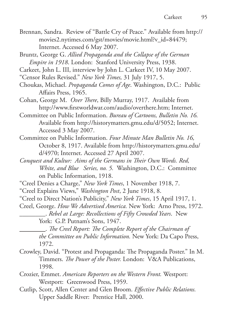- Brennan, Sandra. Review of "Battle Cry of Peace." Available from http:// movies2.nytimes.com/gst/movies/movie.html?v\_id=84479; Internet. Accessed 6 May 2007.
- Bruntz, George G. *Allied Propaganda and the Collapse of the German Empire in 1918*. London: Stanford University Press, 1938.
- Carkeet, John L. III, interview by John L. Carkeet IV, 10 May 2007.
- "Censor Rules Revised." *New York Times,* 31 July 1917, 5.
- Choukas, Michael. *Propaganda Comes of Age*. Washington, D.C.: Public Affairs Press, 1965.
- Cohan, George M. *Over There*, Billy Murray, 1917. Available from http://www.firstworldwar.com/audio/overthere.htm; Internet.
- Committee on Public Information. *Bureau of Cartoons, Bulletin No. 16.*  Available from http://historymatters.gmu.edu/d/5052; Internet. Accessed 3 May 2007.
- Committee on Public Information. *Four Minute Man Bulletin No. 16,*  October 8, 1917. Available from http://historymatters.gmu.edu/ d/4970; Internet. Accessed 27 April 2007.
- *Conquest and Kultur: Aims of the Germans in Their Own Words. Red, White, and Blue Series, no. 5.* Washington, D.C.: Committee on Public Information, 1918.
- "Creel Denies a Charge," *New York Times*, 1 November 1918, 7.
- "Creel Explains Views," *Washington Post*, 2 June 1918, 8.
- "Creel to Direct Nation's Publicity," *New York Times*, 15 April 1917, 1.
- Creel, George. *How We Advertised America.* New York: Arno Press, 1972. \_\_\_\_\_\_\_\_. *Rebel at Large: Recollections of Fifty Crowded Years*. New York: G.P. Putnam's Sons, 1947.

\_\_\_\_\_\_\_\_. *The Creel Report: The Complete Report of the Chairman of the Committee on Public Information.* New York: Da Capo Press, 1972.

- Crowley, David. "Protest and Propaganda: The Propaganda Poster." In M. Timmers. *The Power of the Poster.* London: V&A Publications, 1998.
- Crozier, Emmet. *American Reporters on the Western Front.* Westport: Westport: Greenwood Press, 1959.
- Cutlip, Scott, Allen Center and Glen Broom. *Effective Public Relations.*  Upper Saddle River: Prentice Hall, 2000.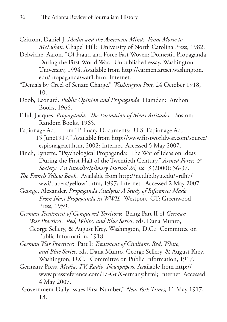Czitrom, Daniel J. *Media and the American Mind: From Morse to McLuhan.* Chapel Hill: University of North Carolina Press, 1982.

- Delwiche, Aaron. "Of Fraud and Force Fast Woven: Domestic Propaganda During the First World War." Unpublished essay, Washington University, 1994. Available from http://carmen.artsci.washington. edu/propaganda/war1.htm. Internet.
- "Denials by Creel of Senate Charge." *Washington Post,* 24 October 1918, 10.
- Doob, Leonard. *Public Opinion and Propaganda.* Hamden: Archon Books, 1966.
- Ellul, Jacques. *Propaganda: The Formation of Men's Attitudes*. Boston: Random Books, 1965.
- Espionage Act. From "Primary Documents: U.S. Espionage Act, 15 June1917." Available from http://www.firstworldwar.com/source/ espionageact.htm, 2002; Internet. Accessed 5 May 2007.
- Finch, Lynette. "Psychological Propaganda: The War of Ideas on Ideas During the First Half of the Twentieth Century." *Armed Forces & Society: An Interdisciplinary Journal 26, no. 3* (2000): 36-37.
- *The French Yellow Book*. Available from http://net.lib.byu.edu/~rdh7/ wwi/papers/yellow1.htm, 1997; Internet. Accessed 2 May 2007.
- George, Alexander. *Propaganda Analysis: A Study of Inferences Made From Nazi Propaganda in WWII.* Westport, CT: Greenwood Press, 1959.
- *German Treatment of Conquered Territory*: Being Part II of *German War Practices*. *Red, White, and Blue Series*, eds. Dana Munro, George Sellery, & August Krey. Washington, D.C.: Committee on Public Information, 1918.

*German War Practices*: Part I: *Treatment of Civilians*. *Red, White, and Blue Series*, eds. Dana Munro, George Sellery, & August Krey. Washington, D.C.: Committee on Public Information, 1917.

- Germany Press, *Media, TV, Radio, Newspapers.* Available from http:// www.pressreference.com/Fa-Gu/Germany.html; Internet. Accessed 4 May 2007.
- "Government Daily Issues First Number," *New York Times,* 11 May 1917, 13.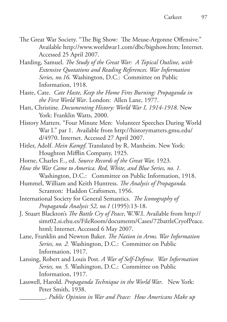- The Great War Society. "The Big Show: The Meuse-Argonne Offensive." Available http://www.worldwar1.com/dbc/bigshow.htm; Internet. Accessed 25 April 2007.
- Harding, Samuel. *The Study of the Great War: A Topical Outline, with Extensive Quotations and Reading References. War Information Series, no.16.* Washington, D.C.: Committee on Public Information, 1918.
- Haste, Cate. *Cate Haste, Keep the Home Fires Burning: Propaganda in the First World War*. London: Allen Lane, 1977.
- Hatt, Christine. *Documenting History: World War I, 1914-1918*. New York: Franklin Watts, 2000.
- History Matters. "Four Minute Men: Volunteer Speeches During World War I." par 1. Available from http://historymatters.gmu.edu/ d/4970. Internet. Accessed 27 April 2007.
- Hitler, Adolf. *Mein Kampf*. Translated by R. Manheim. New York: Houghton Mifflin Company, 1925.
- Horne, Charles F.., ed. *Source Records of the Great War,* 1923.
- *How the War Came to America. Red, White, and Blue Series, no. 1.*  Washington, D.C.: Committee on Public Information, 1918.
- Hummel, William and Keith Huntress. *The Analysis of Propaganda.*  Scranton: Haddon Craftsmen, 1956.
- International Society for General Semantics. *The Iconography of Propaganda Analysis 52, no.1* (1995):13-18.
- J. Stuart Blackton's *The Battle Cry of Peace*, W.W.I. Available from http:// simr02.si.ehu.es/FileRoom/documents/Cases/72battleCryofPeace. html; Internet. Accessed 6 May 2007.
- Lane, Franklin and Newton Baker. *The Nation in Arms. War Information Series, no. 2.* Washington, D.C.: Committee on Public Information, 1917.
- Lansing, Robert and Louis Post. *A War of Self-Defense. War Information Series, no. 5.* Washington, D.C.: Committee on Public Information, 1917.
- Lasswell, Harold. *Propaganda Technique in the World War*. New York: Peter Smith, 1938.

\_\_\_\_\_\_\_\_. *Public Opinion in War and Peace: How Americans Make up*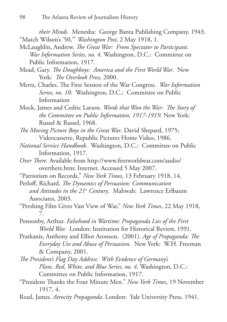*their Minds.* Menesha: George Banta Publishing Company, 1943. "Match Wilson's '50,'" *Washington Post,* 2 May 1918, 1.

- McLaughlin, Andrew. *The Great War: From Spectator to Participant. War Information Series, no. 4.* Washington, D.C.: Committee on Public Information, 1917.
- Mead, Gary. *The Doughboys: America and the First World War*. New York: *The Overlook Press,* 2000.
- Mertz, Charles. The First Session of the War Congress. *War Information Series, no. 10.* Washington, D.C.: Committee on Public Information
- Mock, James and Cedric Larson. *Words that Won the War: The Story of the Committee on Public Information, 1917-1919.* New York: Russel & Russel, 1968.
- *The Moving Picture Boys in the Great War*. David Shepard, 1975; Videocassette, Republic Pictures Home Video, 1986.
- *National Service Handbook*. Washington, D.C.: Committee on Public Information, 1917.
- *Over There.* Available from http://www.firstworldwar.com/audio/ overthere.htm; Internet. Accessed 5 May 2007.
- "Patriotism on Records," *New York Times*, 13 February 1918, 14.
- Perloff, Richard. *The Dynamics of Persuasion: Communication and Attitudes in the 21st Century*. Mahwah: Lawrence Erlbaum Associates, 2003.
- "Pershing Film Gives Vast View of War," *New York Times*, 22 May 1918, 7.
- Ponsonby, Arthur. *Falsehood in Wartime: Propaganda Lies of the First World War.* London: Institution for Historical Review, 1991.
- Pratkanis, Anthony and Elliot Aronson. (2001). *Age of Propaganda: The Everyday Use and Abuse of Persuasion.* New York: W.H. Freeman & Company, 2001.
- *The President's Flag Day Address: With Evidence of Germany's Plans. Red, White, and Blue Series, no. 4.* Washington, D.C.: Committee on Public Information, 1917.
- "President Thanks the Four Minute Men." *New York Times*, 19 November 1917, 4.
- Read, James. *Atrocity Propaganda*. London: Yale University Press, 1941.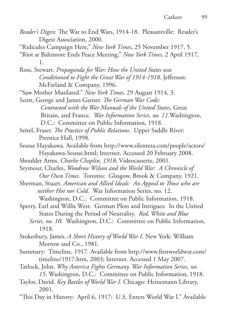- *Reader's Digest.* The War to End Wars, 1914-18. Pleasantville: Reader's Digest Association, 2000.
- "Ridicules Campaign Here," *New York Times*, 25 November 1917, 5.
- "Riot at Baltimore Ends Peace Meeting," *New York Times*, 2 April 1917, 1.

Ross, Stewart. *Propaganda for War: How the United States was Conditioned to Fight the Great War of 1914-1918*. Jefferson: McFarland & Company, 1996.

"Saw Mother Mutilated." *New York Times*, 29 August 1914, 3.

Scott, George and James Garner. *The German War Code: Contrasted with the War Manuals of the United States*, Great Britain, and France. *War Information Series, no. 11*.Washington, D.C.: Committee on Public Information, 1918.

- Seitel, Fraser. *The Practice of Public Relations*. Upper Saddle River: Prentice Hall, 1998.
- Sessue Hayakawa. Available from http://www.silentera.com/people/actors/ Hayakawa-Sessue.html; Internet. Accessed 20 February 2008.
- Shoulder Arms. *Charlie Chaplin, 1918*; Videocassette, 2001.
- Seymour, Charles, *Woodrow Wilson and the World War: A Chronicle of Our Own Times.* Toronto: Glasgow, Brook & Company, 1921.
- Sherman, Stuart. *American and Allied Ideals: An Appeal to Those who are neither Hot nor Cold.* War Information Series, no. 12. Washington, D.C.: Committee on Public Information, 1918.
- Sperry, Earl and Willis West. German Plots and Intrigues: In the United
	- States During the Period of Neutrality. *Red, White and Blue*
	- *Series, no. 10*. Washington, D.C.: Committee on Public Information, 1918.
- Stokesbury, James. *A Short History of World War I*. New York: William Morrow and Co., 1981.
- Summary: Timeline, 1917. Available from http://www.firstworldwar.com/ timeline/1917.htm, 2003; Internet. Accessed 1 May 2007.
- Tatlock, John. *Why America Fights Germany. War Information Series, no. 15*. Washington, D.C.: Committee on Public Information, 1918.
- Taylor, David. *Key Battles of World War I.* Chicago: Heinemann Library, 2001.
- "This Day in History: April 6, 1917: U.S. Enters World War I." Available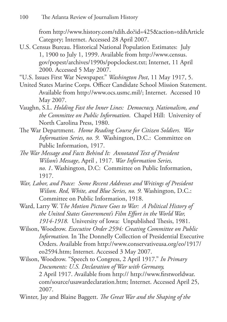from http://www.history.com/tdih.do?id=425&action=tdihArticle Category; Internet. Accessed 28 April 2007.

U.S. Census Bureau. Historical National Population Estimates: July 1, 1900 to July 1, 1999. Available from http://www.census. gov/popest/archives/1990s/popclockest.txt; Internet, 11 April 2000. Accessed 5 May 2007.

"U.S. Issues First War Newspaper." *Washington Post*, 11 May 1917, 5.

- United States Marine Corps. Officer Candidate School Mission Statement. Available from http://www.ocs.usmc.mil/; Internet. Accessed 10 May 2007.
- Vaughn, S.L. *Holding Fast the Inner Lines: Democracy, Nationalism, and the Committee on Public Information*. Chapel Hill: University of North Carolina Press, 1980.
- The War Department. *Home Reading Course for Citizen Soldiers. War Information Series, no. 9*. Washington, D.C.: Committee on Public Information, 1917.
- *The War Message and Facts Behind It: Annotated Text of President Wilson's Message*, April , 1917. *War Information Series, no. 1*. Washington, D.C: Committee on Public Information, 1917.
- *War, Labor, and Peace: Some Recent Addresses and Writings of President Wilson. Red, White, and Blue Series, no. 9.* Washington, D.C.: Committee on Public Information, 1918.
- Ward, Larry W. T*he Motion Picture Goes to War: A Political History of the United States Government's Film Effort in the World War, 1914-1918.* University of Iowa: Unpublished Thesis, 1981.
- Wilson, Woodrow. *Executive Order 2594: Creating Committee on Public Information.* In The Donnelly Collection of Presidential Executive Orders. Available from http://www.conservativeusa.org/eo/1917/ eo2594.htm; Internet. Accessed 3 May 2007.

Wilson, Woodrow. "Speech to Congress, 2 April 1917." *In Primary Documents: U.S. Declaration of War with Germany,* 2 April 1917. Available from http:// http://www.firstworldwar. com/source/usawardeclaration.htm; Internet. Accessed April 25, 2007.

Winter, Jay and Blaine Baggett. *The Great War and the Shaping of the*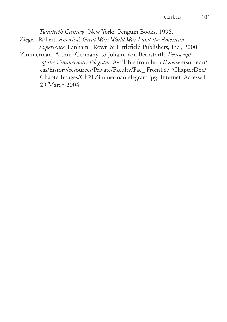*Twentieth Century.* New York: Penguin Books, 1996. Zieger, Robert. *America's Great War: World War I and the American Experience*. Lanham: Rown & Littlefield Publishers, Inc., 2000. Zimmerman, Arthur, Germany, to Johann von Bernstorff. *Transcript of the Zimmerman Telegram*. Available from http://www.etsu. edu/ cas/history/resources/Private/Faculty/Fac\_ From1877ChapterDoc/ ChapterImages/Ch21Zimmermantelegram.jpg; Internet. Accessed

29 March 2004.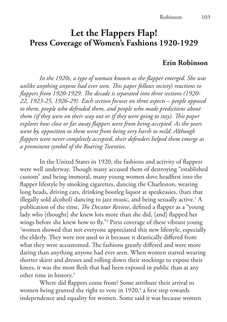# **Let the Flappers Flap! Press Coverage of Women's Fashions 1920-1929**

#### **Erin Robinson**

*In the 1920s, a type of woman known as the flapper emerged. She was unlike anything anyone had ever seen. This paper follows society's reactions to flappers from 1920-1929. The decade is separated into three sections (1920- 22, 1923-25, 1926-29). Each section focuses on three aspects – people opposed to them, people who defended them, and people who made predictions about them (if they were on their way out or if they were going to stay). This paper explores how close or far away flappers were from being accepted. As the years went by, opposition to them went from being very harsh to mild. Although flappers were never completely accepted, their defenders helped them emerge as a prominent symbol of the Roaring Twenties.*

In the United States in 1920, the fashions and activity of flappers were well underway. Though many accused them of destroying "established custom" and being immoral, many young women dove headfirst into the flapper lifestyle by smoking cigarettes, dancing the Charleston, wearing long beads, driving cars, drinking bootleg liquor at speakeasies, (bars that illegally sold alcohol) dancing to jazz music, and being sexually active.<sup>1</sup> A publication of the time, *The Decatur Review*, defined a flapper as a "young lady who [thought] she knew lots more than she did, [and] flapped her wings before she knew how to fly."<sup>2</sup> Press coverage of these vibrant young<br><sup>1</sup> young showed that not everyone appreciated this new lifestyle, especially <sup>1</sup>women showed that not everyone appreciated this new lifestyle, especially the elderly. They were not used to it because it drastically differed from what they were accustomed. The fashions greatly differed and were more daring than anything anyone had ever seen. When women started wearing shorter skirts and dresses and rolling down their stockings to expose their knees, it was the most flesh that had been exposed in public than at any other time in history.<sup>3</sup>

Where did flappers come from? Some attribute their arrival to women being granted the right to vote in  $1920,4$  a first step towards independence and equality for women. Some said it was because women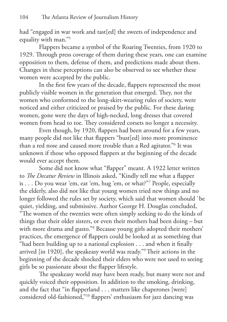had "engaged in war work and tast[ed] the sweets of independence and equality with man."<sup>5</sup>

Flappers became a symbol of the Roaring Twenties, from 1920 to 1929. Through press coverage of them during these years, one can examine opposition to them, defense of them, and predictions made about them. Changes in these perceptions can also be observed to see whether these women were accepted by the public.

In the first few years of the decade, flappers represented the most publicly visible women in the generation that emerged. They, not the women who conformed to the long-skirt-wearing rules of society, were noticed and either criticized or praised by the public. For these daring women, gone were the days of high-necked, long dresses that covered women from head to toe. They considered corsets no longer a necessity.

Even though, by 1920, flappers had been around for a few years, many people did not like that flappers "bust[ed] into more prominence than a red nose and caused more trouble than a Red agitator."6 It was unknown if those who opposed flappers at the beginning of the decade would ever accept them.

Some did not know what "flapper" meant. A 1922 letter written to *The Decatur Review* in Illinois asked, "Kindly tell me what a flapper is . . . Do you wear 'em, eat 'em, hug 'em, or what?"7 People, especially the elderly, also did not like that young women tried new things and no longer followed the rules set by society, which said that women should `be quiet, yielding, and submissive. Author George H. Douglas concluded, "The women of the twenties were often simply seeking to do the kinds of things that their older sisters, or even their mothers had been doing – but with more drama and gusto."8 Because young girls adopted their mothers' practices, the emergence of flappers could be looked at as something that "had been building up to a national explosion . . . and when it finally arrived [in 1920], the speakeasy world was ready."9 Their actions in the beginning of the decade shocked their elders who were not used to seeing girls be so passionate about the flapper lifestyle.

The speakeasy world may have been ready, but many were not and quickly voiced their opposition. In addition to the smoking, drinking, and the fact that "in flapperland . . . matters like chaperones [were] considered old-fashioned,"10 flappers' enthusiasm for jazz dancing was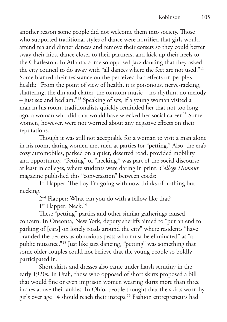another reason some people did not welcome them into society. Those who supported traditional styles of dance were horrified that girls would attend tea and dinner dances and remove their corsets so they could better sway their hips, dance closer to their partners, and kick up their heels to the Charleston. In Atlanta, some so opposed jazz dancing that they asked the city council to do away with "all dances where the feet are not used."11 Some blamed their resistance on the perceived bad effects on people's health: "From the point of view of health, it is poisonous, nerve-racking, shattering, the din and clatter, the tomtom music – no rhythm, no melody – just sex and bedlam."12 Speaking of sex, if a young woman visited a man in his room, traditionalists quickly reminded her that not too long ago, a woman who did that would have wrecked her social career.13 Some women, however, were not worried about any negative effects on their reputations.

Though it was still not acceptable for a woman to visit a man alone in his room, daring women met men at parties for "petting." Also, the era's cozy automobiles, parked on a quiet, deserted road, provided mobility and opportunity. "Petting" or "necking," was part of the social discourse, at least in colleges, where students were daring in print. *College Humour*  magazine published this "conversation" between coeds:

1<sup>st</sup> Flapper: The boy I'm going with now thinks of nothing but necking.

2<sup>nd</sup> Flapper: What can you do with a fellow like that?

1<sup>st</sup> Flapper: Neck.<sup>14</sup>

These "petting" parties and other similar gatherings caused concern. In Oneonta, New York, deputy sheriffs aimed to "put an end to parking of [cars] on lonely roads around the city" where residents "have branded the petters as obnoxious pests who must be eliminated" as "a public nuisance."15 Just like jazz dancing, "petting" was something that some older couples could not believe that the young people so boldly participated in.

Short skirts and dresses also came under harsh scrutiny in the early 1920s. In Utah, those who opposed of short skirts proposed a bill that would fine or even imprison women wearing skirts more than three inches above their ankles. In Ohio, people thought that the skirts worn by girls over age 14 should reach their insteps.16 Fashion entrepreneurs had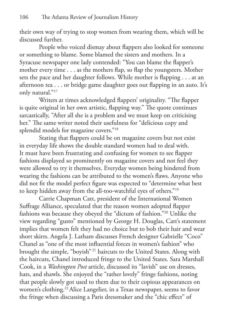their own way of trying to stop women from wearing them, which will be discussed further.

People who voiced dismay about flappers also looked for someone or something to blame. Some blamed the sisters and mothers. In a Syracuse newspaper one lady contended: "You can blame the flapper's mother every time . . . as the mothers flap, so flap the youngsters. Mother sets the pace and her daughter follows. While mother is flapping . . . at an afternoon tea . . . or bridge game daughter goes out flapping in an auto. It's only natural."17

Writers at times acknowledged flappers' originality. "The flapper is quite original in her own artistic, flapping way." The quote continues sarcastically, "After all she is a problem and we must keep on criticising her." The same writer noted their usefulness for "delicious copy and splendid models for magazine covers."18

Stating that flappers could be on magazine covers but not exist in everyday life shows the double standard women had to deal with. It must have been frustrating and confusing for women to see flapper fashions displayed so prominently on magazine covers and not feel they were allowed to try it themselves. Everyday women being hindered from wearing the fashions can be attributed to the women's flaws. Anyone who did not fit the model perfect figure was expected to "determine what best to keep hidden away from the all-too-watchful eyes of others."19

Carrie Chapman Catt, president of the International Women Suffrage Alliance, speculated that the reason women adopted flapper fashions was because they obeyed the "dictum of fashion."20 Unlike the view regarding "gusto" mentioned by George H. Douglas, Catt's statement implies that women felt they had no choice but to bob their hair and wear short skirts. Angela J. Latham discusses French designer Gabrielle "Coco" Chanel as "one of the most influential forces in women's fashion" who brought the simple, "boyish" 21 haircuts to the United States. Along with the haircuts, Chanel introduced fringe to the United States. Sara Marshall Cook, in a *Washington Post* article, discussed its "lavish" use on dresses, hats, and shawls. She enjoyed the "rather lovely" fringe fashions, noting that people slowly got used to them due to their copious appearances on women's clothing.<sup>22</sup> Alice Langelier, in a Texas newspaper, seems to favor the fringe when discussing a Paris dressmaker and the "chic effect" of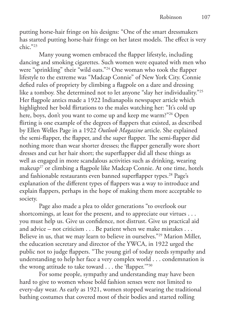putting horse-hair fringe on his designs: "One of the smart dressmakers has started putting horse-hair fringe on her latest models. The effect is very chic."23

Many young women embraced the flapper lifestyle, including dancing and smoking cigarettes. Such women were equated with men who were "sprinkling" their "wild oats."24 One woman who took the flapper lifestyle to the extreme was "Madcap Connie" of New York City. Connie defied rules of propriety by climbing a flagpole on a dare and dressing like a tomboy. She determined not to let anyone "slay her individuality."25 Her flagpole antics made a 1922 Indianapolis newspaper article which highlighted her bold flirtations to the males watching her: "It's cold up here, boys, don't you want to come up and keep me warm?"26 Open flirting is one example of the degrees of flappers that existed, as described by Ellen Welles Page in a 1922 *Outlook Magazine* article. She explained the semi-flapper, the flapper, and the super flapper. The semi-flapper did nothing more than wear shorter dresses; the flapper generally wore short dresses and cut her hair short; the superflapper did all these things as well as engaged in more scandalous activities such as drinking, wearing makeup<sup>27</sup> or climbing a flagpole like Madcap Connie. At one time, hotels and fashionable restaurants even banned superflapper types.<sup>28</sup> Page's explanation of the different types of flappers was a way to introduce and explain flappers, perhaps in the hope of making them more acceptable to society.

Page also made a plea to older generations "to overlook our shortcomings, at least for the present, and to appreciate our virtues . . . you must help us. Give us confidence, not distrust. Give us practical aid and advice – not criticism . . . Be patient when we make mistakes . . . Believe in us, that we may learn to believe in ourselves."29 Marion Miller, the education secretary and director of the YWCA, in 1922 urged the public not to judge flappers. "The young girl of today needs sympathy and understanding to help her face a very complex world . . . condemnation is the wrong attitude to take toward . . . the 'flapper.'"30

For some people, sympathy and understanding may have been hard to give to women whose bold fashion senses were not limited to every-day wear. As early as 1921, women stopped wearing the traditional bathing costumes that covered most of their bodies and started rolling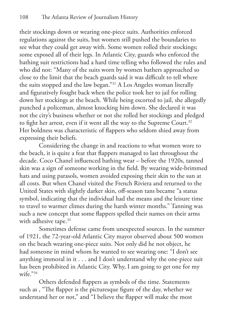their stockings down or wearing one-piece suits. Authorities enforced regulations against the suits, but women still pushed the boundaries to see what they could get away with. Some women rolled their stockings; some exposed all of their legs. In Atlantic City, guards who enforced the bathing suit restrictions had a hard time telling who followed the rules and who did not: "Many of the suits worn by women bathers approached so close to the limit that the beach guards said it was difficult to tell where the suits stopped and the law began."31 A Los Angeles woman literally and figuratively fought back when the police took her to jail for rolling down her stockings at the beach. While being escorted to jail, she allegedly punched a policeman, almost knocking him down. She declared it was not the city's business whether or not she rolled her stockings and pledged to fight her arrest, even if it went all the way to the Supreme Court.<sup>32</sup> Her boldness was characteristic of flappers who seldom shied away from expressing their beliefs.

Considering the change in and reactions to what women wore to the beach, it is quite a feat that flappers managed to last throughout the decade. Coco Chanel influenced bathing wear – before the 1920s, tanned skin was a sign of someone working in the field. By wearing wide-brimmed hats and using parasols, women avoided exposing their skin to the sun at all costs. But when Chanel visited the French Riviera and returned to the United States with slightly darker skin, off-season tans became "a status symbol, indicating that the individual had the means and the leisure time to travel to warmer climes during the harsh winter months." Tanning was such a new concept that some flappers spelled their names on their arms with adhesive tape.<sup>33</sup>

Sometimes defense came from unexpected sources. In the summer of 1921, the 72-year-old Atlantic City mayor observed about 500 women on the beach wearing one-piece suits. Not only did he not object, he had someone in mind whom he wanted to see wearing one: "I don't see anything immoral in it . . . and I don't understand why the one-piece suit has been prohibited in Atlantic City. Why, I am going to get one for my wife."34

Others defended flappers as symbols of the time. Statements such as , "The flapper is the picturesque figure of the day, whether we understand her or not," and "I believe the flapper will make the most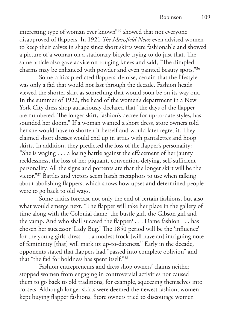interesting type of woman ever known"35 showed that not everyone disapproved of flappers. In 1921 *The Mansfield News* even advised women to keep their calves in shape since short skirts were fashionable and showed a picture of a woman on a stationary bicycle trying to do just that. The same article also gave advice on rouging knees and said, "The dimpled charms may be enhanced with powder and even painted beauty spots."36

Some critics predicted flappers' demise, certain that the lifestyle was only a fad that would not last through the decade. Fashion heads viewed the shorter skirt as something that would soon be on its way out. In the summer of 1922, the head of the women's department in a New York City dress shop audaciously declared that "the days of the flapper are numbered. The longer skirt, fashion's decree for up-to-date styles, has sounded her doom." If a woman wanted a short dress, store owners told her she would have to shorten it herself and would later regret it. They claimed short dresses would end up in attics with pantalettes and hoop skirts. In addition, they predicted the loss of the flapper's personality: "She is waging . . . a losing battle against the effacement of her jaunty recklessness, the loss of her piquant, convention-defying, self-sufficient personality. All the signs and portents are that the longer skirt will be the victor."37 Battles and victors seem harsh metaphors to use when talking about abolishing flappers, which shows how upset and determined people were to go back to old ways.

Some critics forecast not only the end of certain fashions, but also what would emerge next. "The flapper will take her place in the gallery of time along with the Colonial dame, the bustle girl, the Gibson girl and the vamp. And who shall succeed the flapper? . . . Dame fashion . . . has chosen her successor 'Lady Bug.' The 1850 period will be the 'influence' for the young girls' dress . . . a modest frock [will have an] intriguing note of femininity [that] will mark its up-to-dateness." Early in the decade, opponents stated that flappers had "passed into complete oblivion" and that "the fad for boldness has spent itself."38

Fashion entrepreneurs and dress shop owners' claims neither stopped women from engaging in controversial activities nor caused them to go back to old traditions, for example, squeezing themselves into corsets. Although longer skirts were deemed the newest fashion, women kept buying flapper fashions. Store owners tried to discourage women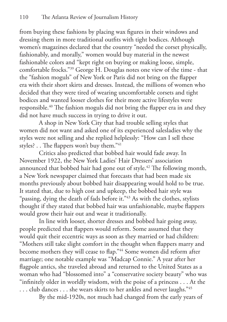from buying these fashions by placing wax figures in their windows and dressing them in more traditional outfits with tight bodices. Although women's magazines declared that the country "needed the corset physically, fashionably, and morally," women would buy material in the newest fashionable colors and "kept right on buying or making loose, simple, comfortable frocks."39 George H. Douglas notes one view of the time - that the "fashion moguls" of New York or Paris did not bring on the flapper era with their short skirts and dresses. Instead, the millions of women who decided that they were tired of wearing uncomfortable corsets and tight bodices and wanted looser clothes for their more active lifestyles were responsible.40 The fashion moguls did not bring the flapper era in and they did not have much success in trying to drive it out.

A shop in New York City that had trouble selling styles that women did not want and asked one of its experienced salesladies why the styles were not selling and she replied helplessly: "How can I sell these styles? . . The flappers won't buy them."41

Critics also predicted that bobbed hair would fade away. In November 1922, the New York Ladies' Hair Dressers' association announced that bobbed hair had gone out of style.<sup>42</sup> The following month, a New York newspaper claimed that forecasts that had been made six months previously about bobbed hair disappearing would hold to be true. It stated that, due to high cost and upkeep, the bobbed hair style was "passing, dying the death of fads before it."<sup>43</sup> As with the clothes, stylists thought if they stated that bobbed hair was unfashionable, maybe flappers would grow their hair out and wear it traditionally.

In line with looser, shorter dresses and bobbed hair going away, people predicted that flappers would reform. Some assumed that they would quit their eccentric ways as soon as they married or had children: "Mothers still take slight comfort in the thought when flappers marry and become mothers they will cease to flap."44 Some women did reform after marriage; one notable example was "Madcap Connie." A year after her flagpole antics, she traveled abroad and returned to the United States as a woman who had "blossomed into" a "conservative society beauty" who was "infinitely older in worldly wisdom, with the poise of a princess . . . At the ... club dances ... she wears skirts to her ankles and never laughs."45

By the mid-1920s, not much had changed from the early years of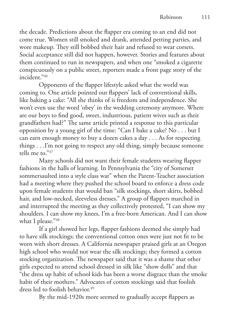the decade. Predictions about the flapper era coming to an end did not come true. Women still smoked and drank, attended petting parties, and wore makeup. They still bobbed their hair and refused to wear corsets. Social acceptance still did not happen, however. Stories and features about them continued to run in newspapers, and when one "smoked a cigarette conspicuously on a public street, reporters made a front page story of the incident."46

Opponents of the flapper lifestyle asked what the world was coming to. One article pointed out flappers' lack of conventional skills, like baking a cake: "All she thinks of is freedom and independence. She won't even use the word 'obey' in the wedding ceremony anymore. Where are our boys to find good, sweet, industrious, patient wives such as their grandfathers had?" The same article printed a response to this particular opposition by a young girl of the time: "Can I bake a cake? No . . . but I can earn enough money to buy a dozen cakes a day . . . As for respecting things . . .I'm not going to respect any old thing, simply because someone tells me to."47

Many schools did not want their female students wearing flapper fashions in the halls of learning. In Pennsylvania the "city of Somerset sommersaulted into a style class war" when the Parent-Teacher association had a meeting where they pushed the school board to enforce a dress code upon female students that would ban "silk stockings, short skirts, bobbed hair, and low-necked, sleeveless dresses." A group of flappers marched in and interrupted the meeting as they collectively protested, "I can show my shoulders. I can show my knees, I'm a free-born American. And I can show what I please."48

If a girl showed her legs, flapper fashions deemed she simply had to have silk stockings; the conventional cotton ones were just not fit to be worn with short dresses. A California newspaper praised girls at an Oregon high school who would not wear the silk stockings; they formed a cotton stocking organization. The newspaper said that it was a shame that other girls expected to attend school dressed in silk like "show dolls" and that "the dress up habit of school kids has been a worse disgrace than the smoke habit of their mothers." Advocates of cotton stockings said that foolish dress led to foolish behavior.<sup>49</sup>

By the mid-1920s more seemed to gradually accept flappers as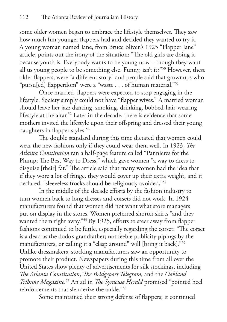some older women began to embrace the lifestyle themselves. They saw how much fun younger flappers had and decided they wanted to try it. A young woman named Jane, from Bruce Bliven's 1925 "Flapper Jane" article, points out the irony of the situation: "The old girls are doing it because youth is. Everybody wants to be young now – though they want all us young people to be something else. Funny, isn't it?"50 However, these older flappers; were "a different story" and people said that grownups who "pursu[ed] flapperdom" were a "waste . . . of human material."51

Once married, flappers were expected to stop engaging in the lifestyle. Society simply could not have "flapper wives." A married woman should leave her jazz dancing, smoking, drinking, bobbed-hair-wearing lifestyle at the altar.<sup>52</sup> Later in the decade, there is evidence that some mothers invited the lifestyle upon their offspring and dressed their young daughters in flapper styles.<sup>53</sup>

The double standard during this time dictated that women could wear the new fashions only if they could wear them well. In 1923, *The Atlanta Constitution* ran a half-page feature called "Pannieres for the Plump; The Best Way to Dress," which gave women "a way to dress to disguise [their] fat." The article said that many women had the idea that if they wore a lot of fringe, they would cover up their extra weight, and it declared, "sleeveless frocks should be religiously avoided,"<sup>54</sup>

In the middle of the decade efforts by the fashion industry to turn women back to long dresses and corsets did not work. In 1924 manufacturers found that women did not want what store managers put on display in the stores. Women preferred shorter skirts "and they wanted them right away."<sup>55</sup> By 1925, efforts to steer away from flapper fashions continued to be futile, especially regarding the corset: "The corset is a dead as the dodo's grandfather; not feeble publicity pipings by the manufacturers, or calling it a "clasp around" will [bring it back]."<sup>56</sup> Unlike dressmakers, stocking manufacturers saw an opportunity to promote their product. Newspapers during this time from all over the United States show plenty of advertisements for silk stockings, including *The Atlanta Constitution*, *The Bridgeport Telegram*, and the *Oakland Tribune Magazine*. 57 An ad in *The Syracuse Herald* promised "pointed heel reinforcements that slenderize the ankle."58

Some maintained their strong defense of flappers; it continued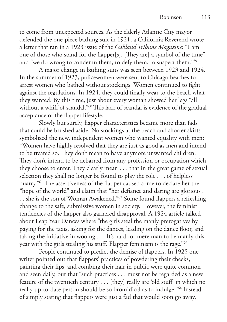to come from unexpected sources. As the elderly Atlantic City mayor defended the one-piece bathing suit in 1921, a California Reverend wrote a letter that ran in a 1923 issue of the *Oakland Tribune Magazine*: "I am one of those who stand for the flapper[s]. [They are] a symbol of the time" and "we do wrong to condemn them, to defy them, to suspect them."59

A major change in bathing suits was seen between 1923 and 1924. In the summer of 1923, policewomen were sent to Chicago beaches to arrest women who bathed without stockings. Women continued to fight against the regulations. In 1924, they could finally wear to the beach what they wanted. By this time, just about every woman showed her legs "all without a whiff of scandal."<sup>60</sup> This lack of scandal is evidence of the gradual acceptance of the flapper lifestyle.

Slowly but surely, flapper characteristics became more than fads that could be brushed aside. No stockings at the beach and shorter skirts symbolized the new, independent women who wanted equality with men: "Women have highly resolved that they are just as good as men and intend to be treated so. They don't mean to have anymore unwanted children. They don't intend to be debarred from any profession or occupation which they choose to enter. They clearly mean . . . that in the great game of sexual selection they shall no longer be found to play the role . . . of helpless quarry."61 The assertiveness of the flapper caused some to declare her the "hope of the world" and claim that "her defiance and daring are glorious . . . she is the son of Woman Awakened."62 Some found flappers a refreshing change to the safe, submissive women in society. However, the feminist tendencies of the flapper also garnered disapproval. A 1924 article talked about Leap Year Dances where "the girls steal the manly prerogatives by paying for the taxis, asking for the dances, leading on the dance floor, and taking the initiative in wooing . . . It's hard for mere man to be manly this year with the girls stealing his stuff. Flapper feminism is the rage."63

People continued to predict the demise of flappers. In 1925 one writer pointed out that flappers' practices of powdering their cheeks, painting their lips, and combing their hair in public were quite common and seen daily, but that "such practices . . . must not be regarded as a new feature of the twentieth century . . . [they] really are 'old stuff' in which no really up-to-date person should be so bromidical as to indulge."64 Instead of simply stating that flappers were just a fad that would soon go away,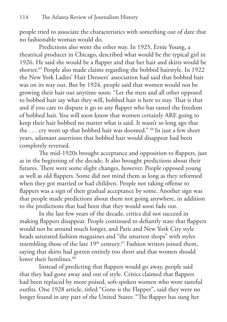people tried to associate the characteristics with something out of date that no fashionable woman would do.

Predictions also went the other way. In 1925, Ernie Young, a theatrical producer in Chicago, described what would be the typical girl in 1926. He said she would be a flapper and that her hair and skirts would be shorter.65 People also made claims regarding the bobbed hairstyle. In 1922 the New York Ladies' Hair Dressers' association had said that bobbed hair was on its way out. But by 1924, people said that women would not be growing their hair out anytime soon: "Let the men and all other opposed to bobbed hair say what they will, bobbed hair is here to stay. That is that and if you care to dispute it go to any flapper who has tasted the freedom of bobbed hair. You will soon know that women certainly ARE going to keep their hair bobbed no matter what is said. It wasn't so long ago that the . . . cry went up that bobbed hair was doomed." 66 In just a few short years, adamant assertions that bobbed hair would disappear had been completely reversed.

The mid-1920s brought acceptance and opposition to flappers, just as in the beginning of the decade. It also brought predictions about their futures. There were some slight changes, however. People opposed young as well as old flappers. Some did not mind them as long as they reformed when they got married or had children. People not taking offense to flappers was a sign of their gradual acceptance by some. Another sign was that people made predictions about them not going anywhere, in addition to the predictions that had been that they would soon fade out.

In the last few years of the decade, critics did not succeed in making flappers disappear. People continued to defiantly state that flappers would not be around much longer, and Paris and New York City style heads saturated fashion magazines and "the smartest shops" with styles resembling those of the late  $19<sup>th</sup>$  century.<sup>67</sup> Fashion writers joined them, saying that skirts had gotten entirely too short and that women should lower their hemlines.<sup>68</sup>

Instead of predicting that flappers would go away, people said that they had gone away and out of style. Critics claimed that flappers had been replaced by more poised, soft-spoken women who wore tasteful outfits. One 1928 article, titled "Gone is the Flapper", said they were no longer found in any part of the United States: "The flapper has sung her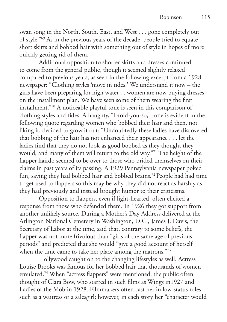swan song in the North, South, East, and West . . . gone completely out of style."69 As in the previous years of the decade, people tried to equate short skirts and bobbed hair with something out of style in hopes of more quickly getting rid of them.

Additional opposition to shorter skirts and dresses continued to come from the general public, though it seemed slightly relaxed compared to previous years, as seen in the following excerpt from a 1928 newspaper: "Clothing styles 'move in tides.' We understand it now – the girls have been preparing for high water . . women are now buying dresses on the installment plan. We have seen some of them wearing the first installment."70 A noticeable playful tone is seen in this comparison of clothing styles and tides. A haughty, "I-told-you-so," tone is evident in the following quote regarding women who bobbed their hair and then, not liking it, decided to grow it out: "Undoubtedly these ladies have discovered that bobbing of the hair has not enhanced their appearance . . . let the ladies find that they do not look as good bobbed as they thought they would, and many of them will return to the old way."71 The height of the flapper hairdo seemed to be over to those who prided themselves on their claims in past years of its passing. A 1929 Pennsylvania newspaper poked fun, saying they had bobbed hair and bobbed brains.72 People had had time to get used to flappers so this may be why they did not react as harshly as they had previously and instead brought humor to their criticisms.

Opposition to flappers, even if light-hearted, often elicited a response from those who defended them. In 1926 they got support from another unlikely source. During a Mother's Day Address delivered at the Arlington National Cemetery in Washington, D.C., James J. Davis, the Secretary of Labor at the time, said that, contrary to some beliefs, the flapper was not more frivolous than "girls of the same age of previous periods" and predicted that she would "give a good account of herself when the time came to take her place among the matrons."73

Hollywood caught on to the changing lifestyles as well. Actress Louise Brooks was famous for her bobbed hair that thousands of women emulated.74 When "actress flappers" were mentioned, the public often thought of Clara Bow, who starred in such films as Wings in1927 and Ladies of the Mob in 1928. Filmmakers often cast her in low-status roles such as a waitress or a salesgirl; however, in each story her "character would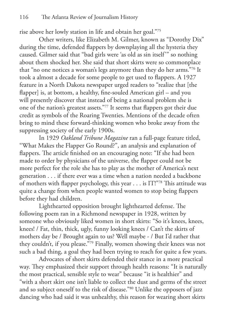rise above her lowly station in life and obtain her goal."75

Other writers, like Elizabeth M. Gilmer, known as "Dorothy Dix" during the time, defended flappers by downplaying all the hysteria they caused. Gilmer said that "bad girls were 'as old as sin itself'" so nothing about them shocked her. She said that short skirts were so commonplace that "no one notices a woman's legs anymore than they do her arms."76 It took a almost a decade for some people to get used to flappers. A 1927 feature in a North Dakota newspaper urged readers to "realize that [the flapper] is, at bottom, a healthy, fine-souled American girl – and you will presently discover that instead of being a national problem she is one of the nation's greatest assets."77 It seems that flappers got their due credit as symbols of the Roaring Twenties. Mentions of the decade often bring to mind these forward-thinking women who broke away from the suppressing society of the early 1900s.

In 1929 *Oakland Tribune Magazine* ran a full-page feature titled, "What Makes the Flapper Go Round?", an analysis and explanation of flappers. The article finished on an encouraging note: "If she had been made to order by physicians of the universe, the flapper could not be more perfect for the role she has to play as the mother of America's next generation . . . if there ever was a time when a nation needed a backbone of mothers with flapper psychology, this year . . . is IT!"78 This attitude was quite a change from when people wanted women to stop being flappers before they had children.

Lighthearted opposition brought lighthearted defense. The following poem ran in a Richmond newspaper in 1928, written by someone who obviously liked women in short skirts: "So it's knees, knees, knees! / Fat, thin, thick, ugly, funny looking knees / Can't the skirts of mothers day be / Brought again to us? Well maybe - / But I'd rather that they couldn't, if you please."79 Finally, women showing their knees was not such a bad thing, a goal they had been trying to reach for quite a few years.

Advocates of short skirts defended their stance in a more practical way. They emphasized their support through health reasons: "It is naturally the most practical, sensible style to wear" because "it is healthier" and "with a short skirt one isn't liable to collect the dust and germs of the street and so subject oneself to the risk of disease."80 Unlike the opposers of jazz dancing who had said it was unhealthy, this reason for wearing short skirts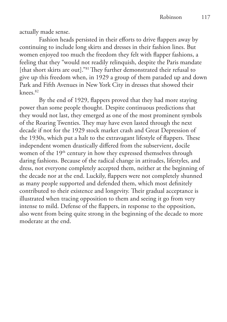actually made sense.

Fashion heads persisted in their efforts to drive flappers away by continuing to include long skirts and dresses in their fashion lines. But women enjoyed too much the freedom they felt with flapper fashions, a feeling that they "would not readily relinquish, despite the Paris mandate [that short skirts are out]."<sup>81</sup> They further demonstrated their refusal to give up this freedom when, in 1929 a group of them paraded up and down Park and Fifth Avenues in New York City in dresses that showed their knees.82

By the end of 1929, flappers proved that they had more staying power than some people thought. Despite continuous predictions that they would not last, they emerged as one of the most prominent symbols of the Roaring Twenties. They may have even lasted through the next decade if not for the 1929 stock market crash and Great Depression of the 1930s, which put a halt to the extravagant lifestyle of flappers. These independent women drastically differed from the subservient, docile women of the 19<sup>th</sup> century in how they expressed themselves through daring fashions. Because of the radical change in attitudes, lifestyles, and dress, not everyone completely accepted them, neither at the beginning of the decade nor at the end. Luckily, flappers were not completely shunned as many people supported and defended them, which most definitely contributed to their existence and longevity. Their gradual acceptance is illustrated when tracing opposition to them and seeing it go from very intense to mild. Defense of the flappers, in response to the opposition, also went from being quite strong in the beginning of the decade to more moderate at the end.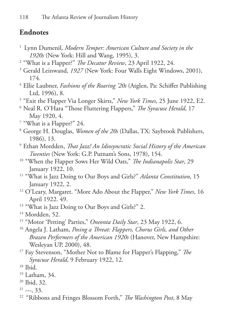## **Endnotes**

- 1 Lynn Dumenil, *Modern Temper: American Culture and Society in the 1920s* (New York: Hill and Wang, 1995), 3.
- 2 "What is a Flapper?" *The Decatur Review*, 23 April 1922, 24.
- <sup>3</sup> Gerald Leinwand, *1927* (New York: Four Walls Eight Windows, 2001), 174.
- 4 Ellie Laubner, *Fashions of the Roaring '20s* (Atglen, Pa: Schiffer Publishing Ltd, 1996), 8.
- 5 "Exit the Flapper Via Longer Skirts," *New York Times*, 25 June 1922, E2.
- 6 Neal R. O'Hara "Those Fluttering Flappers," *The Syracuse Herald*, 17 May 1920, 4.
- 7 "What is a Flapper?" 24.
- 8 George H. Douglas, *Women of the 20s* (Dallas, TX: Saybrook Publishers, 1986), 13.
- 9 Ethan Mordden, *That Jazz! An Idiosyncratic Social History of the American Twenties* (New York: G.P. Putnam's Sons, 1978), 154.
- 10 "When the Flapper Sows Her Wild Oats," *The Indianapolis Star*, 29 January 1922, 10.
- 11 "What is Jazz Doing to Our Boys and Girls?" *Atlanta Constitution*, 15 January 1922, 2.
- 12 O'Leary, Margaret. "More Ado About the Flapper," *New York Times*, 16 April 1922. 49.
- <sup>13</sup> "What is Jazz Doing to Our Boys and Girls?" 2.
- <sup>14</sup> Mordden, 52.
- 15 "Motor 'Petting' Parties," *Oneonta Daily Star*, 23 May 1922, 6.
- 16 Angela J. Latham, *Posing a Threat: Flappers, Chorus Girls, and Other Brazen Performers of the American 1920s* (Hanover, New Hampshire: Wesleyan UP, 2000), 48.
- 17 Fay Stevenson, "Mother Not to Blame for Flapper's Flapping," *The Syracuse Herald*, 9 February 1922, 12.

- 19 Latham, 34.
- 20 Ibid, 32.
- $21$  ---, 33.
- 22 "Ribbons and Fringes Blossom Forth," *The Washington Post*, 8 May

 $18$  Ibid.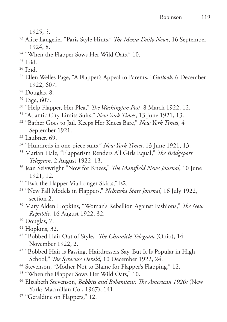1925, 5.

- 23 Alice Langelier "Paris Style Hints," *The Mexia Daily News*, 16 September 1924, 8.
- <sup>24</sup> "When the Flapper Sows Her Wild Oats," 10.

- <sup>26</sup> Ibid.
- 27 Ellen Welles Page, "A Flapper's Appeal to Parents," *Outlook*, 6 December 1922, 607.
- 28 Douglas, 8.
- 29 Page, 607.
- 30 "Help Flapper, Her Plea," *The Washington Post*, 8 March 1922, 12.
- 31 "Atlantic City Limits Suits," *New York Times*, 13 June 1921, 13.
- 32 "Bather Goes to Jail. Keeps Her Knees Bare," *New York Times*, 4 September 1921.
- $33$  Laubner, 69.
- 34 "Hundreds in one-piece suits," *New York Times*, 13 June 1921, 13.
- 35 Marian Hale, "Flapperism Renders All Girls Equal," *The Bridgeport Telegram*, 2 August 1922, 13.
- 36 Jean Seivwright "Now for Knees," *The Mansfield News Journal*, 10 June 1921, 12.
- <sup>37</sup> "Exit the Flapper Via Longer Skirts," E2.
- 38 "New Fall Models in Flappers," *Nebraska State Journal*, 16 July 1922, section 2.
- 39 Mary Alden Hopkins, "Woman's Rebellion Against Fashions," *The New Republic*, 16 August 1922, 32.
- 40 Douglas, 7.
- 41 Hopkins, 32.
- 42 "Bobbed Hair Out of Style," *The Chronicle Telegram* (Ohio), 14 November 1922, 2.
- <sup>43</sup> "Bobbed Hair is Passing, Hairdressers Say, But It Is Popular in High School," *The Syracuse Herald*, 10 December 1922, 24.
- <sup>44</sup> Stevenson, "Mother Not to Blame for Flapper's Flapping," 12.
- <sup>45</sup> "When the Flapper Sows Her Wild Oats," 10.
- 46 Elizabeth Stevenson, *Babbits and Bohemians: The American 1920s* (New York: Macmillan Co., 1967), 141.
- <sup>47</sup> "Geraldine on Flappers," 12.

 $25$  Ibid.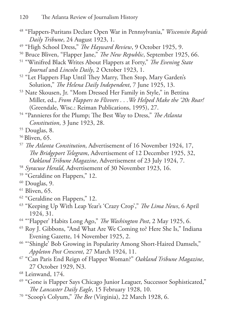- 48 "Flappers-Puritans Declare Open War in Pennsylvania," *Wisconsin Rapids Daily Tribune*, 24 August 1923, 1.
- 49 "High School Dress," *The Hayward Review*, 9 October 1925, 9.
- 50 Bruce Bliven, "Flapper Jane," *The New Republic*, September 1925, 66.
- 51 "Winifred Black Writes About Flappers at Forty," *The Evening State Journal* and *Lincoln Daily*, 2 October 1923, 1.
- 52 "Let Flappers Flap Until They Marry, Then Stop, Mary Garden's Solution," *The Helena Daily Independent*, 7 June 1925, 13.
- 53 Nate Skousen, Jr. "Mom Dressed Her Family in Style," in Bettina Miller, ed., *From Flappers to Flivvers . . .We Helped Make the '20s Roar!*  (Greendale, Wisc.: Reiman Publications, 1995), 27.
- 54 "Pannieres for the Plump; The Best Way to Dress," *The Atlanta Constitution*, 3 June 1923, 28.
- 55 Douglas, 8.
- 56 Bliven, 65.
- <sup>57</sup>*The Atlanta Constitution*, Advertisement of 16 November 1924, 17, *The Bridgeport Telegram*, Advertisement of 12 December 1925, 32, *Oakland Tribune Magazine*, Advertisement of 23 July 1924, 7.
- <sup>58</sup>*Syracuse Herald*, Advertisement of 30 November 1923, 16.
- <sup>59</sup> "Geraldine on Flappers," 12.
- 60 Douglas, 9.
- <sup>61</sup> Bliven, 65.
- <sup>62</sup> "Geraldine on Flappers," 12.
- 63 "Keeping Up With Leap Year's 'Crazy Crop'," *The Lima News*, 6 April 1924, 31.
- 64 "'Flapper' Habits Long Ago," *The Washington Post*, 2 May 1925, 6.
- 65 Roy J. Gibbons, "And What Are We Coming to? Here She Is," Indiana Evening Gazette, 14 November 1925, 2.
- <sup>66</sup> "'Shingle' Bob Growing in Popularity Among Short-Haired Damsels," *Appleton Post Crescent*, 27 March 1924, 11.
- 67 "Can Paris End Reign of Flapper Woman?" *Oakland Tribune Magazine*, 27 October 1929, N3.
- 68 Leinwand, 174.
- <sup>69</sup> "Gone is Flapper Says Chicago Junior Leaguer, Successor Sophisticated," *The Lancaster Daily Eagle*, 15 February 1928, 10.
- 70 "Scoop's Colyum," *The Bee* (Virginia), 22 March 1928, 6.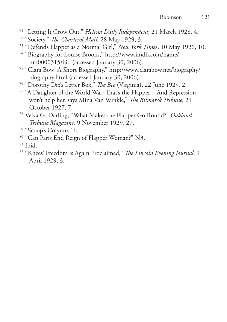- 71 "Letting It Grow Out!" *Helena Daily Independent*, 21 March 1928, 4.
- 72 "Society," *The Charleroi Mail*, 28 May 1929, 3.
- 73 "Defends Flapper as a Normal Girl," *New York Time*s, 10 May 1926, 10.
- 74 "Biography for Louise Brooks," http://www.imdb.com/name/ nm0000315/bio (accessed January 30, 2006).
- 75 "Clara Bow: A Short Biography." http://www.clarabow.net/biography/ biography.html (accessed January 30, 2006).
- 76 "Dorothy Dix's Letter Box," *The Bee* (Virginia), 22 June 1929, 2.
- 77 "A Daughter of the World War: That's the Flapper And Repression won't help her, says Mina Van Winkle," *The Bismarck Tribune*, 21 October 1927, 7.
- 78 Velva G. Darling, "What Makes the Flapper Go Round?" *Oakland Tribune Magazine*, 9 November 1929, 27.
- 79 "Scoop's Colyum," 6.
- 80 "Can Paris End Reign of Flapper Woman?" N3.
- $81$  Ibid.
- 82 "Knees' Freedom is Again Proclaimed," *The Lincoln Evening Journal*, 1 April 1929, 3.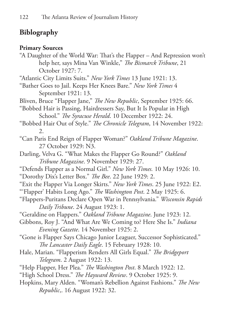## **Biblography**

#### **Primary Sources**

"A Daughter of the World War: That's the Flapper – And Repression won't help her, says Mina Van Winkle," *The Bismarck Tribune*, 21 October 1927: 7.

"Atlantic City Limits Suits." *New York Times* 13 June 1921: 13.

- "Bather Goes to Jail. Keeps Her Knees Bare." *New York Times* 4 September 1921: 13.
- Bliven, Bruce "Flapper Jane," *The New Republic*, September 1925: 66.

"Bobbed Hair is Passing, Hairdressers Say, But It Is Popular in High School." *The Syracuse Herald*. 10 December 1922: 24.

- "Bobbed Hair Out of Style." *The Chronicle Telegram*, 14 November 1922: 2.
- "Can Paris End Reign of Flapper Woman?" *Oakland Tribune Magazine*. 27 October 1929: N3.
- Darling, Velva G. "What Makes the Flapper Go Round?" *Oakland Tribune Magazine*. 9 November 1929: 27.
- "Defends Flapper as a Normal Girl." *New York Times.* 10 May 1926: 10.

"Dorothy Dix's Letter Box." *The Bee*. 22 June 1929: 2.

- "Exit the Flapper Via Longer Skirts." *New York Times*. 25 June 1922: E2.
- "'Flapper' Habits Long Ago." *The Washington Post*. 2 May 1925: 6.
- "Flappers-Puritans Declare Open War in Pennsylvania." *Wisconsin Rapids Daily Tribune*. 24 August 1923: 1.
- "Geraldine on Flappers." *Oakland Tribune Magazine*. June 1923: 12.
- Gibbons, Roy J. "And What Are We Coming to? Here She Is." *Indiana Evening Gazette*. 14 November 1925: 2.

"Gone is Flapper Says Chicago Junior Leaguer, Successor Sophisticated." *The Lancaster Daily Eagle*. 15 February 1928: 10.

- Hale, Marian. "Flapperism Renders All Girls Equal." *The Bridgeport Telegram*. 2 August 1922: 13.
- "Help Flapper, Her Plea." *The Washington Post*. 8 March 1922: 12.
- "High School Dress." *The Hayward Review*. 9 October 1925: 9.
- Hopkins, Mary Alden. "Woman's Rebellion Against Fashions." *The New Republic*,. 16 August 1922: 32.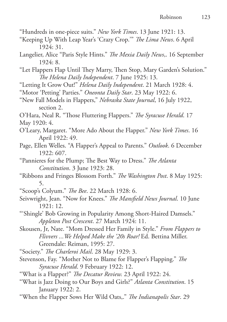- "Hundreds in one-piece suits." *New York Times*. 13 June 1921: 13.
- "Keeping Up With Leap Year's 'Crazy Crop.'" *The Lima News*. 6 April 1924: 31.
- Langelier, Alice "Paris Style Hints." *The Mexia Daily News*,. 16 September 1924: 8.
- "Let Flappers Flap Until They Marry, Then Stop, Mary Garden's Solution." *The Helena Daily Independent*. 7 June 1925: 13.
- "Letting It Grow Out!" *Helena Daily Independent*. 21 March 1928: 4.
- "Motor 'Petting' Parties." *Oneonta Daily Star*. 23 May 1922: 6.
- "New Fall Models in Flappers," *Nebraska State Journal*, 16 July 1922, section 2.
- O'Hara, Neal R. "Those Fluttering Flappers." *The Syracuse Herald*. 17
- May 1920: 4.
- O'Leary, Margaret. "More Ado About the Flapper." *New York Times*. 16 April 1922: 49.
- Page, Ellen Welles. "A Flapper's Appeal to Parents." *Outlook*. 6 December 1922: 607.
- "Pannieres for the Plump; The Best Way to Dress." *The Atlanta Constitution*. 3 June 1923: 28.
- "Ribbons and Fringes Blossom Forth." *The Washington Post*. 8 May 1925: 5.
- "Scoop's Colyum." *The Bee*. 22 March 1928: 6.
- Seivwright, Jean. "Now for Knees." *The Mansfield News Journal*. 10 June 1921: 12.
- "'Shingle' Bob Growing in Popularity Among Short-Haired Damsels." *Appleton Post Crescent*. 27 March 1924: 11.
- Skousen, Jr, Nate. "Mom Dressed Her Family in Style." *From Flappers to Flivvers ...We Helped Make the '20s Roar!* Ed. Bettina Miller. Greendale: Reiman, 1995: 27.
- "Society." *The Charleroi Mail*. 28 May 1929: 3.
- Stevenson, Fay. "Mother Not to Blame for Flapper's Flapping." *The Syracuse Herald*. 9 February 1922: 12.
- "What is a Flapper?" *The Decatur Review.* 23 April 1922: 24.
- "What is Jazz Doing to Our Boys and Girls?" *Atlanta Constitution*. 15 January 1922: 2.
- "When the Flapper Sows Her Wild Oats,." *The Indianapolis Star*. 29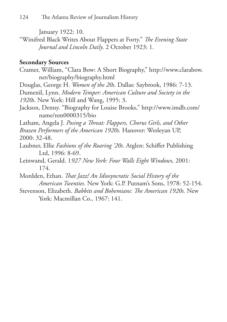January 1922: 10.

"Winifred Black Writes About Flappers at Forty." *The Evening State Journal and Lincoln Daily*. 2 October 1923: 1.

### **Secondary Sources**

- Cramer, William, "Clara Bow: A Short Biography," http://www.clarabow. net/biography/biography.html
- Douglas, George H. *Women of the 20s*. Dallas: Saybrook, 1986: 7-13. Dumenil, Lynn. *Modern Temper: American Culture and Society in the 1920s*. New York: Hill and Wang, 1995: 3.
- Jackson, Denny. "Biography for Louise Brooks," http://www.imdb.com/ name/nm0000315/bio

Latham, Angela J. *Posing a Threat: Flappers, Chorus Girls, and Other Brazen Performers of the American 1920s.* Hanover: Wesleyan UP, 2000: 32-48.

- Laubner, Ellie *Fashions of the Roaring '20s*. Atglen: Schiffer Publishing Ltd, 1996: 8-69.
- Leinwand, Gerald. 1*927 New York: Four Walls Eight Windows,* 2001: 174.

Mordden, Ethan. *That Jazz! An Idiosyncratic Social History of the American Twenties.* New York: G.P. Putnam's Sons, 1978: 52-154.

Stevenson, Elizabeth. *Babbits and Bohemians: The American 1920s.* New York: Macmillan Co., 1967: 141.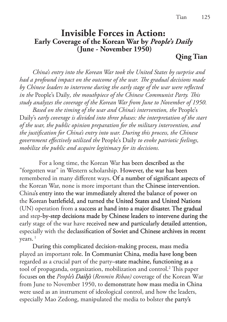### **Invisible Forces in Action: Early Coverage of the Korean War by** *People's Daily*  **(June - November 1950)**

**Qing Tian**

 *China's entry into the Korean War took the United States by surprise and had a profound impact on the outcome of the war. The gradual decisions made by Chinese leaders to intervene during the early stage of the war were reflected in the* People's Daily*, the mouthpiece of the Chinese Communist Party. This study analyzes the coverage of the Korean War from June to November of 1950.* 

 *Based on the timing of the war and China's intervention, the* People's Daily's *early coverage is divided into three phases: the interpretation of the start of the war, the public opinion preparation for the military intervention, and the justification for China's entry into war. During this process, the Chinese government effectively utilized the* People's Daily *to evoke patriotic feelings, mobilize the public and acquire legitimacy for its decisions.*

For a long time, the Korean War has been described as the "forgotten war" in Western scholarship. However, the war has been remembered in many different ways Of a number of significant aspects of the Korean War, none is more important than the Chinese intervention. China's entry into the war immediately altered the balance of power on the Korean battlefield, and turned the United States and United Nations (UN) operation from a success at hand into a major disaster. The gradual and step-by-step decisions made by Chinese leaders to intervene during the early stage of the war have received new and particularly detailed attention especially with the declassification of Soviet and Chinese archives in recent  $years.$ <sup>1</sup>

 During this complicated decision-making process, mass media played an important role. In Communist China, media have long been regarded as a crucial part of the party–state machine, functioning as a tool of propaganda, organization, mobilization and control.<sup>2</sup> This paper focuses on the *People's Daily's* (*Renmin Ribao*) coverage of the Korean War from June to November 1950, to demonstrate how mass media in China were used as an instrument of ideological control, and how the leaders, especially Mao Zedong, manipulated the media to bolster the party's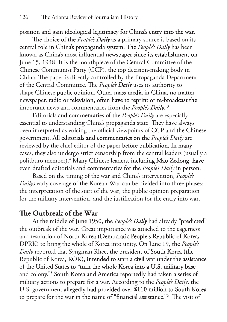position and gain ideological legitimacy for China's entry into the war

The choice of the *People's Daily* as a primary source is based on its central role in China's propaganda system. The *People's Daily* has been known as China's most influential newspaper since its establishment on June 15, 1948. It is the mouthpiece of the Central Committee of the Chinese Communist Party (CCP), the top decision-making body in China. The paper is directly controlled by the Propaganda Department of the Central Committee. The *People's Daily* uses its authority to shape Chinese public opinion. Other mass media in China, no matter newspaper, radio or television, often have to reprint or re-broadcast the important news and commentaries from the *People's Daily*.<sup>3</sup>

 Editorials and commentaries of the *People's Daily* are especially essential to understanding China's propaganda state. They have always been interpreted as voicing the official viewpoints of CCP and the Chinese government. All editorials and commentaries on the *People's Daily* are reviewed by the chief editor of the paper before publication. In many cases, they also undergo strict censorship from the central leaders (usually a politburo member).<sup>4</sup> Many Chinese leaders, including Mao Zedong, have even drafted editorials and commentaries for the *People's Daily* in person

 Based on the timing of the war and China's intervention, *People's Daily's* early coverage of the Korean War can be divided into three phases: the interpretation of the start of the war, the public opinion preparation for the military intervention, and the justification for the entry into war.

## **The Outbreak of the War**

At the middle of June 1950, the *People's Daily* had already "predicted" the outbreak of the war. Great importance was attached to the eagerness and resolution of North Korea (Democratic People's Republic of Korea, DPRK) to bring the whole of Korea into unity. On June 19, the *People's Daily* reported that Syngman Rhee, the president of South Korea (the Republic of Korea, ROK), intended to start a civil war under the assistance of the United States to "turn the whole Korea into a U.S. military base and colony."5 South Korea and America reportedly had taken a series of military actions to prepare for a war. According to the *People's Daily*, the U.S. government allegedly had provided over \$110 million to South Korea to prepare for the war in the name of "financial assistance."6 The visit of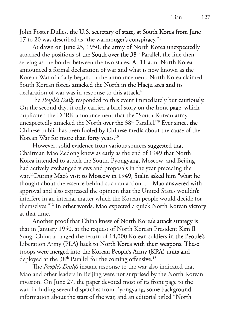John Foster Dulles, the U.S. secretary of state, at South Korea from June 17 to 20 was described as "the warmonger's conspiracy." 7

 At dawn on June 25, 1950, the army of North Korea unexpectedly attacked the positions of the South over the 38<sup>th</sup> Parallel, the line then serving as the border between the two states. At 11 a.m. North Korea announced a formal declaration of war and what is now known as the Korean War officially began. In the announcement, North Korea claimed South Korean forces attacked the North in the Haeju area and its declaration of war was in response to this attack.<sup>8</sup>

The *People's Daily* responded to this event immediately but cautiously. On the second day, it only carried a brief story on the front page, which duplicated the DPRK announcement that the "South Korean army unexpectedly attacked the North over the 38<sup>th</sup> Parallel."<sup>9</sup> Ever since, the Chinese public has been fooled by Chinese media about the cause of the Korean War for more than forty years.<sup>10</sup>

 However, solid evidence from various sources suggested that Chairman Mao Zedong knew as early as the end of 1949 that North Korea intended to attack the South. Pyongyang, Moscow, and Beijing had actively exchanged views and proposals in the year preceding the war.11During Mao's visit to Moscow in 1949, Stalin asked him "what he thought about the essence behind such an action. … Mao answered with approval and also expressed the opinion that the United States wouldn't interfere in an internal matter which the Korean people would decide for themselves."<sup>12</sup> In other words, Mao expected a quick North Korean victory at that time.

 Another proof that China knew of North Korea's attack strategy is that in January 1950, at the request of North Korean President Kim Il Song, China arranged the return of 14,000 Korean soldiers in the People's Liberation Army (PLA) back to North Korea with their weapons. These troops were merged into the Korean People's Army (KPA) units and deployed at the 38<sup>th</sup> Parallel for the coming offensive.<sup>13</sup>

The *People's Daily's* instant response to the war also indicated that Mao and other leaders in Beijing were not surprised by the North Korean invasion. On June 27, the paper devoted most of its front page to the war, including several dispatches from Pyongyang, some background information about the start of the war, and an editorial titled "North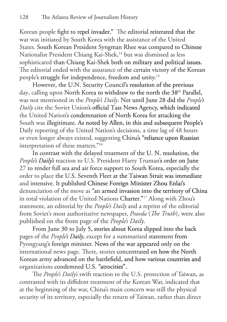Korean people fight to repel invader." The editorial reiterated that the war was initiated by South Korea with the assistance of the United States. South Korean President Syngman Rhee was compared to Chinese Nationalist President Chiang Kai-Shek,<sup>14</sup> but was dismissed as less sophisticated than Chiang Kai-Shek both on military and political issues. The editorial ended with the assurance of the certain victory of the Korean people's struggle for independence, freedom and unity.15

 However, the U.N. Security Council's resolution of the previous day, calling upon North Korea to withdraw to the north the 38<sup>th</sup> Parallel, was not mentioned in the *People's Daily*. Not until June 28 did the *People's Daily* cite the Soviet Union's official Tass News Agency which indicated the United Nation's condemnation of North Korea for attacking the South was illegitimate. As noted by Allen, in this and subsequent People's Daily reporting of the United Nation's decisions, a time lag of 48 hours or even longer always existed, suggesting China's "reliance upon Russian interpretation of these matters."<sup>16</sup>

 In contrast with the delayed treatment of the U. N. resolution, the People's Daily's reaction to U.S. President Harry Truman's order on June 27 to render full sea and air force support to South Korea, especially the order to place the U.S. Seventh Fleet at the Taiwan Strait was immediate and intensive. It published Chinese Foreign Minister Zhou Enlai's denunciation of the move as "an armed invasion into the territory of China in total violation of the United Nations Charter."<sup>17</sup> Along with Zhou's statement, an editorial by the *People's Daily* and a reprint of the editorial from Soviet's most authoritative newspaper, *Pravda* (*The Truth*), were also published on the front page of the *People's Daily*.

 From June 30 to July 5, stories about Korea slipped into the back pages of the *People's Daily*, except for a summarized statement from Pyongyang's foreign minister. News of the war appeared only on the international news page. There, stories concentrated on how the North Korean army advanced on the battlefield, and how various countries and organizations condemned U.S. "atrocities".

 The *People's Daily's* swift reaction to the U.S. protection of Taiwan, as contrasted with its diffident treatment of the Korean War, indicated that at the beginning of the war, China's main concern was still the physical security of its territory, especially the return of Taiwan, rather than direct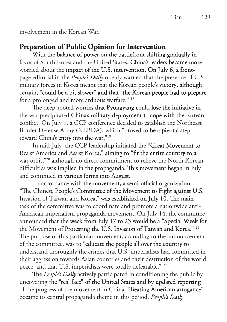involvement in the Korean War.

### **Preparation of Public Opinion for Intervention**

 With the balance of power on the battlefront shifting gradually in favor of South Korea and the United States, China's leaders became more worried about the impact of the U.S. intervention. On July 6, a frontpage editorial in the *People's Daily* openly warned that the presence of U.S. military forces in Korea meant that the Korean people's victory, although certain, "could be a bit slower" and that "the Korean people had to prepare for a prolonged and more arduous warfare."<sup>18</sup>

 The deep-rooted worries that Pyongyang could lose the initiative in the war precipitated China's military deployment to cope with the Korean conflict. On July 7, a CCP conference decided to establish the Northeast Border Defense Army (NEBDA), which "proved to be a pivotal step toward China's entry into the war."<sup>19</sup>

 In mid-July, the CCP leadership initiated the "Great Movement to Resist America and Assist Korea," aiming to "fit the entire country to a war orbit,"<sup>20</sup> although no direct commitment to relieve the North Korean difficulties was implied in the propaganda. This movement began in July and continued in various forms into August.

 In accordance with the movement, a semi-official organization, "The Chinese People's Committee of the Movement to Fight against U.S. Invasion of Taiwan and Korea," was established on July 10. The main task of the committee was to coordinate and promote a nationwide anti-American imperialism propaganda movement. On July 14, the committee announced that the week from July 17 to 23 would be a "Special Week for the Movement of Protesting the U.S. Invasion of Taiwan and Korea." 21 The purpose of this particular movement, according to the announcement of the committee, was to "educate the people all over the country to understand thoroughly the crimes that U.S. imperialists had committed in their aggression towards Asian countries and their destruction of the world peace, and that U.S. imperialists were totally defeatable."<sup>22</sup>

The *People's Daily* actively participated in conditioning the public by uncovering the "real face" of the United States and by updated reporting of the progress of the movement in China. "Beating American arrogance became its central propaganda theme in this period. *People's Daily s Daily*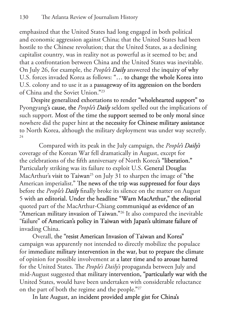emphasized that the United States had long engaged in both political and economic aggression against China; that the United States had been hostile to the Chinese revolution; that the United States, as a declining capitalist country, was in reality not as powerful as it seemed to be; and that a confrontation between China and the United States was inevitable. On July 26, for example, the *People's Daily* answered the inquiry of why U.S. forces invaded Korea as follows: "… to change the whole Korea into U.S. colony and to use it as a passageway of its aggression on the borders of China and the Soviet Union."<sup>23</sup>

Despite generalized exhortations to render "wholehearted support" to Pyongyang's cause, the *People's Daily* seldom spelled out the implications of such support. Most of the time the support seemed to be only moral since nowhere did the paper hint at the necessity for Chinese military assistance to North Korea, although the military deployment was under way secretly. 24

Compared with its peak in the July campaign, the *People's Daily's s*  coverage of the Korean War fell dramatically in August, except for the celebrations of the fifth anniversary of North Korea's "liberation." Particularly striking was its failure to exploit U.S. General Douglas MacArthur's visit to Taiwan<sup>25</sup> on July 31 to sharpen the image of "the American imperialist." The news of the trip was suppressed for four days before the *People's Daily* finally broke its silence on the matter on August 5 with an editorial. Under the headline "Warn MacArthur," the editorial quoted part of the MacArthur-Chiang communiqué as evidence of an "American military invasion of Taiwan."<sup>26</sup> It also compared the inevitable "failure" of American's policy in Taiwan with Japan's ultimate failure of invading China.

 Overall, the "resist American Invasion of Taiwan and Korea campaign was apparently not intended to directly mobilize the populace for immediate military intervention in the war, but to prepare the climate of opinion for possible involvement at a later time and to arouse hatred for the United States. The *People's Daily's* propaganda between July and mid-August suggested that military intervention, "particularly war with the United States, would have been undertaken with considerable reluctance on the part of both the regime and the people. $27$ 

In late August, an incident provided ample gist for China's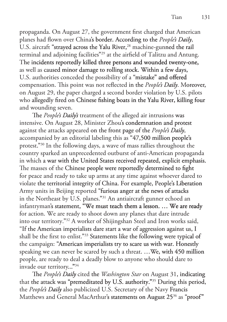propaganda. On August 27, the government first charged that American planes had flown over China's border. According to the *People's Daily*, U.S. aircraft "strayed across the Yalu River,<sup>28</sup> machine-gunned the rail terminal and adjoining facilities"<sup>29</sup> at the airfield of Talitzu and Antung. The incidents reportedly killed three persons and wounded twenty-one, as well as caused minor damage to rolling stock. Within a few days, U.S. authorities conceded the possibility of a "mistake" and offered compensation. This point was not reflected in the *People's Daily*. Moreover, on August 29, the paper charged a second border violation by U.S. pilots who allegedly fired on Chinese fishing boats in the Yalu River, killing four and wounding seven.

The People's Daily's treatment of the alleged air intrusions was intensive. On August 28, Minister Zhou's condemnation and protest against the attacks appeared on the front page of the *People's Daily*, accompanied by an editorial labeling this as "47,500 million people's protest."<sup>30</sup> In the following days, a wave of mass rallies throughout the country sparked an unprecedented outburst of anti-American propaganda in which a war with the United States received repeated, explicit emphasis. The masses of the Chinese people were reportedly determined to fight for peace and ready to take up arms at any time against whoever dared to violate the territorial integrity of China. For example, People's Liberation Army units in Beijing reported "furious anger at the news of attacks in the Northeast by U.S. planes."<sup>31</sup> An antiaircraft gunner echoed an infantryman's statement, "We must teach them a lesson. … We are ready for action. We are ready to shoot down any planes that dare intrude into our territory."<sup>32</sup> A worker of Shijingshan Steel and Iron works said, "If the American imperialists dare start a war of aggression against us, shall be the first to enlist."<sup>33</sup> Statements like the following were typical of the campaign: "American imperialists try to scare us with war. Honestly speaking we can never be scared by such a threat. …We, with 450 million people, are ready to deal a deadly blow to anyone who should dare to invade our territory...<sup>"34</sup>

The *People's Daily* cited the *Washington Star* on August 31, indicating that the attack was "premeditated by U.S. authority."<sup>35</sup> During this period, the *People's Daily* also publicized U.S. Secretary of the Navy Francis Matthews and General MacArthur's statements on August 25<sup>36</sup> as "proof"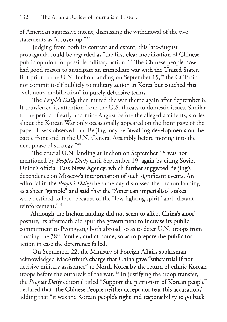of American aggressive intent, dismissing the withdrawal of the two statements as  $a$  cover-up."  $37$ 

 Judging from both its content and extent, this late-August propaganda could be regarded as "the first clear mobilization of Chinese public opinion for possible military action."<sup>38</sup> The Chinese people now had good reason to anticipate an immediate war with the United States. But prior to the U.N. Inchon landing on September 15,<sup>39</sup> the CCP did not commit itself publicly to military action in Korea but couched this "voluntary mobilization" in purely defensive terms.

The *People's Daily* then muted the war theme again after September 8. It transferred its attention from the U.S. threats to domestic issues. Similar to the period of early and mid- August before the alleged accidents, stories about the Korean War only occasionally appeared on the front page of the paper. It was observed that Beijing may be "awaiting developments on the battle front and in the U.N. General Assembly before moving into the next phase of strategy."40

 The crucial U.N. landing at Inchon on September 15 was not mentioned by *People's Daily* until September 19, again by citing Soviet Union's official Tass News Agency, which further suggested Beijing's dependence on Moscow's interpretation of such significant events. An editorial in the *People's Daily* the same day dismissed the Inchon landing as a sheer "gamble" and said that the "American imperialists' stakes were destined to lose" because of the "low fighting spirit" and "distant reinforcement." 41

 Although the Inchon landing did not seem to affect China's aloof posture, its aftermath did spur the government to increase its public commitment to Pyongyang both abroad, so as to deter U.N. troops from crossing the 38<sup>th</sup> Parallel, and at home, so as to prepare the public for action in case the deterrence failed

 On September 22, the Ministry of Foreign Affairs spokesman acknowledged MacArthur's charge that China gave "substantial if not decisive military assistance" to North Korea by the return of ethnic Korean troops before the outbreak of the war. 42 In justifying the troop transfer, the *People's Daily* editorial titled "Support the patriotism of Korean people" declared that "the Chinese People neither accept nor fear this accusation," adding that "it was the Korean people's right and responsibility to go back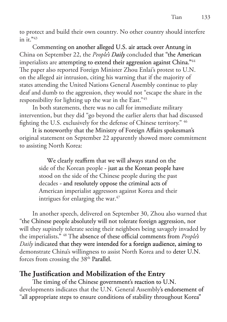to protect and build their own country. No other country should interfere in it.  $43$ 

 Commenting on another alleged U.S. air attack over Antung in China on September 22, the *People's Daily* concluded that "the American imperialists are attempting to extend their aggression against China."<sup>44</sup> The paper also reported Foreign Minister Zhou Enlai's protest to U.N. on the alleged air intrusion, citing his warning that if the majority of states attending the United Nations General Assembly continue to play deaf and dumb to the aggression, they would not "escape the share in the responsibility for lighting up the war in the East."45

 In both statements, there was no call for immediate military intervention, but they did "go beyond the earlier alerts that had discussed fighting the U.S. exclusively for the defense of Chinese territory." 46

 It is noteworthy that the Ministry of Foreign Affairs spokesman's original statement on September 22 apparently showed more commitment to assisting North Korea:

> We clearly reaffirm that we will always stand on the side of the Korean people - just as the Korean people have stood on the side of the Chinese people during the past decades - and resolutely oppose the criminal acts of American imperialist aggressors against Korea and their intrigues for enlarging the war. $47$

 In another speech, delivered on September 30, Zhou also warned that "the Chinese people absolutely will not tolerate foreign aggression, nor will they supinely tolerate seeing their neighbors being savagely invaded by the imperialists." 48 The absence of these official comments from *People's Daily* indicated that they were intended for a foreign audience, aiming to demonstrate China's willingness to assist North Korea and to deter U.N. forces from crossing the 38<sup>th</sup> Parallel.

**The Justification and Mobilization of the Entry** The timing of the Chinese government's reaction to U.N. developments indicates that the U.N. General Assembly's endorsement of "all appropriate steps to ensure conditions of stability throughout Korea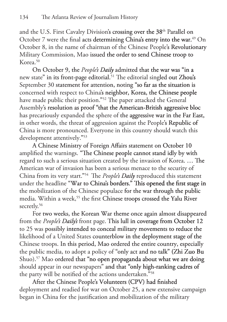and the U.S. First Cavalry Division's crossing over the 38<sup>th</sup> Parallel on October 7 were the final acts determining China's entry into the war.<sup>49</sup> On October 8, in the name of chairman of the Chinese People's Revolutionary Military Commission, Mao issued the order to send Chinese troop to  $K$ orea.<sup>50</sup>

On October 9, the *People's Daily* admitted that the war was "in a new state" in its front-page editorial.<sup>51</sup> The editorial singled out Zhou's September 30 statement for attention, noting "so far as the situation is concerned with respect to China's neighbor, Korea, the Chinese people have made public their position."<sup>52</sup> The paper attacked the General Assembly's resolution as proof "that the American-British aggressive bloc has precariously expanded the sphere of the aggressive war in the Far East, in other words, the threat of aggression against the People's Republic of China is more pronounced. Everyone in this country should watch this development attentively."<sup>53</sup>

 A Chinese Ministry of Foreign Affairs statement on October 10 amplified the warnings. "The Chinese people cannot stand idly by with regard to such a serious situation created by the invasion of Korea. … The American war of invasion has been a serious menace to the security of China from its very start."<sup>54</sup> The *People's Daily* reproduced this statement under the headline "War to China's borders." This opened the first stage in the mobilization of the Chinese populace for the war through the public media. Within a week,<sup>55</sup> the first Chinese troops crossed the Yalu River secretly.<sup>56</sup>

 For two weeks, the Korean War theme once again almost disappeared from the People's Daily's front page. This lull in coverage from October 12 to 25 was possibly intended to conceal military movements to reduce the likelihood of a United States counterblow in the deployment stage of the Chinese troops. In this period, Mao ordered the entire country, especially the public media, to adopt a policy of "only act and no talk" (Zhi Zuo Bu Shuo).<sup>57</sup> Mao ordered that "no open propaganda about what we are doing should appear in our newspapers" and that "only high-ranking cadres of the party will be notified of the actions undertaken."<sup>558</sup>

 After the Chinese People's Volunteers (CPV) had finished deployment and readied for war on October 25, a new extensive campaign began in China for the justification and mobilization of the military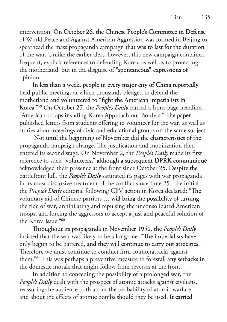intervention. On October 26, the Chinese People's Committee in Defense of World Peace and Against American Aggression was formed in Beijing to spearhead the mass propaganda campaign that was to last for the duration of the war. Unlike the earlier alert, however, this new campaign contained frequent, explicit references to defending Korea, as well as to protecting the motherland, but in the disguise of "spontaneous" expressions of opinion.

 In less than a week, people in every major city of China reportedly held public meetings at which thousands pledged to defend the motherland and volunteered to "fight the American imperialists in Korea."<sup>59</sup> On October 27, the *People's Daily* carried a front-page headline, "American troops invading Korea Approach our Borders." The paper published letters from students offering to volunteer for the war, as well as stories about meetings of civic and educational groups on the same subject.

 Not until the beginning of November did the characteristics of the propaganda campaign change. The justification and mobilization then entered its second stage. On November 2, the *People's Daily* made its first reference to such "volunteers," although a subsequent DPRK communiqué acknowledged their presence at the front since October 25. Despite the battlefront lull, the *People's Daily* saturated its pages with war propaganda in its most discursive treatment of the conflict since June 25. The initial the People's Daily editorial following CPV action in Korea declared: "The voluntary aid of Chinese patriots … will bring the possibility of turning the tide of war, annihilating and repulsing the unconsolidated American troops, and forcing the aggressors to accept a just and peaceful solution of the Korea issue." $60$ 

 Throughout its propaganda in November 1950, the *People's Daily s Daily*  insisted that the war was likely to be a long one. "The imperialists have only begun to be battered, and they will continue to carry out atrocities. Therefore we must continue to conduct firm counterattacks against them.<sup>"61</sup> This was perhaps a preventive measure to forestall any setbacks in the domestic morale that might follow from reverses at the front.

 In addition to conceding the possibility of a prolonged war, the *People's Daily* dealt with the prospect of atomic attacks against civilians, reassuring the audience both about the probability of atomic warfare and about the effects of atomic bombs should they be used. It carried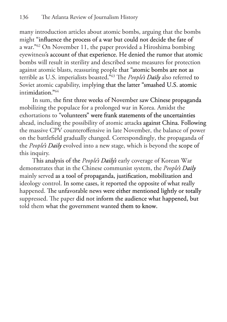many introduction articles about atomic bombs, arguing that the bombs might "influence the process of a war but could not decide the fate of a war.<sup>" $62$ </sup> On November 11, the paper provided a Hiroshima bombing eyewitness's account of that experience. He denied the rumor that atomic bombs will result in sterility and described some measures for protection against atomic blasts, reassuring people that "atomic bombs are not as terrible as U.S. imperialists boasted."<sup>63</sup> The People's Daily also referred to Soviet atomic capability, implying that the latter "smashed U.S. atomic  $intimitation.<sup>964</sup>$ 

 In sum, the first three weeks of November saw Chinese propaganda mobilizing the populace for a prolonged war in Korea. Amidst the exhortations to "volunteers" were frank statements of the uncertainties ahead, including the possibility of atomic attacks against China. Following the massive CPV counteroffensive in late November, the balance of power on the battlefield gradually changed. Correspondingly, the propaganda of the People's Daily evolved into a new stage, which is beyond the scope of this inquiry.

This analysis of the *People's Daily's* early coverage of Korean War demonstrates that in the Chinese communist system, the *People's Daily* mainly served as a tool of propaganda, justification, mobilization and ideology control. In some cases, it reported the opposite of what really happened. The unfavorable news were either mentioned lightly or totally suppressed. The paper did not inform the audience what happened, but told them what the government wanted them to know.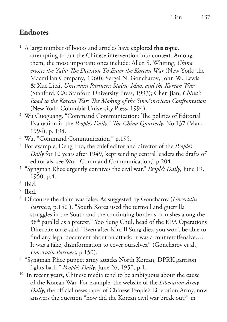## **Endnotes**

- $<sup>1</sup>$  A large number of books and articles have explored this topic,</sup> attempting to put the Chinese intervention into context. Among them, the most important ones include: Allen S. Whiting, *China crosses the Yalu: The Decision To Enter the Korean War* (New York: the Macmillan Company, 1960); Sergei N. Goncharov, John W. Lewis & Xue Litai, *Uncertain Partners: Stalin, Mao, and the Korean War*  (Stanford, CA: Stanford University Press, 1993); Chen Jian, *China's Road to the Korean War: The Making of the SinoAmerican Confrontation* (New York: Columbia University Press, 1994).
- 2 Wu Guoguang, "Command Communication: The politics of Editorial Evaluation in the *People's Daily*." *The China Quarterly*, No.137 (Mar., 1994), p. 194.
- 3 Wu, "Command Communication," p.195.
- 4 For example, Deng Tuo, the chief editor and director of the *People's Daily* for 10 years after 1949, kept sending central leaders the drafts of editorials, see Wu, "Command Communication," p.204.
- 5 "Syngman Rhee urgently connives the civil war," *People's Daily*, June 19, 1950, p.4.
- 6 Ibid.
- 7 Ibid.
- 8 Of course the claim was false. As suggested by Goncharov (*Uncertain Partners*, p.150 ), "South Korea used the turmoil and guerrilla struggles in the South and the continuing border skirmishes along the 38th parallel as a pretext." Yoo Sung Chul, head of the KPA Operations Directate once said, "Even after Kim Il Sung dies, you won't be able to find any legal document about an attack; it was a counteroffensive…. It was a fake, disinformation to cover ourselves." (Goncharov et al., *Uncertain Partners*, p.150).
- 9 "Syngman Rhee puppet army attacks North Korean, DPRK garrison fights back." *People's Daily*, June 26, 1950, p.1.
- <sup>10</sup> In recent years, Chinese media tend to be ambiguous about the cause of the Korean War. For example, the website of the *Liberation Army Daily*, the official newspaper of Chinese People's Liberation Army, now answers the question "how did the Korean civil war break out?" in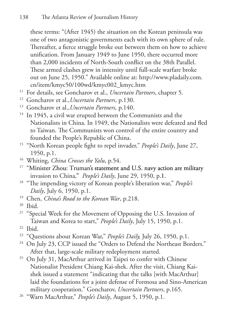these terms: "(After 1945) the situation on the Korean peninsula was one of two antagonistic governments each with its own sphere of rule. Thereafter, a fierce struggle broke out between them on how to achieve unification. From January 1949 to June 1950, there occurred more than 2,000 incidents of North-South conflict on the 38th Parallel. These armed clashes grew in intensity until full-scale warfare broke out on June 25, 1950." Available online at: http://www.pladaily.com. cn/item/kmyc50/100wd/kmyc002\_kmyc.htm

- 11 For details, see Goncharov et al., *Uncertain Partners*, chapter 5.
- 12 Goncharov et al.,*Uncertain Partners*, p.130.
- 13 Goncharov et al.,*Uncertain Partners,* p.140.
- <sup>14</sup> In 1945, a civil war erupted between the Communists and the Nationalists in China. In 1949, the Nationalists were defeated and fled to Taiwan. The Communists won control of the entire country and founded the People's Republic of China.
- <sup>15</sup> "North Korean people fight to repel invader," People's Daily, June 27, 1950, p.1.
- 16 Whiting, *China Crosses the Yalu*, p.54.
- <sup>17</sup> "Minister Zhou: Truman's statement and U.S. navy action are military invasion to China," *People's Daily*, June 29, 1950, p.1.
- 18 "The impending victory of Korean people's liberation war," *People's Daily*, July 6, 1950, p.1.
- 19 Chen, *China's Road to the Korean War*, p.218.
- 20 Ibid.
- <sup>21</sup> "Special Week for the Movement of Opposing the U.S. Invasion of Taiwan and Korea to start," *People's Daily*, July 15, 1950, p.1. 22 Ibid.
- 
- <sup>23</sup> "Questions about Korean War," *People's Daily*, July 26, 1950, p.1.
- <sup>24</sup> On July 23, CCP issued the "Orders to Defend the Northeast Borders." After that, large-scale military redeployment started.
- <sup>25</sup> On July 31, MacArthur arrived in Taipei to confer with Chinese Nationalist President Chiang Kai-shek. After the visit, Chiang Kaishek issued a statement "indicating that the talks [with MacArthur] laid the foundations for a joint defense of Formosa and Sino-American military cooperation." Goncharov, *Uncertain Partners*, p.165.
- 26 "Warn MacArthur," *People's Daily*, August 5, 1950, p.1.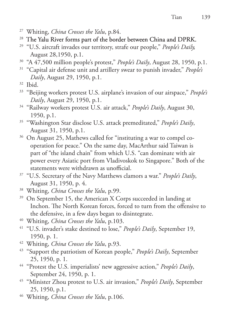- 27 Whiting, *China Crosses the Yalu*, p.84.
- <sup>28</sup> The Yalu River forms part of the border between China and DPRK.
- <sup>29</sup> "U.S. aircraft invades our territory, strafe our people," *People's Daily*, August 28,1950, p.1.
- 30 "A 47,500 million people's protest," *People's Daily*, August 28, 1950, p.1.
- 31 "Capital air defense unit and artillery swear to punish invader," *People's Daily*, August 29, 1950, p.1.
- 32 Ibid.
- 33 "Beijing workers protest U.S. airplane's invasion of our airspace," *People's Daily*, August 29, 1950, p.1.
- 34 "Railway workers protest U.S. air attack," *People's Daily*, August 30, 1950, p.1.
- 35 "Washington Star disclose U.S. attack premeditated," *People's Daily*, August 31, 1950, p.1.
- 36 On August 25, Mathews called for "instituting a war to compel cooperation for peace." On the same day, MacArthur said Taiwan is part of "the island chain" from which U.S. "can dominate with air power every Asiatic port from Vladivoskok to Singapore." Both of the statements were withdrawn as unofficial.
- 37 "U.S. Secretary of the Navy Matthews clamors a war." *People's Daily*, August 31, 1950, p. 4.
- 38 Whiting, *China Crosses the Yalu*, p.99.
- <sup>39</sup> On September 15, the American X Corps succeeded in landing at Inchon. The North Korean forces, forced to turn from the offensive to the defensive, in a few days began to disintegrate.
- 40 Whiting, *China Crosses the Yalu*, p.103.
- 41 "U.S. invader's stake destined to lose," *People's Daily*, September 19, 1950, p. 1.
- 42 Whiting, *China Crosses the Yalu*, p.93.
- 43 "Support the patriotism of Korean people," *People's Daily*, September 25, 1950, p. 1.
- 44 "Protest the U.S. imperialists' new aggressive action," *People's Daily*, September 24, 1950, p. 1.
- 45 "Minister Zhou protest to U.S. air invasion," *People's Daily*, September 25, 1950, p.1.
- 46 Whiting, *China Crosses the Yalu*, p.106.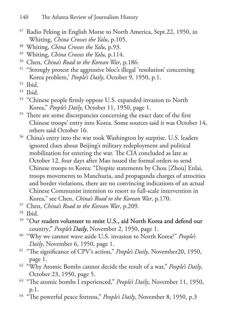- <sup>47</sup> Radio Peking in English Morse to North America, Sept.22, 1950, in Whiting, *China Crosses the Yalu*, p.105.
- 48 Whiting, *China Crosses the Yalu*, p.93.
- 49 Whiting, *China Crosses the Yalu*, p.114.
- 50 Chen, *China's Road to the Korean War*, p.186.
- <sup>51</sup> "Strongly protest the aggressive bloc's illegal 'resolution' concerning Korea problem,' *People's Daily*, October 9, 1950, p.1.

- 53 Ibid.
- <sup>54</sup> "Chinese people firmly oppose U.S. expanded invasion to North Korea," *People's Daily*, October 11, 1950, page 1.
- <sup>55</sup> There are some discrepancies concerning the exact date of the first Chinese troops' entry into Korea. Some sources said it was October 14, others said October 16.
- 56 China's entry into the war took Washington by surprise. U.S. leaders ignored clues about Beijing's military redeployment and political mobilization for entering the war. The CIA concluded as late as October 12, four days after Mao issued the formal orders to send Chinese troops to Korea: "Despite statements by Chou [Zhou] Enlai, troops movements to Manchuria, and propaganda charges of atrocities and border violations, there are no convincing indications of an actual Chinese Communist intention to resort to full-scale intervention in Korea," see Chen, *China's Road to the Korean War*, p.170.
- 57 Chen, *China's Road to the Korean War*, p.209.
- 58 Ibid.
- <sup>59</sup> "Our readers volunteer to resist U.S., aid North Korea and defend our country," People's Daily, November 2, 1950, page 1.
- 60 "Why we cannot wave aside U.S. invasion to North Korea?" *People's Daily*, November 6, 1950, page 1.
- 61 "The significance of CPV's action," *People's Daily*, November20, 1950, page 1.
- 62 "Why Atomic Bombs cannot decide the result of a war," *People's Daily*, October 23, 1950, page 5.
- 63 "The atomic bombs I experienced," *People's Daily*, November 11, 1950, p.1.
- 64 "The powerful peace fortress," *People's Daily*, November 8, 1950, p.3

<sup>52</sup> Ibid.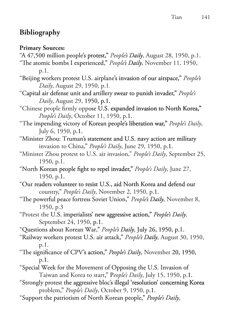## **Bibliography**

**Primary Sources:**

- "A 47,500 million people's protest," *People's Daily*, August 28, 1950, p.1.
- "The atomic bombs I experienced," *People's Daily*, November 11, 1950, p.1.
- "Beijing workers protest U.S. airplane's invasion of our airspace," *People's Daily*, August 29, 1950, p.1.
- "Capital air defense unit and artillery swear to punish invader," *People's Daily*, August 29, 1950, p.
- "Chinese people firmly oppose U.S. expanded invasion to North Korea," *People's Daily*, October 11, 1950, p.
- "The impending victory of Korean people's liberation war," *People's Daily*, July 6, 1950, p.1
- "Minister Zhou: Truman's statement and U.S. navy action are military invasion to China," *People's Daily*, June 29, 1950, p.
- "Minister Zhou protest to U.S. air invasion," *People's Daily*, September 25, 1950, p.1.
- "North Korean people fight to repel invader," People's Daily, June 27, 1950, p.1.
- "Our readers volunteer to resist U.S., aid North Korea and defend our country," *People's Daily*, November 2, 1950, p.
- "The powerful peace fortress Soviet Union," People's Daily, November 8, 1950, p.3
- "Protest the U.S. imperialists' new aggressive action," People's Daily, September 24, 1950, p.1.
- "Questions about Korean War," People's Daily, July 26, 1950, p.1.
- "Railway workers protest U.S. air attack," People's Daily, August 30, 1950, p.1.
- "The significance of CPV's action," People's Daily, November 20, 1950, p.1.
- "Special Week for the Movement of Opposing the U.S. Invasion of Taiwan and Korea to start,"*eople's Daily*, July 15, 1950, p.1.
- "Strongly protest the aggressive bloc's illegal 'resolution' concerning Korea problem," *People's Daily*, October 9, 1950, p.
- "Support the patriotism of North Korean people," People's Daily,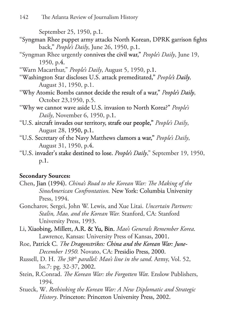September 25, 1950, p.

- "Syngman Rhee puppet army attacks North Korean, DPRK garrison fights back," *People's Daily*, June 26, 1950, p.
- "Syngman Rhee urgently connives the civil war," *People's Daily*, June 19, 1950, p.4.
- "Warn Macarthur," *People's Daily*, August 5, 1950, p.1.
- "Washington Star discloses U.S. attack premeditated," People's Daily, August 31, 1950, p.1.
- "Why Atomic Bombs cannot decide the result of a war," *People's Daily s* , October 23,1950, p.5.
- "Why we cannot wave aside U.S. invasion to North Korea? *People's Daily*, November 6, 1950, p.
- "U.S. aircraft invades our territory, strafe our people," *People's Daily*, August 28, 1950, p.
- "U.S. Secretary of the Navy Matthews clamors a war," *People's Daily*, August 31, 1950, p.
- "U.S. invader's stake destined to lose. *People's Daily*," September 19, 1950, p.1.

## **Secondary Sources:**

- Chen, Jian (1994). *China's Road to the Korean War: The Making of the SinoAmerican Confrontation.* New York: Columbia University Press, 1994
- Goncharov, Sergei, John W. Lewis, and Xue Litai. *Uncertain Partners: Stalin, Mao, and the Korean War.* Stanford, CA: Stanford University Press, 1993.
- Li, Xiaobing, Millett, A.R & Yu, Bin *Mao's Generals Remember Korea.* Lawrence, Kansas: University Press of Kansas, 2001
- Roe, Patrick C. *The Dragonstrikes: China and the Korean War: June-December 1950.* Novato, CA: Presidio Press, 2000.
- Russell, D. H. *The 38th parallel: Mao's line in the sand*. Army, Vol. 52, Iss.7: pg. 32-37, 2002.
- Stein, R.Conrad. *The Korean War: the Forgotten Wa*r. Enslow Publishers, 1994.
- Stueck, W. *Rethinking the Korean War: A New Diplomatic and Strategic History*. Princeton: Princeton University Press, 2002